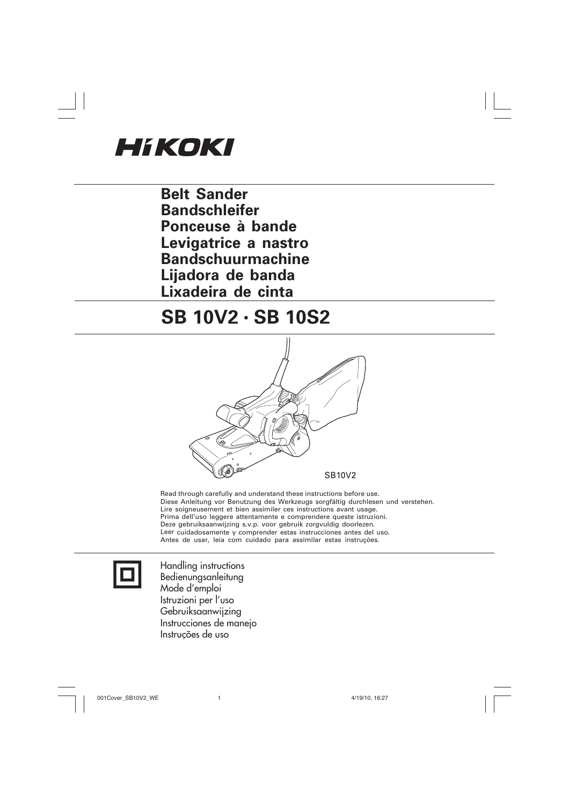

**Belt Sander Bandschleifer Ponceuse à bande Levigatrice a nastro Bandschuurmachine Lijadora de banda Lixadeira de cinta**

# **SB 10V2 • SB 10S2**



Read through carefully and understand these instructions before use. Diese Anleitung vor Benutzung des Werkzeugs sorgfältig durchlesen und verstehen. Lire soigneusement et bien assimiler ces instructions avant usage. Prima dell'uso leggere attentamente e comprendere queste istruzioni. Deze gebruiksaanwijzing s.v.p. voor gebruik zorgvuldig doorlezen. Leer cuidadosamente y comprender estas instrucciones antes del uso. Antes de usar, leia com cuidado para assimilar estas instruções.



Handling instructions Bedienungsanleitung Mode d'emploi Istruzioni per l'uso Gebruiksaanwijzing Instrucciones de manejo Instruções de uso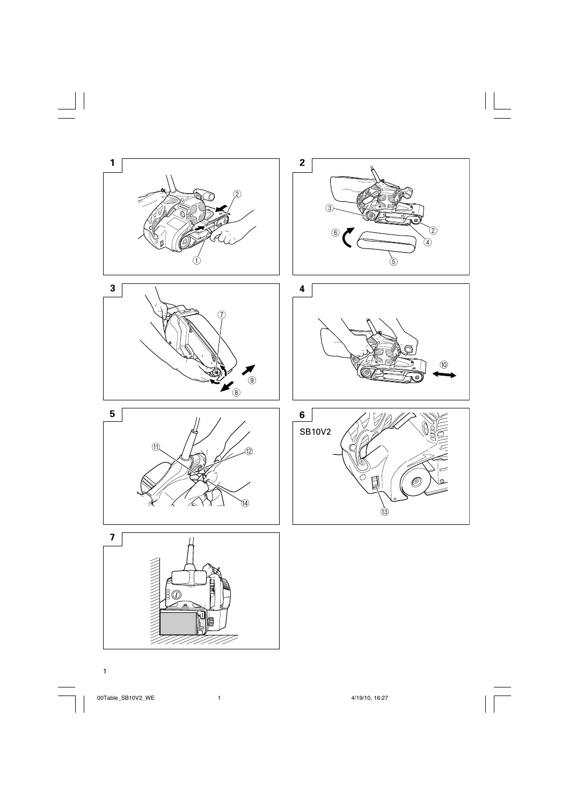





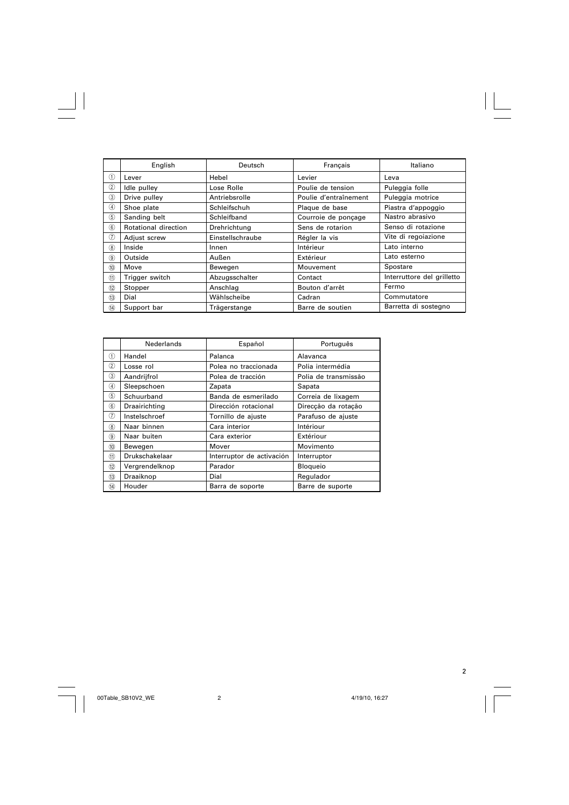|                | English              | Deutsch          | Français              | Italiano                   |
|----------------|----------------------|------------------|-----------------------|----------------------------|
| O              | Lever                | Hebel            | Levier                | Leva                       |
| $^{\circ}$     | Idle pulley          | Lose Rolle       | Poulie de tension     | Puleggia folle             |
| $\circled{3}$  | Drive pulley         | Antriebsrolle    | Poulie d'entraînement | Puleggia motrice           |
| ④              | Shoe plate           | Schleifschuh     | Plaque de base        | Piastra d'appoggio         |
| $\circledS$    | Sanding belt         | Schleifband      | Courroie de ponçage   | Nastro abrasivo            |
| $^{\circ}$     | Rotational direction | Drehrichtung     | Sens de rotarion      | Senso di rotazione         |
| $\circled{7}$  | Adjust screw         | Einstellschraube | Régler la vis         | Vite di regoiazione        |
| (8)            | Inside               | Innen            | Intérieur             | Lato interno               |
| $\circledcirc$ | Outside              | Außen            | Extérieur             | Lato esterno               |
| (10)           | Move                 | Bewegen          | Mouvement             | Spostare                   |
| $^{\circledR}$ | Trigger switch       | Abzugsschalter   | Contact               | Interruttore del grilletto |
| $\circled{12}$ | Stopper              | Anschlag         | Bouton d'arrêt        | Fermo                      |
| (13)           | Dial                 | Wählscheibe      | Cadran                | Commutatore                |
| (14)           | Support bar          | Trägerstange     | Barre de soutien      | Barretta di sostegno       |

|                   | Nederlands     | Español                   | Português            |
|-------------------|----------------|---------------------------|----------------------|
| ①                 | Handel         | Palanca                   | Alavanca             |
| $2$               | Losse rol      | Polea no traccionada      | Polia intermédia     |
| ③                 | Aandrijfrol    | Polea de tracción         | Polia de transmissão |
| $\left( 4\right)$ | Sleepschoen    | Zapata                    | Sapata               |
| $\circledS$       | Schuurband     | Banda de esmerilado       | Correia de lixagem   |
| ◉                 | Draairichting  | Dirección rotacional      | Direcção da rotação  |
| 7                 | Instelschroef  | Tornillo de ajuste        | Parafuso de ajuste   |
| ⑧                 | Naar binnen    | Cara interior             | Intériour            |
| 9                 | Naar buiten    | Cara exterior             | Extériour            |
| (10)              | Bewegen        | Mover                     | Movimento            |
| (ft)              | Drukschakelaar | Interruptor de activación | Interruptor          |
| (12)              | Vergrendelknop | Parador                   | Bloqueio             |
| (13)              | Draaiknop      | Dial                      | Regulador            |
| $\circled{14}$    | Houder         | Barra de soporte          | Barre de suporte     |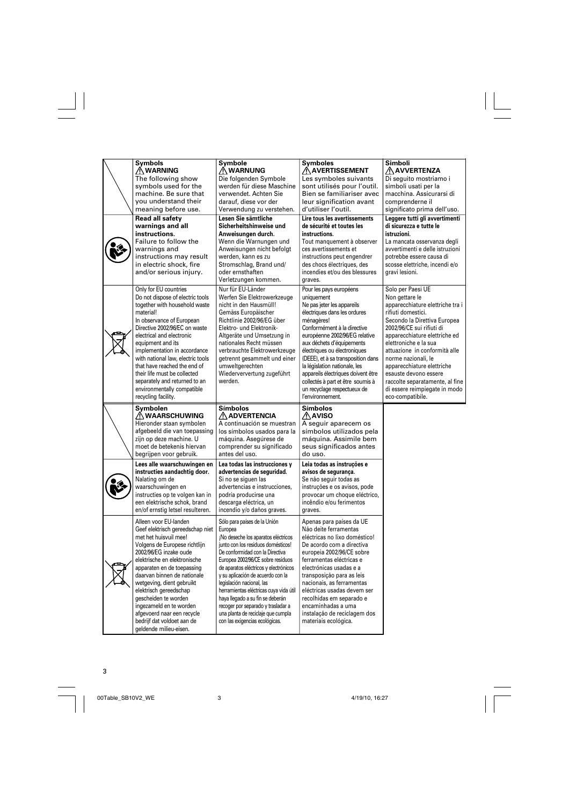| <b>Symbols</b><br>∕ ∖WARNING                                     | <b>Symbole</b><br>∕∖WARNUNG                                           | <b>Symboles</b><br>A AVERTISSEMENT                                      | <b>Simboli</b><br>∕∖\ AVVERTENZA                         |
|------------------------------------------------------------------|-----------------------------------------------------------------------|-------------------------------------------------------------------------|----------------------------------------------------------|
| The following show                                               | Die folgenden Symbole                                                 | Les symboles suivants                                                   | Di seguito mostriamo i                                   |
| symbols used for the                                             | werden für diese Maschine                                             | sont utilisés pour l'outil.                                             | simboli usati per la                                     |
| machine. Be sure that<br>you understand their                    | verwendet. Achten Sie<br>darauf, diese vor der                        | Bien se familiariser avec<br>leur signification avant                   | macchina. Assicurarsi di<br>comprenderne il              |
| meaning before use.                                              | Verwendung zu verstehen.                                              | d'utiliser l'outil.                                                     | significato prima dell'uso.                              |
| <b>Read all safety</b>                                           | Lesen Sie sämtliche                                                   | Lire tous les avertissements                                            | Leggere tutti gli avvertimenti                           |
| warnings and all                                                 | Sicherheitshinweise und                                               | de sécurité et toutes les                                               | di sicurezza e tutte le                                  |
| instructions.<br>Failure to follow the                           | Anweisungen durch.<br>Wenn die Warnungen und                          | instructions.<br>Tout manquement à observer                             | istruzioni.<br>La mancata osservanza degli               |
| warnings and                                                     | Anweisungen nicht befolgt                                             | ces avertissements et                                                   | avvertimenti e delle istruzioni                          |
| instructions may result                                          | werden, kann es zu                                                    | instructions peut engendrer                                             | potrebbe essere causa di                                 |
| in electric shock, fire                                          | Stromschlag, Brand und/                                               | des chocs électriques, des                                              | scosse elettriche, incendi e/o                           |
| and/or serious injury.                                           | oder ernsthaften<br>Verletzungen kommen.                              | incendies et/ou des blessures<br>graves.                                | gravi lesioni.                                           |
| Only for EU countries                                            | Nur für EU-Länder                                                     | Pour les pays européens                                                 | Solo per Paesi UE                                        |
| Do not dispose of electric tools                                 | Werfen Sie Elektrowerkzeuge                                           | uniquement                                                              | Non gettare le                                           |
| together with household waste<br>material!                       | nicht in den Hausmüll!<br>Gemäss Europäischer                         | Ne pas jeter les appareils<br>électriques dans les ordures              | apparecchiature elettriche tra i<br>rifiuti domestici.   |
| In observance of European                                        | Richtlinie 2002/96/EG über                                            | ménagères!                                                              | Secondo la Direttiva Europea                             |
| Directive 2002/96/EC on waste                                    | Elektro- und Elektronik-                                              | Conformément à la directive                                             | 2002/96/CE sui rifiuti di                                |
| electrical and electronic<br>equipment and its                   | Altgeräte und Umsetzung in<br>nationales Recht müssen                 | européenne 2002/96/EG relative<br>aux déchets d'équipements             | apparecchiature elettriche ed<br>elettroniche e la sua   |
| implementation in accordance                                     | verbrauchte Elektrowerkzeuge                                          | électriques ou électroniques                                            | attuazione in conformità alle                            |
| with national law, electric tools                                | getrennt gesammelt und einer                                          | (DEEE), et à sa transposition dans                                      | norme nazionali, le                                      |
| that have reached the end of                                     | umweltgerechten                                                       | la législation nationale, les                                           | apparecchiature elettriche                               |
| their life must be collected<br>separately and returned to an    | Wiederververtung zugeführt<br>werden.                                 | appareils électriques doivent être<br>collectés à part et être soumis à | esauste devono essere<br>raccolte separatamente, al fine |
| environmentally compatible                                       |                                                                       | un recyclage respectueux de                                             | di essere reimpiegate in modo                            |
| recycling facility.                                              |                                                                       | l'environnement.                                                        | eco-compatibile.                                         |
| Symbolen<br><b>AWAARSCHUWING</b>                                 | <b>Símbolos</b><br>A ADVERTENCIA                                      | Símbolos<br>∕∆AVISO                                                     |                                                          |
| Hieronder staan symbolen                                         | A continuación se muestran                                            | A seguir aparecem os                                                    |                                                          |
| afgebeeld die van toepassing                                     | los símbolos usados para la                                           | símbolos utilizados pela                                                |                                                          |
| zijn op deze machine. U<br>moet de betekenis hiervan             | máquina. Asegúrese de<br>comprender su significado                    | máquina. Assimile bem<br>seus significados antes                        |                                                          |
| begrijpen voor gebruik.                                          | antes del uso.                                                        | do uso.                                                                 |                                                          |
| Lees alle waarschuwingen en                                      | Lea todas las instrucciones y                                         | Leia todas as instruções e                                              |                                                          |
| instructies aandachtig door.<br>Nalating om de                   | advertencias de seguridad.<br>Si no se siguen las                     | avisos de segurança.<br>Se não seguir todas as                          |                                                          |
| waarschuwingen en                                                | advertencias e instrucciones,                                         | instruções e os avisos, pode                                            |                                                          |
| instructies op te volgen kan in                                  | podría producirse una                                                 | provocar um choque eléctrico,                                           |                                                          |
| een elektrische schok, brand<br>en/of ernstig letsel resulteren. | descarga eléctrica, un<br>incendio y/o daños graves.                  | incêndio e/ou ferimentos<br>graves.                                     |                                                          |
| Alleen voor EU-landen                                            | Sólo para países de la Unión                                          | Apenas para países da UE                                                |                                                          |
| Geef elektrisch gereedschap niet                                 | Europea                                                               | Não deite ferramentas                                                   |                                                          |
| met het huisvuil mee!                                            | ¡No deseche los aparatos eléctricos                                   | eléctricas no lixo doméstico!                                           |                                                          |
| Volgens de Europese richtlijn<br>2002/96/EG inzake oude          | junto con los residuos domésticos!<br>De conformidad con la Directiva | De acordo com a directiva<br>europeia 2002/96/CE sobre                  |                                                          |
| elektrische en elektronische                                     | Europea 2002/96/CE sobre residuos                                     | ferramentas eléctricas e                                                |                                                          |
| apparaten en de toepassing                                       | de aparatos eléctricos y electrónicos                                 | electrónicas usadas e a                                                 |                                                          |
| daarvan binnen de nationale                                      | y su aplicación de acuerdo con la                                     | transposição para as leis                                               |                                                          |
| wetgeving, dient gebruikt<br>elektrisch gereedschap              | legislación nacional, las<br>herramientas eléctricas cuya vida útil   | nacionais, as ferramentas<br>eléctricas usadas devem ser                |                                                          |
| gescheiden te worden                                             | haya llegado a su fin se deberán                                      | recolhidas em separado e                                                |                                                          |
| ingezameld en te worden                                          | recoger por separado y trasladar a                                    | encaminhadas a uma                                                      |                                                          |
| afgevoerd naar een recycle<br>bedrijf dat voldoet aan de         | una planta de reciclaje que cumpla<br>con las exigencias ecológicas.  | instalação de reciclagem dos<br>materiais ecológica.                    |                                                          |
| geldende milieu-eisen.                                           |                                                                       |                                                                         |                                                          |
|                                                                  |                                                                       |                                                                         |                                                          |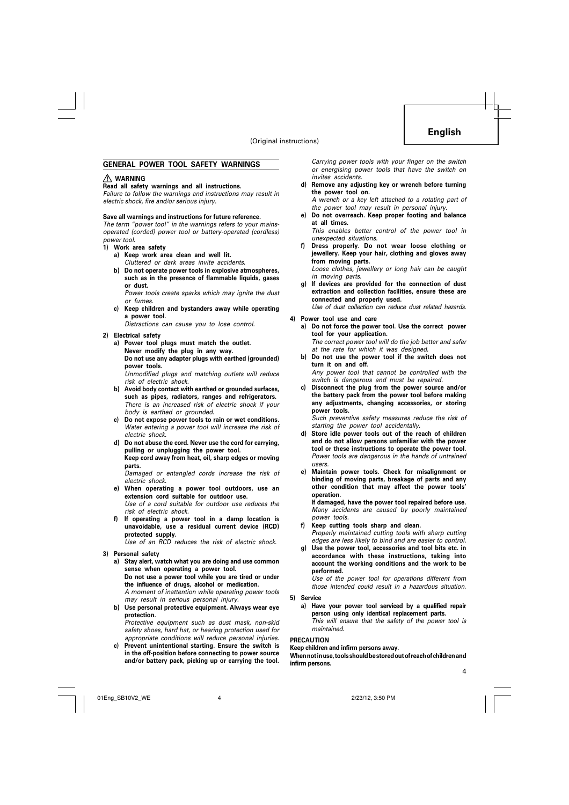# **GENERAL POWER TOOL SAFETY WARNINGS**

## **WARNING**

#### **Read all safety warnings and all instructions.**

Failure to follow the warnings and instructions may result in electric shock, fire and/or serious injury.

#### **Save all warnings and instructions for future reference.**

The term "power tool" in the warnings refers to your mainsoperated (corded) power tool or battery-operated (cordless) power tool.

#### **1) Work area safety**

- **a) Keep work area clean and well lit.** Cluttered or dark areas invite accidents.
- **b) Do not operate power tools in explosive atmospheres, such as in the presence of flammable liquids, gases or dust.**

Power tools create sparks which may ignite the dust or fumes.

**c) Keep children and bystanders away while operating a power tool.**

Distractions can cause you to lose control.

#### **2) Electrical safety**

**a) Power tool plugs must match the outlet. Never modify the plug in any way. Do not use any adapter plugs with earthed (grounded) power tools.**

Unmodified plugs and matching outlets will reduce risk of electric shock.

- **b) Avoid body contact with earthed or grounded surfaces, such as pipes, radiators, ranges and refrigerators.** There is an increased risk of electric shock if your body is earthed or grounded.
- **c) Do not expose power tools to rain or wet conditions.** Water entering a power tool will increase the risk of electric shock.
- **d) Do not abuse the cord. Never use the cord for carrying, pulling or unplugging the power tool. Keep cord away from heat, oil, sharp edges or moving parts.** Damaged or entangled cords increase the risk of electric shock.
- **e) When operating a power tool outdoors, use an extension cord suitable for outdoor use.** Use of a cord suitable for outdoor use reduces the risk of electric shock.
- **f) If operating a power tool in a damp location is unavoidable, use a residual current device (RCD) protected supply.**

Use of an RCD reduces the risk of electric shock.

- **3) Personal safety**
	- **a) Stay alert, watch what you are doing and use common sense when operating a power tool. Do not use a power tool while you are tired or under the influence of drugs, alcohol or medication.** A moment of inattention while operating power tools may result in serious personal injury. **b) Use personal protective equipment. Always wear eye**

**protection.** Protective equipment such as dust mask, non-skid safety shoes, hard hat, or hearing protection used for

appropriate conditions will reduce personal injuries. **c) Prevent unintentional starting. Ensure the switch is in the off-position before connecting to power source and/or battery pack, picking up or carrying the tool.**

Carrying power tools with your finger on the switch or energising power tools that have the switch on invites accidents.

**d) Remove any adjusting key or wrench before turning the power tool on.**

A wrench or a key left attached to a rotating part of the power tool may result in personal injury.

**e) Do not overreach. Keep proper footing and balance at all times.**

This enables better control of the power tool in unexpected situations.

**f) Dress properly. Do not wear loose clothing or jewellery. Keep your hair, clothing and gloves away from moving parts.**

Loose clothes, jewellery or long hair can be caught in moving parts.

**g) If devices are provided for the connection of dust extraction and collection facilities, ensure these are connected and properly used.**

Use of dust collection can reduce dust related hazards.

- **4) Power tool use and care**
	- **a) Do not force the power tool. Use the correct power tool for your application.** The correct power tool will do the job better and safer at the rate for which it was designed.
	- **b) Do not use the power tool if the switch does not turn it on and off.** Any power tool that cannot be controlled with the switch is dangerous and must be repaired.
	- **c) Disconnect the plug from the power source and/or the battery pack from the power tool before making any adjustments, changing accessories, or storing power tools.**

.<br>Such preventive safety measures reduce the risk of starting the power tool accidentally.

- **d) Store idle power tools out of the reach of children and do not allow persons unfamiliar with the power tool or these instructions to operate the power tool.** Power tools are dangerous in the hands of untrained users.
- **e) Maintain power tools. Check for misalignment or binding of moving parts, breakage of parts and any other condition that may affect the power tools' operation.**

**If damaged, have the power tool repaired before use.** Many accidents are caused by poorly maintained power tools.

- **f) Keep cutting tools sharp and clean.** Properly maintained cutting tools with sharp cutting
- edges are less likely to bind and are easier to control. **g) Use the power tool, accessories and tool bits etc. in accordance with these instructions, taking into account the working conditions and the work to be performed.**

Use of the power tool for operations different from those intended could result in a hazardous situation.

- **5) Service**
	- **a) Have your power tool serviced by a qualified repair person using only identical replacement parts.** This will ensure that the safety of the power tool is maintained.

#### **PRECAUTION**

**Keep children and infirm persons away.**

**When not in use, tools should be stored out of reach of children and infirm persons.**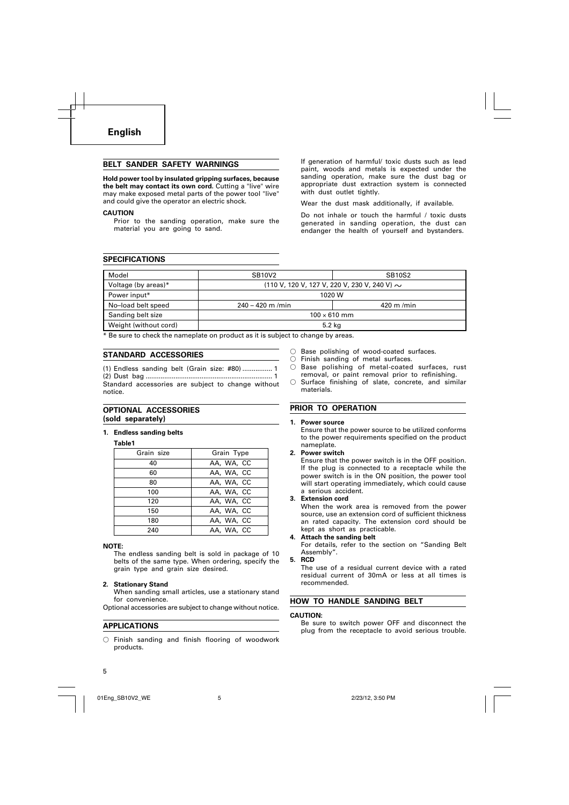# **BELT SANDER SAFETY WARNINGS**

**Hold power tool by insulated gripping surfaces, because the belt may contact its own cord.** Cutting a "live" wire may make exposed metal parts of the power tool "live" and could give the operator an electric shock.

#### **CAUTION**

Prior to the sanding operation, make sure the material you are going to sand.

If generation of harmful/ toxic dusts such as lead paint, woods and metals is expected under the sanding operation, make sure the dust bag or appropriate dust extraction system is connected with dust outlet tightly.

Wear the dust mask additionally, if available.

Do not inhale or touch the harmful / toxic dusts generated in sanding operation, the dust can endanger the health of yourself and bystanders.

#### **SPECIFICATIONS**

| Model                 | SB10V2                                            | SB10S2              |
|-----------------------|---------------------------------------------------|---------------------|
| Voltage (by areas)*   | (110 V, 120 V, 127 V, 220 V, 230 V, 240 V) $\sim$ |                     |
| Power input*          | 1020 W                                            |                     |
| No-load belt speed    | $240 - 420$ m /min                                | $420 \text{ m/min}$ |
| Sanding belt size     | $100 \times 610$ mm                               |                     |
| Weight (without cord) | 5.2 kg                                            |                     |

\* Be sure to check the nameplate on product as it is subject to change by areas.

# **STANDARD ACCESSORIES**

(1) Endless sanding belt (Grain size: #80) ................ 1

(2) Dust bag .................................................................... 1 Standard accessories are subject to change without notice.

#### **OPTIONAL ACCESSORIES (sold separately)**

#### **1. Endless sanding belts**

#### **Table1**

| Grain size | Grain Type |  |
|------------|------------|--|
| 40         | AA, WA, CC |  |
| 60         | AA, WA, CC |  |
| 80         | AA, WA, CC |  |
| 100        | AA, WA, CC |  |
| 120        | AA, WA, CC |  |
| 150        | AA, WA, CC |  |
| 180        | AA, WA, CC |  |
| 240        | AA, WA, CC |  |

#### **NOTE:**

The endless sanding belt is sold in package of 10 belts of the same type. When ordering, specify the grain type and grain size desired.

#### **2. Stationary Stand**

When sanding small articles, use a stationary stand for convenience.

Optional accessories are subject to change without notice.

# **APPLICATIONS**

 $\bigcirc$  Finish sanding and finish flooring of woodwork products.

- $\bigcirc$  Base polishing of wood-coated surfaces.
- $\bigcirc$  Finish sanding of metal surfaces.
- $O$  Base polishing of metal-coated surfaces, rust removal, or paint removal prior to refinishing.
- $\circ$  Surface finishing of slate, concrete, and similar materials.

#### **PRIOR TO OPERATION**

#### **1. Power source**

Ensure that the power source to be utilized conforms to the power requirements specified on the product nameplate.

#### **2. Power switch**

Ensure that the power switch is in the OFF position. If the plug is connected to a receptacle while the power switch is in the ON position, the power tool will start operating immediately, which could cause a serious accident.

#### **3. Extension cord**

When the work area is removed from the power source, use an extension cord of sufficient thickness an rated capacity. The extension cord should be kept as short as practicable.

#### **4. Attach the sanding belt**

For details, refer to the section on "Sanding Belt Assembly".

#### **5. RCD**

The use of a residual current device with a rated residual current of 30mA or less at all times is recommended.

#### **HOW TO HANDLE SANDING BELT**

#### **CAUTION:**

Be sure to switch power OFF and disconnect the plug from the receptacle to avoid serious trouble.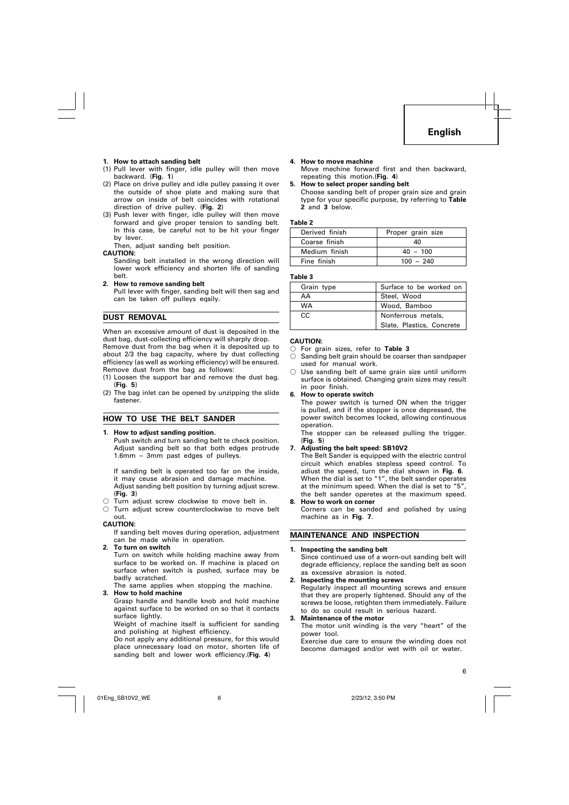# **1. How to attach sanding belt**

- (1) Pull lever with finger, idle pulley will then move backward. (**Fig. 1**)
- (2) Place on drive pulley and idle pulley passing it over the outside of shoe plate and making sure that arrow on inside of belt coincides with rotational direction of drive pulley. (**Fig. 2**)
- (3) Push lever with finger, idle pulley will then move forward and give proper tension to sanding belt. In this case, be careful not to be hit your finger by lever.

Then, adjust sanding belt position.

# **CAUTION:**

Sanding belt installed in the wrong direction will lower work efficiency and shorten life of sanding belt.

**2. How to remove sanding belt** Pull lever with finger, sanding belt will then sag and can be taken off pulleys eqsily.

# **DUST REMOVAL**

When an excessive amount of dust is deposited in the dust bag, dust-collecting efficiency will sharply drop.

Remove dust from the bag when it is deposited up to about 2/3 the bag capacity, where by dust collecting efficiency (as well as working efficiency) will be ensured. Remove dust from the bag as follows:

- (1) Loosen the support bar and remove the dust bag. (**Fig. 5**)
- (2) The bag inlet can be opened by unzipping the slide fastener.

# **HOW TO USE THE BELT SANDER**

## **1. How to adjust sanding position.**

Push switch and turn sanding belt te check position. Adjust sanding belt so that both edges protrude 1.6mm – 3mm past edges of pulleys.

lf sanding belt is operated too far on the inside, it may ceuse abrasion and damage machine.

Adjust sanding belt position by turning adjust screw. (**Fig. 3**)

- $\bigcirc$  Turn adjust screw clockwise to move belt in.
- $\bigcirc$  Turn adjust screw counterclockwise to move belt out.

# **CAUTION:**

If sanding belt moves during operation, adjustment can be made while in operation.

# **2. To turn on switch**

Turn on switch while holding machine away from surface to be worked on. If machine is placed on surface when switch is pushed, surface may be badly scratched.

The same applies when stopping the machine.

# **3. How to hold machine**

Grasp handle and handle knob and hold machine against surface to be worked on so that it contacts surface lightly.

Weight of machine itself is sufficient for sanding and polishing at highest efficiency.

Do not apply any additional pressure, for this would place unnecessary load on motor, shorten life of sanding belt and lower work efficiency.(**Fig. 4**)

**4. How to move machine**

Move mechine forward first and then backward, repeating this motion.(**Fig. 4**)

**5. How to select proper sanding belt**

Choose sanding belt of proper grain size and grain type for your specific purpose, by referring to **Table 2** and **3** below.

#### **Table 2**

| Derived finish | Proper grain size |  |
|----------------|-------------------|--|
| Coarse finish  | 40                |  |
| Medium finish  | $40 - 100$        |  |
| Fine finish    | $100 - 240$       |  |

# **Table 3**

| Grain type | Surface to be worked on   |  |
|------------|---------------------------|--|
| AA         | Steel, Wood               |  |
| <b>WA</b>  | Wood, Bamboo              |  |
| CC.        | Nonferrous metals,        |  |
|            | Slate, Plastics, Concrete |  |

#### **CAUTION:**

- For grain sizes, refer to **Table 3**
- $\circ$  Sanding belt grain should be coarser than sandpaper used for manual work.
- Use sanding belt of same grain size until uniform surface is obtained. Changing grain sizes may result in poor finish.

#### **6. How to operate switch**

The power switch is turned ON when the trigger is pulled, and if the stopper is once depressed, the power switch becomes locked, allowing continuous operation.

The stopper can be released pulling the trigger. (**Fig. 5**)

## **7. Adjusting the belt speed: SB10V2**

The Belt Sander is equipped with the electric control circuit which enables stepless speed control. To adiust the speed, turn the dial shown in **Fig. 6**. When the dial is set to "1", the belt sander operates at the minimum speed. When the dial is set to "5", the belt sander operetes at the maximum speed.

**8. How to work on corner** Corners can be sanded and polished by using machine as in **Fig. 7**.

# **MAINTENANCE AND INSPECTION**

#### **1. Inspecting the sanding belt**

Since continued use of a worn-out sanding belt will degrade efficiency, replace the sanding belt as soon as excessive abrasion is noted.

#### **2. Inspecting the mounting screws**

Regularly inspect all mounting screws and ensure that they are properly tightened. Should any of the screws be loose, retighten them immediately. Failure to do so could result in serious hazard.

# **3. Maintenance of the motor**

The motor unit winding is the very "heart" of the power tool.

Exercise due care to ensure the winding does not become damaged and/or wet with oil or water.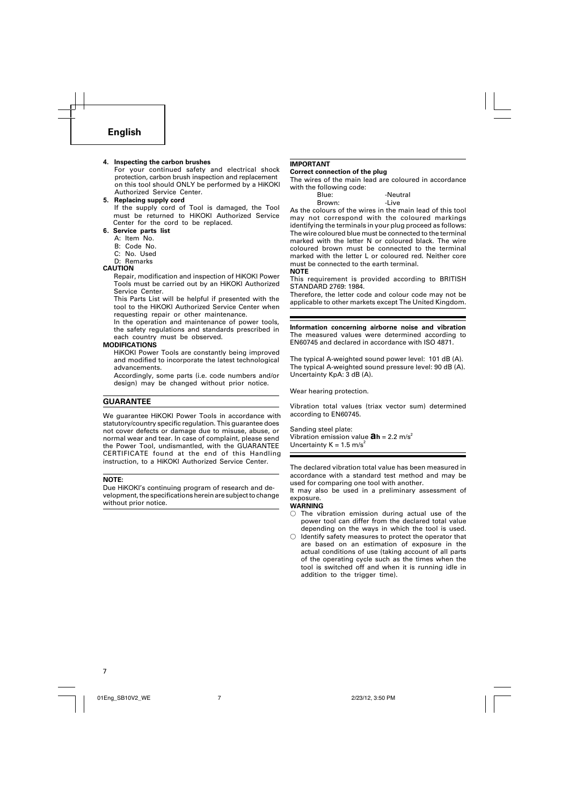#### **4. Inspecting the carbon brushes**

For your continued safety and electrical shock protection, carbon brush inspection and replacement on this tool should ONLY be performed by a HiKOKI Authorized Service Center.

#### **5. Replacing supply cord**

If the supply cord of Tool is damaged, the Tool must be returned to HiKOKI Authorized Service Center for the cord to be replaced.

#### **6. Service parts list**

- A: Item No.
- B: Code No.
- C: No. Used
- D: Remarks

#### **CAUTION**

Repair, modification and inspection of HiKOKI Power Tools must be carried out by an HiKOKI Authorized Service Center.

This Parts List will be helpful if presented with the tool to the HiKOKI Authorized Service Center when requesting repair or other maintenance.

In the operation and maintenance of power tools, the safety regulations and standards prescribed in each country must be observed.

#### **MODIFICATIONS**

HiKOKI Power Tools are constantly being improved and modified to incorporate the latest technological advancements.

Accordingly, some parts (i.e. code numbers and/or design) may be changed without prior notice.

## **GUARANTEE**

We guarantee HiKOKI Power Tools in accordance with statutory/country specific regulation. This guarantee does not cover defects or damage due to misuse, abuse, or normal wear and tear. In case of complaint, please send the Power Tool, undismantled, with the GUARANTEE CERTIFICATE found at the end of this Handling instruction, to a HiKOKI Authorized Service Center.

#### **NOTE:**

Due HiKOKI's continuing program of research and development, the specifications herein are subject to change without prior notice.

#### **IMPORTANT**

#### **Correct connection of the plug**

The wires of the main lead are coloured in accordance with the following code:

-Neutral Brown: -Live

As the colours of the wires in the main lead of this tool may not correspond with the coloured markings identifying the terminals in your plug proceed as follows: The wire coloured blue must be connected to the terminal marked with the letter N or coloured black. The wire coloured brown must be connected to the terminal marked with the letter L or coloured red. Neither core must be connected to the earth terminal.

#### **NOTE**

This requirement is provided according to BRITISH STANDARD 2769: 1984.

Therefore, the letter code and colour code may not be applicable to other markets except The United Kingdom.

**Information concerning airborne noise and vibration** The measured values were determined according to EN60745 and declared in accordance with ISO 4871.

The typical A-weighted sound power level: 101 dB (A). The typical A-weighted sound pressure level: 90 dB (A). Uncertainty KpA: 3 dB (A).

Wear hearing protection.

Vibration total values (triax vector sum) determined according to EN60745.

Sanding steel plate: Vibration emission value  $\mathbf{a}$ **h** = 2.2 m/s<sup>2</sup> Uncertainty  $K = 1.5$  m/s<sup>2</sup>

The declared vibration total value has been measured in accordance with a standard test method and may be used for comparing one tool with another.

It may also be used in a preliminary assessment of exposure.

## **WARNING**

- $\bigcirc$  The vibration emission during actual use of the power tool can differ from the declared total value depending on the ways in which the tool is used.
- $\bigcirc$  Identify safety measures to protect the operator that are based on an estimation of exposure in the actual conditions of use (taking account of all parts of the operating cycle such as the times when the tool is switched off and when it is running idle in addition to the trigger time).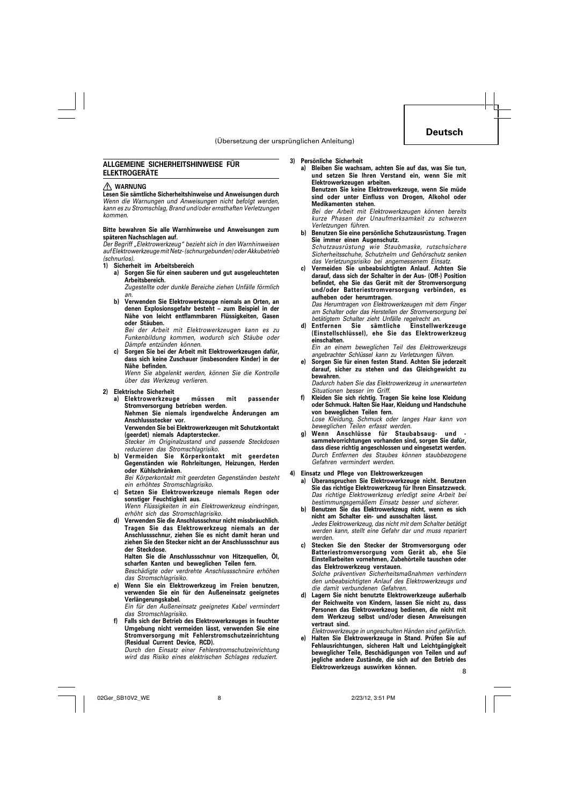#### **ALLGEMEINE SICHERHEITSHINWEISE FÜR ELEKTROGERÄTE**

#### **WARNUNG**

**Lesen Sie sämtliche Sicherheitshinweise und Anweisungen durch** Wenn die Warnungen und Anweisungen nicht befolgt werden, kann es zu Stromschlag, Brand und/oder ernsthaften Verletzungen kommen.

# **Bitte bewahren Sie alle Warnhinweise und Anweisungen zum**

**spateren Nachschlagen auf.**<br>Der Begriff "Elektrowerkzeug" bezieht sich in den Warnhinweisen auf Elektrowerkzeuge mit Netz- (schnurgebunden) oder Akkubetrieb (schnurlos).

- **1) Sicherheit im Arbeitsbereich**
	- **a) Sorgen Sie für einen sauberen und gut ausgeleuchteten Arbeitsbereich.**

Zugestellte oder dunkle Bereiche ziehen Unfälle förmlich an.

**b) Verwenden Sie Elektrowerkzeuge niemals an Orten, an denen Explosionsgefahr besteht – zum Beispiel in der Nähe von leicht entflammbaren Flüssigkeiten, Gasen oder Stäuben.**

Bei der Arbeit mit Elektrowerkzeugen kann es zu Funkenbildung kommen, wodurch sich Stäube oder Dämpfe entzünden können.

**c) Sorgen Sie bei der Arbeit mit Elektrowerkzeugen dafür, dass sich keine Zuschauer (insbesondere Kinder) in der Nähe befinden.**

Wenn Sie abgelenkt werden, können Sie die Kontrolle über das Werkzeug verlieren.

#### **2) Elektrische Sicherheit**

**a) Elektrowerkzeuge müssen mit passender Stromversorgung betrieben werden.**

**Nehmen Sie niemals irgendwelche Änderungen am Anschlussstecker vor.**

**Verwenden Sie bei Elektrowerkzeugen mit Schutzkontakt (geerdet) niemals Adapterstecker.**

Stecker im Originalzustand und passende Steckdosen reduzieren das Stromschlagrisiko.

**b) Vermeiden Sie Körperkontakt mit geerdeten Gegenständen wie Rohrleitungen, Heizungen, Herden oder Kühlschränken.**

Bei Körperkontakt mit geerdeten Gegenständen besteht ein erhöhtes Stromschlagrisiko.

- **c) Setzen Sie Elektrowerkzeuge niemals Regen oder sonstiger Feuchtigkeit aus.** Wenn Flüssigkeiten in ein Elektrowerkzeug eindringen, erhöht sich das Stromschlagrisiko.
- **d) Verwenden Sie die Anschlussschnur nicht missbräuchlich. Tragen Sie das Elektrowerkzeug niemals an der Anschlussschnur, ziehen Sie es nicht damit heran und ziehen Sie den Stecker nicht an der Anschlussschnur aus der Steckdose.**

**Halten Sie die Anschlussschnur von Hitzequellen, Öl, scharfen Kanten und beweglichen Teilen fern.**

Beschädigte oder verdrehte Anschlussschnüre erhöhen das Stromschlagrisiko.

**e) Wenn Sie ein Elektrowerkzeug im Freien benutzen, verwenden Sie ein für den Außeneinsatz geeignetes Verlängerungskabel.**

Ein für den Außeneinsatz geeignetes Kabel vermindert das Stromschlagrisiko.

**f) Falls sich der Betrieb des Elektrowerkzeuges in feuchter Umgebung nicht vermeiden lässt, verwenden Sie eine Stromversorgung mit Fehlerstromschutzeinrichtung (Residual Current Device, RCD).**

Durch den Einsatz einer Fehlerstromschutzeinrichtung wird das Risiko eines elektrischen Schlages reduziert.

- **3) Persönliche Sicherheit**
	- **a) Bleiben Sie wachsam, achten Sie auf das, was Sie tun, und setzen Sie Ihren Verstand ein, wenn Sie mit Elektrowerkzeugen arbeiten.**

**Benutzen Sie keine Elektrowerkzeuge, wenn Sie müde sind oder unter Einfluss von Drogen, Alkohol oder Medikamenten stehen.**

Bei der Arbeit mit Elektrowerkzeugen können bereits kurze Phasen der Unaufmerksamkeit zu schweren Verletzungen führen.

- **b) Benutzen Sie eine persönliche Schutzausrüstung. Tragen Sie immer einen Augenschutz.** Schutzausrüstung wie Staubmaske, rutschsichere Sicherheitsschuhe, Schutzhelm und Gehörschutz senken das Verletzungsrisiko bei angemessenem Einsatz.
- **c) Vermeiden Sie unbeabsichtigten Anlauf. Achten Sie darauf, dass sich der Schalter in der Aus- (Off-) Position befindet, ehe Sie das Gerät mit der Stromversorgung und/oder Batteriestromversorgung verbinden, es aufheben oder herumtragen.**

Das Herumtragen von Elektrowerkzeugen mit dem Finger am Schalter oder das Herstellen der Stromversorgung bei betätigtem Schalter zieht Unfälle regelrecht an.

**d) Entfernen Sie sämtliche Einstellwerkzeuge (Einstellschlüssel), ehe Sie das Elektrowerkzeug einschalten.**

Ein an einem beweglichen Teil des Elektrowerkzeugs angebrachter Schlüssel kann zu Verletzungen führen.

**e) Sorgen Sie für einen festen Stand. Achten Sie jederzeit darauf, sicher zu stehen und das Gleichgewicht zu bewahren.**

Dadurch haben Sie das Elektrowerkzeug in unerwarteten Situationen besser im Griff.

- **f) Kleiden Sie sich richtig. Tragen Sie keine lose Kleidung oder Schmuck. Halten Sie Haar, Kleidung und Handschuhe von beweglichen Teilen fern.** Lose Kleidung, Schmuck oder langes Haar kann von beweglichen Teilen erfasst werden.
- **g) Wenn Anschlüsse für Staubabsaug- und sammelvorrichtungen vorhanden sind, sorgen Sie dafür, dass diese richtig angeschlossen und eingesetzt werden.** Durch Entfernen des Staubes können staubbezogene Gefahren vermindert werden.

# **4) Einsatz und Pflege von Elektrowerkzeugen**

**a) Überanspruchen Sie Elektrowerkzeuge nicht. Benutzen Sie das richtige Elektrowerkzeug für Ihren Einsatzzweck.** Das richtige Elektrowerkzeug erledigt seine Arbeit bei bestimmungsgemäßem Einsatz besser und sicherer.

- **b) Benutzen Sie das Elektrowerkzeug nicht, wenn es sich nicht am Schalter ein- und ausschalten lässt.** Jedes Elektrowerkzeug, das nicht mit dem Schalter betätigt werden kann, stellt eine Gefahr dar und muss repariert werden.
- **c) Stecken Sie den Stecker der Stromversorgung oder Batteriestromversorgung vom Gerät ab, ehe Sie Einstellarbeiten vornehmen, Zubehörteile tauschen oder das Elektrowerkzeug verstauen.**

Solche präventiven Sicherheitsmaßnahmen verhindern den unbeabsichtigten Anlauf des Elektrowerkzeugs und die damit verbundenen Gefahren.

**d) Lagern Sie nicht benutzte Elektrowerkzeuge außerhalb der Reichweite von Kindern, lassen Sie nicht zu, dass Personen das Elektrowerkzeug bedienen, die nicht mit dem Werkzeug selbst und/oder diesen Anweisungen vertraut sind.**

Elektrowerkzeuge in ungeschulten Händen sind gefährlich.

**e) Halten Sie Elektrowerkzeuge in Stand. Prüfen Sie auf Fehlausrichtungen, sicheren Halt und Leichtgängigkeit beweglicher Teile, Beschädigungen von Teilen und auf jegliche andere Zustände, die sich auf den Betrieb des Elektrowerkzeugs auswirken können.**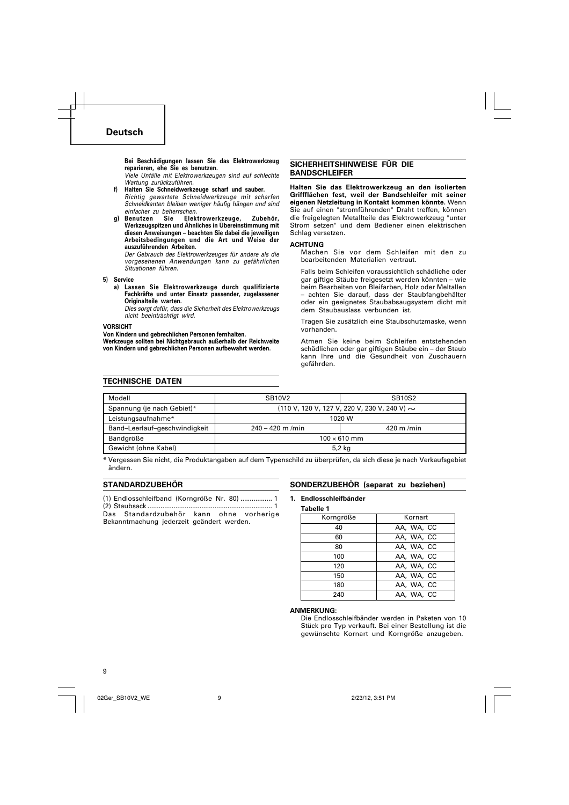**Bei Beschädigungen lassen Sie das Elektrowerkzeug reparieren, ehe Sie es benutzen.**

Viele Unfälle mit Elektrowerkzeugen sind auf schlechte Wartung zurückzuführen.

- **f) Halten Sie Schneidwerkzeuge scharf und sauber.** Richtig gewartete Schneidwerkzeuge mit scharfen Schneidkanten bleiben weniger häufig hängen und sind einfacher zu beherrschen.
- **g) Benutzen Sie Elektrowerkzeuge, Zubehör, Werkzeugspitzen und Ähnliches in Übereinstimmung mit diesen Anweisungen – beachten Sie dabei die jeweiligen Arbeitsbedingungen und die Art und Weise der auszuführenden Arbeiten.**

Der Gebrauch des Elektrowerkzeuges für andere als die vorgesehenen Anwendungen kann zu gefährlichen Situationen führen.

- **5) Service**
	- **a) Lassen Sie Elektrowerkzeuge durch qualifizierte Fachkräfte und unter Einsatz passender, zugelassener Originalteile warten.**

Dies sorgt dafür, dass die Sicherheit des Elektrowerkzeugs nicht beeinträchtigt wird.

#### **VORSICHT**

**Von Kindern und gebrechlichen Personen fernhalten.**

**Werkzeuge sollten bei Nichtgebrauch außerhalb der Reichweite von Kindern und gebrechlichen Personen aufbewahrt werden.**

#### **SICHERHEITSHINWEISE FÜR DIE BANDSCHLEIFER**

**Halten Sie das Elektrowerkzeug an den isolierten Griffflächen fest, weil der Bandschleifer mit seiner eigenen Netzleitung in Kontakt kommen könnte.** Wenn Sie auf einen "stromführenden" Draht treffen, können die freigelegten Metallteile das Elektrowerkzeug "unter Strom setzen" und dem Bediener einen elektrischen Schlag versetzen.

#### **ACHTUNG**

Machen Sie vor dem Schleifen mit den zu bearbeitenden Materialien vertraut.

Falls beim Schleifen voraussichtlich schädliche oder gar giftige Stäube freigesetzt werden könnten – wie beim Bearbeiten von Bleifarben, Holz oder Meltallen – achten Sie darauf, dass der Staubfangbehälter oder ein geeignetes Staubabsaugsystem dicht mit dem Staubauslass verbunden ist.

Tragen Sie zusätzlich eine Staubschutzmaske, wenn vorhanden.

Atmen Sie keine beim Schleifen entstehenden schädlichen oder gar giftigen Stäube ein – der Staub kann lhre und die Gesundheit von Zuschauern gefährden.

# **TECHNISCHE DATEN**

| Modell                        | <b>SB10V2</b>                                     | <b>SB10S2</b>       |
|-------------------------------|---------------------------------------------------|---------------------|
| Spannung (je nach Gebiet)*    | (110 V, 120 V, 127 V, 220 V, 230 V, 240 V) $\sim$ |                     |
| Leistungsaufnahme*            | 1020 W                                            |                     |
| Band-Leerlauf-geschwindigkeit | $240 - 420$ m /min                                | $420 \text{ m/min}$ |
| Bandgröße                     | $100 \times 610$ mm                               |                     |
| Gewicht (ohne Kabel)          | 5,2 kg                                            |                     |

\* Vergessen Sie nicht, die Produktangaben auf dem Typenschild zu überprüfen, da sich diese je nach Verkaufsgebiet ändern.

# **STANDARDZUBEHÖR**

(1) Endlosschleifband (Korngröße Nr. 80) ................. 1

(2) Staubsack ................................................................... 1 Das Standardzubehör kann ohne vorherige

Bekanntmachung jederzeit geändert werden.

#### **SONDERZUBEHÖR (separat zu beziehen)**

#### **1. Endlosschleifbänder**

#### **Tabelle 1**

| Kornart    |
|------------|
| AA, WA, CC |
| AA, WA, CC |
| AA. WA. CC |
| AA, WA, CC |
| AA, WA, CC |
| AA, WA, CC |
| AA, WA, CC |
| AA, WA, CC |
|            |

#### **ANMERKUNG:**

Die Endlosschleifbänder werden in Paketen von 10 Stück pro Typ verkauft. Bei einer Bestellung ist die gewünschte Kornart und Korngröße anzugeben.

9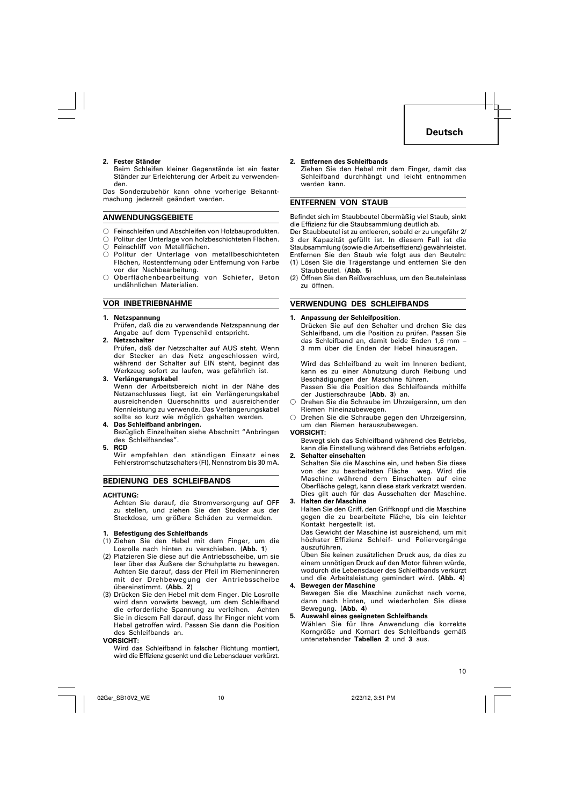#### **2. Fester Ständer**

Beim Schleifen kleiner Gegenstände ist ein fester Ständer zur Erleichterung der Arbeit zu verwendenden.

Das Sonderzubehör kann ohne vorherige Bekanntmachung jederzeit geändert werden.

#### **ANWENDUNGSGEBIETE**

- Feinschleifen und Abschleifen von Holzbauprodukten.
- O Politur der Unterlage von holzbeschichteten Flächen.
- Feinschliff von Metallflächen.
- Politur der Unterlage von metallbeschichteten Flächen, Rostentfernung oder Entfernung von Farbe vor der Nachbearbeitung.
- Oberflächenbearbeitung von Schiefer, Beton undähnlichen Materialien.

# **VOR INBETRIEBNAHME**

# **1. Netzspannung**

Prüfen, daß die zu verwendende Netzspannung der Angabe auf dem Typenschild entspricht.

# **2. Netzschalter**

Prüfen, daß der Netzschalter auf AUS steht. Wenn der Stecker an das Netz angeschlossen wird, während der Schalter auf EIN steht, beginnt das Werkzeug sofort zu laufen, was gefährlich ist.

# **3. Verlängerungskabel**

Wenn der Arbeitsbereich nicht in der Nähe des Netzanschlusses liegt, ist ein Verlängerungskabel ausreichenden Querschnitts und ausreichender Nennleistung zu verwende. Das Verlängerungskabel sollte so kurz wie möglich gehalten werden.

# **4. Das Schleifband anbringen.**

Bezüglich Einzelheiten siehe Abschnitt "Anbringen des Schleifbandes".

**5. RCD**

Wir empfehlen den ständigen Einsatz eines Fehlerstromschutzschalters (FI), Nennstrom bis 30 mA.

# **BEDIENUNG DES SCHLEIFBANDS**

# **ACHTUNG:**

Achten Sie darauf, die Stromversorgung auf OFF zu stellen, und ziehen Sie den Stecker aus der Steckdose, um größere Schäden zu vermeiden.

# **1. Befestigung des Schleifbands**

- (1) Ziehen Sie den Hebel mit dem Finger, um die Losrolle nach hinten zu verschieben. (**Abb. 1**)
- (2) Platzieren Sie diese auf die Antriebsscheibe, um sie leer über das Äußere der Schuhplatte zu bewegen. Achten Sie darauf, dass der Pfeil im Riemeninneren mit der Drehbewegung der Antriebsscheibe übereinstimmt. (**Abb. 2**)
- (3) Drücken Sie den Hebel mit dem Finger. Die Losrolle wird dann vorwärts bewegt, um dem Schleifband die erforderliche Spannung zu verleihen. Achten Sie in diesem Fall darauf, dass Ihr Finger nicht vom Hebel getroffen wird. Passen Sie dann die Position des Schleifbands an.

# **VORSICHT:**

Wird das Schleifband in falscher Richtung montiert, wird die Effizienz gesenkt und die Lebensdauer verkürzt.

# **2. Entfernen des Schleifbands**

Ziehen Sie den Hebel mit dem Finger, damit das Schleifband durchhängt und leicht entnommen werden kann.

# **ENTFERNEN VON STAUB**

Befindet sich im Staubbeutel übermäßig viel Staub, sinkt die Effizienz für die Staubsammlung deutlich ab.

Der Staubbeutel ist zu entleeren, sobald er zu ungefähr 2/ 3 der Kapazität gefüllt ist. In diesem Fall ist die Staubsammlung (sowie die Arbeitseffizienz) gewährleistet. Entfernen Sie den Staub wie folgt aus den Beuteln:

- (1) Lösen Sie die Trägerstange und entfernen Sie den Staubbeutel. (**Abb. 5**)
- (2) Öffnen Sie den Reißverschluss, um den Beuteleinlass zu öffnen.

# **VERWENDUNG DES SCHLEIFBANDS**

# **1. Anpassung der Schleifposition.**

Drücken Sie auf den Schalter und drehen Sie das Schleifband, um die Position zu prüfen. Passen Sie das Schleifband an, damit beide Enden 1,6 mm – 3 mm über die Enden der Hebel hinausragen.

Wird das Schleifband zu weit im Inneren bedient, kann es zu einer Abnutzung durch Reibung und Beschädigungen der Maschine führen.

Passen Sie die Position des Schleifbands mithilfe der Justierschraube (**Abb. 3**) an.

- $\bigcirc$  Drehen Sie die Schraube im Uhrzeigersinn, um den Riemen hineinzubewegen.
- O Drehen Sie die Schraube gegen den Uhrzeigersinn, um den Riemen herauszubewegen.

# **VORSICHT:**

Bewegt sich das Schleifband während des Betriebs, kann die Einstellung während des Betriebs erfolgen.

# **2. Schalter einschalten**

Schalten Sie die Maschine ein, und heben Sie diese von der zu bearbeiteten Fläche weg. Wird die Maschine während dem Einschalten auf eine Oberfläche gelegt, kann diese stark verkratzt werden. Dies gilt auch für das Ausschalten der Maschine.

## **3. Halten der Maschine**

Halten Sie den Griff, den Griffknopf und die Maschine gegen die zu bearbeitete Fläche, bis ein leichter Kontakt hergestellt ist.

Das Gewicht der Maschine ist ausreichend, um mit höchster Effizienz Schleif- und Poliervorgänge auszuführen.

Üben Sie keinen zusätzlichen Druck aus, da dies zu einem unnötigen Druck auf den Motor führen würde, wodurch die Lebensdauer des Schleifbands verkürzt und die Arbeitsleistung gemindert wird. (**Abb. 4**)

# **4. Bewegen der Maschine**

Bewegen Sie die Maschine zunächst nach vorne, dann nach hinten, und wiederholen Sie diese Bewegung. (**Abb. 4**)

# **5. Auswahl eines geeigneten Schleifbands**

Wählen Sie für Ihre Anwendung die korrekte Korngröße und Kornart des Schleifbands gemäß untenstehender **Tabellen 2** und **3** aus.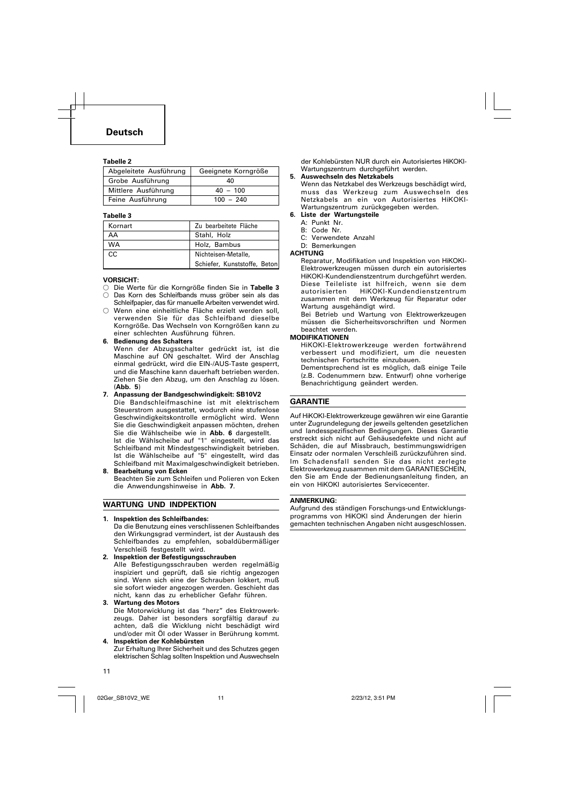# **Deutsch**

#### **Tabelle 2**

| Abgeleitete Ausführung | Geeignete Korngröße |
|------------------------|---------------------|
| Grobe Ausführung       | 40                  |
| Mittlere Ausführung    | $40 - 100$          |
| Feine Ausführung       | $100 - 240$         |

# **Tabelle 3**

| Zu bearbeitete Fläche<br>Kornart |                              |  |
|----------------------------------|------------------------------|--|
| AА<br>Stahl, Holz                |                              |  |
| <b>WA</b>                        | Holz, Bambus                 |  |
| CC.                              | Nichteisen-Metalle,          |  |
|                                  | Schiefer, Kunststoffe, Beton |  |

#### **VORSICHT:**

- Die Werte für die Korngröße finden Sie in **Tabelle 3** Das Korn des Schleifbands muss gröber sein als das
- Schleifpapier, das für manuelle Arbeiten verwendet wird.
- Wenn eine einheitliche Fläche erzielt werden soll, verwenden Sie für das Schleifband dieselbe Korngröße. Das Wechseln von Korngrößen kann zu einer schlechten Ausführung führen.

#### **6. Bedienung des Schalters**

Wenn der Abzugsschalter gedrückt ist, ist die Maschine auf ON geschaltet. Wird der Anschlag einmal gedrückt, wird die EIN-/AUS-Taste gesperrt, und die Maschine kann dauerhaft betrieben werden. Ziehen Sie den Abzug, um den Anschlag zu lösen. (**Abb. 5**)

#### **7. Anpassung der Bandgeschwindigkeit: SB10V2**

Die Bandschleifmaschine ist mit elektrischem Steuerstrom ausgestattet, wodurch eine stufenlose Geschwindigkeitskontrolle ermöglicht wird. Wenn Sie die Geschwindigkeit anpassen möchten, drehen Sie die Wählscheibe wie in **Abb. 6** dargestellt. Ist die Wählscheibe auf "1" eingestellt, wird das Schleifband mit Mindestgeschwindigkeit betrieben. Ist die Wählscheibe auf "5" eingestellt, wird das Schleifband mit Maximalgeschwindigkeit betrieben.

# **8. Bearbeitung von Ecken**

Beachten Sie zum Schleifen und Polieren von Ecken die Anwendungshinweise in **Abb. 7**.

#### **WARTUNG UND INDPEKTION**

## **1. Inspektion des Schleifbandes:**

Da die Benutzung eines verschlissenen Schleifbandes den Wirkungsgrad vermindert, ist der Austaush des Schleifbandes zu empfehlen, sobaldübermäßiger Verschleiß festgestellt wird.

- **2. Inspektion der Befestigungsschrauben** Alle Befestigungsschrauben werden regelmäßig inspiziert und geprüft, daß sie richtig angezogen sind. Wenn sich eine der Schrauben lokkert, muß sie sofort wieder angezogen werden. Geschieht das nicht, kann das zu erheblicher Gefahr führen.
- **3. Wartung des Motors**

Die Motorwicklung ist das "herz" des Elektrowerkzeugs. Daher ist besonders sorgfältig darauf zu achten, daß die Wicklung nicht beschädigt wird und/oder mit Öl oder Wasser in Berührung kommt.

# **4. Inspektion der Kohlebürsten**

Zur Erhaltung Ihrer Sicherheit und des Schutzes gegen elektrischen Schlag sollten Inspektion und Auswechseln

der Kohlebürsten NUR durch ein Autorisiertes HiKOKI-Wartungszentrum durchgeführt werden.

# **5. Auswechseln des Netzkabels**

Wenn das Netzkabel des Werkzeugs beschädigt wird, muss das Werkzeug zum Auswechseln des Netzkabels an ein von Autorisiertes HiKOKI-Wartungszentrum zurückgegeben werden.

# **6. Liste der Wartungsteile**

- A: Punkt Nr.
- B: Code Nr.
- C: Verwendete Anzahl
- D: Bemerkungen

# **ACHTUNG**

Reparatur, Modifikation und Inspektion von HiKOKI-Elektrowerkzeugen müssen durch ein autorisiertes HiKOKI-Kundendienstzentrum durchgeführt werden. Diese Teileliste ist hilfreich, wenn sie dem HiKOKI-Kundendienstzentrum zusammen mit dem Werkzeug für Reparatur oder Wartung ausgehändigt wird.

Bei Betrieb und Wartung von Elektrowerkzeugen müssen die Sicherheitsvorschriften und Normen beachtet werden.

#### **MODIFIKATIONEN**

HiKOKI-Elektrowerkzeuge werden fortwährend verbessert und modifiziert, um die neuesten technischen Fortschritte einzubauen.

Dementsprechend ist es möglich, daß einige Teile (z.B. Codenummern bzw. Entwurf) ohne vorherige Benachrichtigung geändert werden.

## **GARANTIE**

Auf HiKOKI-Elektrowerkzeuge gewähren wir eine Garantie unter Zugrundelegung der jeweils geltenden gesetzlichen und landesspezifischen Bedingungen. Dieses Garantie erstreckt sich nicht auf Gehäusedefekte und nicht auf Schäden, die auf Missbrauch, bestimmungswidrigen Einsatz oder normalen Verschleiß zurückzuführen sind. Im Schadensfall senden Sie das nicht zerlegte Elektrowerkzeug zusammen mit dem GARANTIESCHEIN, den Sie am Ende der Bedienungsanleitung finden, an ein von HiKOKI autorisiertes Servicecenter.

#### **ANMERKUNG:**

Aufgrund des ständigen Forschungs-und Entwicklungsprogramms von HiKOKI sind Änderungen der hierin gemachten technischen Angaben nicht ausgeschlossen.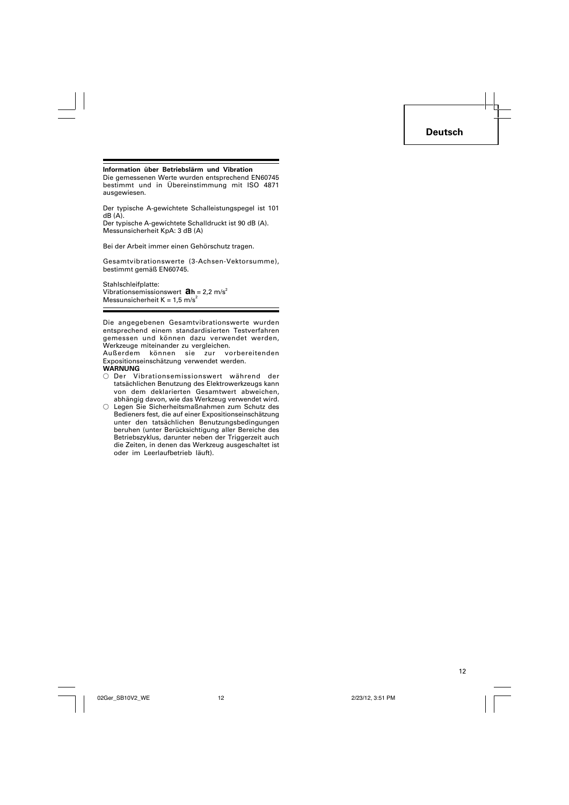**Information über Betriebslärm und Vibration** Die gemessenen Werte wurden entsprechend EN60745 bestimmt und in Übereinstimmung mit ISO 4871 ausgewiesen.

Der typische A-gewichtete Schalleistungspegel ist 101 dB (A). Der typische A-gewichtete Schalldruckt ist 90 dB (A). Messunsicherheit KpA: 3 dB (A)

Bei der Arbeit immer einen Gehörschutz tragen.

Gesamtvibrationswerte (3-Achsen-Vektorsumme), bestimmt gemäß EN60745.

Stahlschleifplatte: Vibrationsemissionswert  $\mathbf{a} \mathbf{h} = 2.2 \text{ m/s}^2$ Messunsicherheit K =  $1.5 \text{ m/s}^2$ 

Die angegebenen Gesamtvibrationswerte wurden entsprechend einem standardisierten Testverfahren gemessen und können dazu verwendet werden, Werkzeuge miteinander zu vergleichen.

Außerdem können sie zur vorbereitenden Expositionseinschätzung verwendet werden.

# **WARNUNG**

- Der Vibrationsemissionswert während der tatsächlichen Benutzung des Elektrowerkzeugs kann von dem deklarierten Gesamtwert abweichen, abhängig davon, wie das Werkzeug verwendet wird.
- Legen Sie Sicherheitsmaßnahmen zum Schutz des Bedieners fest, die auf einer Expositionseinschätzung unter den tatsächlichen Benutzungsbedingungen beruhen (unter Berücksichtigung aller Bereiche des Betriebszyklus, darunter neben der Triggerzeit auch die Zeiten, in denen das Werkzeug ausgeschaltet ist oder im Leerlaufbetrieb läuft).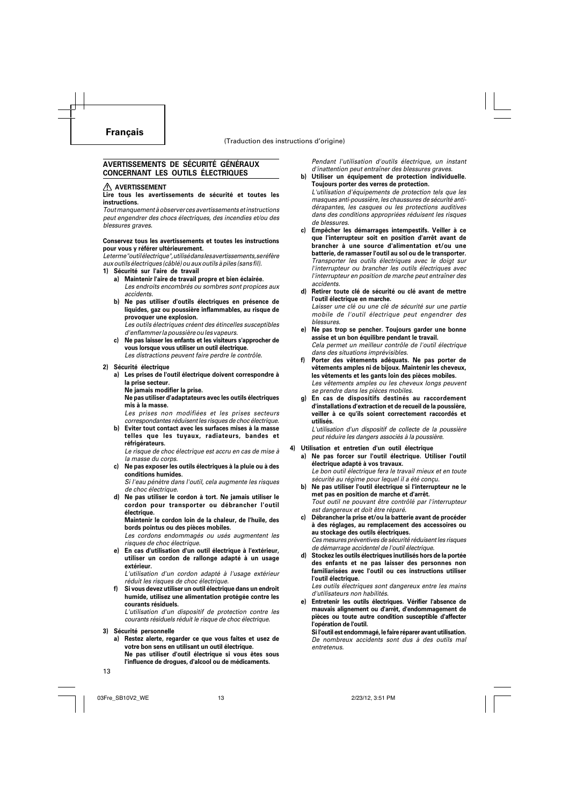#### **AVERTISSEMENTS DE SÉCURITÉ GÉNÉRAUX CONCERNANT LES OUTILS ÉLECTRIQUES**

#### **AVERTISSEMENT**

#### **Lire tous les avertissements de sécurité et toutes les instructions.**

Tout manquement à observer ces avertissements et instructions peut engendrer des chocs électriques, des incendies et/ou des blessures graves.

#### **Conservez tous les avertissements et toutes les instructions pour vous y référer ultérieurement.**

Le terme "outil électrique", utilisé dans les avertissements, se réfère aux outils électriques (câblé) ou aux outils à piles (sans fil).

- **1) Sécurité sur l'aire de travail**
	- **a) Maintenir l'aire de travail propre et bien éclairée.** Les endroits encombrés ou sombres sont propices aux accidents.
	- **b) Ne pas utiliser d'outils électriques en présence de liquides, gaz ou poussière inflammables, au risque de provoquer une explosion.**

Les outils électriques créent des étincelles susceptibles d'enflammer la poussière ou les vapeurs.

**c) Ne pas laisser les enfants et les visiteurs s'approcher de vous lorsque vous utiliser un outil électrique.** Les distractions peuvent faire perdre le contrôle.

#### **2) Sécurité électrique**

**a) Les prises de l'outil électrique doivent correspondre à la prise secteur.**

**Ne jamais modifier la prise.**

**Ne pas utiliser d'adaptateurs avec les outils électriques mis à la masse.**

Les prises non modifiées et les prises secteurs correspondantes réduisent les risques de choc électrique.

**b) Eviter tout contact avec les surfaces mises à la masse telles que les tuyaux, radiateurs, bandes et réfrigérateurs.**

Le risque de choc électrique est accru en cas de mise à la masse du corps.

**c) Ne pas exposer les outils électriques à la pluie ou à des conditions humides.**

Si l'eau pénètre dans l'outil, cela augmente les risques de choc électrique.

**d) Ne pas utiliser le cordon à tort. Ne jamais utiliser le cordon pour transporter ou débrancher l'outil électrique.**

**Maintenir le cordon loin de la chaleur, de l'huile, des bords pointus ou des pièces mobiles.**

Les cordons endommagés ou usés augmentent les risques de choc électrique.

**e) En cas d'utilisation d'un outil électrique à l'extérieur, utiliser un cordon de rallonge adapté à un usage extérieur.**

L'utilisation d'un cordon adapté à l'usage extérieur réduit les risques de choc électrique.

**f) Si vous devez utiliser un outil électrique dans un endroit humide, utilisez une alimentation protégée contre les courants résiduels.**

L'utilisation d'un dispositif de protection contre les courants résiduels réduit le risque de choc électrique.

#### **3) Sécurité personnelle**

**a) Restez alerte, regarder ce que vous faites et usez de votre bon sens en utilisant un outil électrique. Ne pas utiliser d'outil électrique si vous êtes sous l'influence de drogues, d'alcool ou de médicaments.**

Pendant l'utilisation d'outils électrique, un instant d'inattention peut entraîner des blessures graves.

- **b) Utiliser un équipement de protection individuelle. Toujours porter des verres de protection.** L'utilisation d'équipements de protection tels que les masques anti-poussière, les chaussures de sécurité antidérapantes, les casques ou les protections auditives dans des conditions appropriées réduisent les risques de blessures.
- **c) Empêcher les démarrages intempestifs. Veiller à ce que l'interrupteur soit en position d'arrêt avant de brancher à une source d'alimentation et/ou une batterie, de ramasser l'outil au sol ou de le transporter.** Transporter les outils électriques avec le doigt sur l'interrupteur ou brancher les outils électriques avec l'interrupteur en position de marche peut entraîner des accidents.
- **d) Retirer toute clé de sécurité ou clé avant de mettre l'outil électrique en marche.**

Laisser une clé ou une clé de sécurité sur une partie mobile de l'outil électrique peut engendrer des blessures.

- **e) Ne pas trop se pencher. Toujours garder une bonne assise et un bon équilibre pendant le travail.** Cela permet un meilleur contrôle de l'outil électrique dans des situations imprévisibles.
- **f) Porter des vêtements adéquats. Ne pas porter de vêtements amples ni de bijoux. Maintenir les cheveux, les vêtements et les gants loin des pièces mobiles.** Les vêtements amples ou les cheveux longs peuvent se prendre dans les pièces mobiles.
- **g) En cas de dispositifs destinés au raccordement d'installations d'extraction et de recueil de la poussière, veiller à ce qu'ils soient correctement raccordés et utilisés.**

L'utilisation d'un dispositif de collecte de la poussière peut réduire les dangers associés à la poussière.

- **4) Utilisation et entretien d'un outil électrique**
	- **a) Ne pas forcer sur l'outil électrique. Utiliser l'outil électrique adapté à vos travaux.** Le bon outil électrique fera le travail mieux et en toute sécurité au régime pour lequel il a été conçu.
		- **b) Ne pas utiliser l'outil électrique si l'interrupteur ne le met pas en position de marche et d'arrêt.** Tout outil ne pouvant être contrôlé par l'interrupteur est dangereux et doit être réparé.
		- **c) Débrancher la prise et/ou la batterie avant de procéder à des réglages, au remplacement des accessoires ou au stockage des outils électriques.** Ces mesures préventives de sécurité réduisent les risques de démarrage accidentel de l'outil électrique.
		- **d) Stockez les outils électriques inutilisés hors de la portée des enfants et ne pas laisser des personnes non familiarisées avec l'outil ou ces instructions utiliser l'outil électrique.**

Les outils électriques sont dangereux entre les mains d'utilisateurs non habilités.

**e) Entretenir les outils électriques. Vérifier l'absence de mauvais alignement ou d'arrêt, d'endommagement de pièces ou toute autre condition susceptible d'affecter l'opération de l'outil.**

**Si l'outil est endommagé, le faire réparer avant utilisation.** De nombreux accidents sont dus à des outils mal entretenus.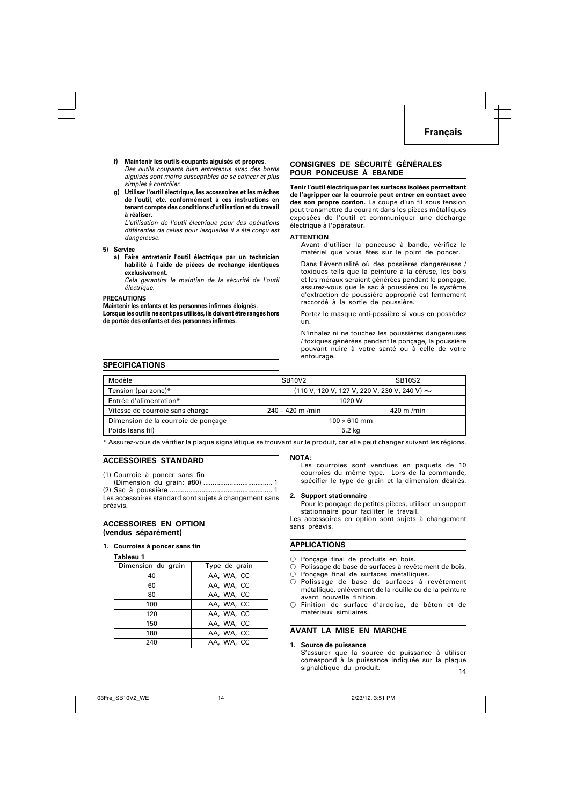**f) Maintenir les outils coupants aiguisés et propres.**

Des outils coupants bien entretenus avec des bords aiguisés sont moins susceptibles de se coincer et plus simples à contrôler.

**g) Utiliser l'outil électrique, les accessoires et les mèches de l'outil, etc. conformément à ces instructions en tenant compte des conditions d'utilisation et du travail à réaliser.**

L'utilisation de l'outil électrique pour des opérations différentes de celles pour lesquelles il a été concu est dangereuse.

#### **5) Service**

**a) Faire entretenir l'outil électrique par un technicien habilité à l'aide de pièces de rechange identiques exclusivement.**

Cela garantira le maintien de la sécurité de l'outil électrique.

#### **PRECAUTIONS**

**Maintenir les enfants et les personnes infirmes éloignés. Lorsque les outils ne sont pas utilisés, ils doivent être rangés hors de portée des enfants et des personnes infirmes.**

#### **CONSIGNES DE SÉCURITÉ GÉNÉRALES POUR PONCEUSE À EBANDE**

**Tenir l'outil électrique par les surfaces isolées permettant de l'agripper car la courroie peut entrer en contact avec des son propre cordon.** La coupe d'un fil sous tension peut transmettre du courant dans les pièces métalliques exposées de l'outil et communiquer une décharge électrique à l'opérateur.

#### **ATTENTION**

Avant d'utiliser la ponceuse à bande, vérifiez le matériel que vous êtes sur le point de poncer.

Dans l'éventualité où des possières dangereuses / toxiques tells que la peinture à la céruse, les bois et les méraux seraient générées pendant le ponçage, assurez-vous que le sac à poussière ou le système d'extraction de poussière approprié est fermement raccordé à la sortie de poussière.

Portez le masque anti-possíère si vous en possédez un.

N'inhalez ni ne touchez les poussières dangereuses / toxiques générées pendant le ponçage, la poussière pouvant nuire à votre santé ou à celle de votre entourage.

# **SPECIFICATIONS**

| Modèle                              | SB10V2                                            | SB10S2              |  |
|-------------------------------------|---------------------------------------------------|---------------------|--|
| Tension (par zone)*                 | (110 V, 120 V, 127 V, 220 V, 230 V, 240 V) $\sim$ |                     |  |
| Entrée d'alimentation*              | 1020 W                                            |                     |  |
| Vitesse de courroie sans charge     | $240 - 420$ m /min                                | $420 \text{ m/min}$ |  |
| Dimension de la courroie de poncage | $100 \times 610$ mm                               |                     |  |
| Poids (sans fil)                    | 5,2 kg                                            |                     |  |

\* Assurez-vous de vérifier la plaque signalétique se trouvant sur le produit, car elle peut changer suivant les régions.

## **ACCESSOIRES STANDARD**

(1) Courroie à poncer sans fin

(Dimension du grain: #80) ..................................... 1 (2) Sac à poussière ....................................................... 1 Les accessoires standard sont sujets à changement sans préavis.

#### **ACCESSOIRES EN OPTION (vendus séparément)**

#### **1. Courroies à poncer sans fin**

#### **Tableau 1**

| Dimension du grain | Type de grain |
|--------------------|---------------|
| 40                 | AA, WA, CC    |
| 60                 | AA, WA, CC    |
| 80                 | AA, WA, CC    |
| 100                | AA. WA. CC    |
| 120                | AA. WA. CC    |
| 150                | AA, WA, CC    |
| 180                | AA, WA, CC    |
| 240                | AA, WA, CC    |

#### **NOTA:**

Les courroies sont vendues en paquets de 10 courroies du même type. Lors de la commande, spécifier le type de grain et la dimension désirés.

#### **2. Support stationnaire**

Pour le ponçage de petites pièces, utiliser un support stationnaire pour faciliter le travail.

Les accessoires en option sont sujets à changement sans préavis.

#### **APPLICATIONS**

- $\circ$  Ponçage final de produits en bois.
- Polissage de base de surfaces à revêtement de bois.
- Ponçage final de surfaces métalliques.
- O Polissage de base de surfaces à revêtement métallique, enlévement de la rouille ou de la peinture avant nouvelle finition.
- Finition de surface d'ardoise, de béton et de matériaux similaires.

# **AVANT LA MISE EN MARCHE**

#### **1. Source de puissance**

14 S'assurer que la source de puissance à utiliser correspond à la puissance indiquée sur la plaque signalétique du produit.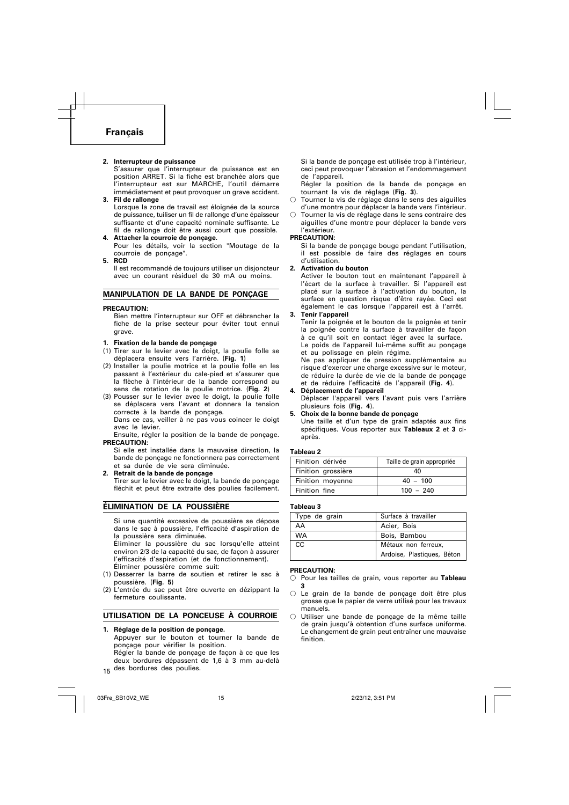# **Français**

#### **2. Interrupteur de puissance**

S'assurer que l'interrupteur de puissance est en position ARRET. Si la fiche est branchée alors que l'interrupteur est sur MARCHE, l'outil démarre immédiatement et peut provoquer un grave accident.

#### **3. Fil de rallonge**

Lorsque la zone de travail est éloignée de la source de puissance, tuiliser un fil de rallonge d'une épaisseur suffisante et d'une capacité nominale suffisante. Le fil de rallonge doit être aussi court que possible.

#### **4. Attacher la courroie de ponçage.** Pour les détails, voir la section "Moutage de la courroie de ponçage".

**5. RCD**

Il est recommandé de toujours utiliser un disjoncteur avec un courant résiduel de 30 mA ou moins.

# **MANIPULATION DE LA BANDE DE PONÇAGE**

#### **PRECAUTION:**

Bien mettre l'interrupteur sur OFF et débrancher la fiche de la prise secteur pour éviter tout ennui grave.

#### **1. Fixation de la bande de ponçage**

- (1) Tirer sur le levier avec le doigt, la poulie folle se déplacera ensuite vers l'arrière. (**Fig. 1**)
- (2) Installer la poulie motrice et la poulie folle en les passant à l'extérieur du cale-pied et s'assurer que la flèche à l'intérieur de la bande correspond au sens de rotation de la poulie motrice. (**Fig. 2**)
- (3) Pousser sur le levier avec le doigt, la poulie folle se déplacera vers l'avant et donnera la tension correcte à la bande de ponçage.

Dans ce cas, veiller à ne pas vous coincer le doigt avec le levier.

Ensuite, régler la position de la bande de ponçage. **PRECAUTION:**

Si elle est installée dans la mauvaise direction, la bande de ponçage ne fonctionnera pas correctement et sa durée de vie sera diminuée.

#### **2. Retrait de la bande de ponçage**

Tirer sur le levier avec le doigt, la bande de ponçage fléchit et peut être extraite des poulies facilement.

# **ÉLIMINATION DE LA POUSSIÈRE**

Si une quantité excessive de poussière se dépose dans le sac à poussière, l'efficacité d'aspiration de la poussière sera diminuée.

Éliminer la poussière du sac lorsqu'elle atteint environ 2/3 de la capacité du sac, de façon à assurer l'efficacité d'aspiration (et de fonctionnement). Éliminer poussière comme suit:

- (1) Desserrer la barre de soutien et retirer le sac à poussière. (**Fig. 5**)
- (2) L'entrée du sac peut être ouverte en dézippant la fermeture coulissante.

# **UTILISATION DE LA PONCEUSE À COURROIE**

# **1. Réglage de la position de ponçage.**

Appuyer sur le bouton et tourner la bande de ponçage pour vérifier la position.

15 des bordures des poulies. Régler la bande de ponçage de façon à ce que les deux bordures dépassent de 1,6 à 3 mm au-delà

Si la bande de ponçage est utilisée trop à l'intérieur, ceci peut provoquer l'abrasion et l'endommagement de l'appareil.

Régler la position de la bande de ponçage en tournant la vis de réglage (**Fig. 3**).

- Tourner la vis de réglage dans le sens des aiguilles d'une montre pour déplacer la bande vers l'intérieur.
- Tourner la vis de réglage dans le sens contraire des aiguilles d'une montre pour déplacer la bande vers l'extérieur.

## **PRECAUTION:**

Si la bande de ponçage bouge pendant l'utilisation, il est possible de faire des réglages en cours d'utilisation.

## **2. Activation du bouton**

Activer le bouton tout en maintenant l'appareil à l'écart de la surface à travailler. Si l'appareil est placé sur la surface à l'activation du bouton, la surface en question risque d'être rayée. Ceci est également le cas lorsque l'appareil est à l'arrêt.

#### **3. Tenir l'appareil**

Tenir la poignée et le bouton de la poignée et tenir la poignée contre la surface à travailler de façon à ce qu'il soit en contact léger avec la surface. Le poids de l'appareil lui-même suffit au ponçage et au polissage en plein régime.

Ne pas appliquer de pression supplémentaire au risque d'exercer une charge excessive sur le moteur, de réduire la durée de vie de la bande de ponçage et de réduire l'efficacité de l'appareil (**Fig. 4**).

#### **4. Déplacement de l'appareil**

Déplacer l'appareil vers l'avant puis vers l'arrière plusieurs fois (**Fig. 4**).

#### **5. Choix de la bonne bande de ponçage**

Une taille et d'un type de grain adaptés aux fins spécifiques. Vous reporter aux **Tableaux 2** et **3** ciaprès.

#### **Tableau 2**

| Finition dérivée   | Taille de grain appropriée |
|--------------------|----------------------------|
| Finition grossière | 40                         |
| Finition moyenne   | $40 - 100$                 |
| Finition fine      | $100 - 240$                |

#### **Tableau 3**

| Type de grain | Surface à travailler       |  |
|---------------|----------------------------|--|
| AА            | Acier, Bois                |  |
| <b>WA</b>     | Bois, Bambou               |  |
| CC.           | Métaux non ferreux,        |  |
|               | Ardoise, Plastiques, Béton |  |

#### **PRECAUTION:**

- Pour les tailles de grain, vous reporter au **Tableau 3**
- $\circ$  Le grain de la bande de ponçage doit être plus grosse que le papier de verre utilisé pour les travaux manuels.
- Utiliser une bande de ponçage de la même taille de grain jusqu'à obtention d'une surface uniforme. Le changement de grain peut entraîner une mauvaise finition.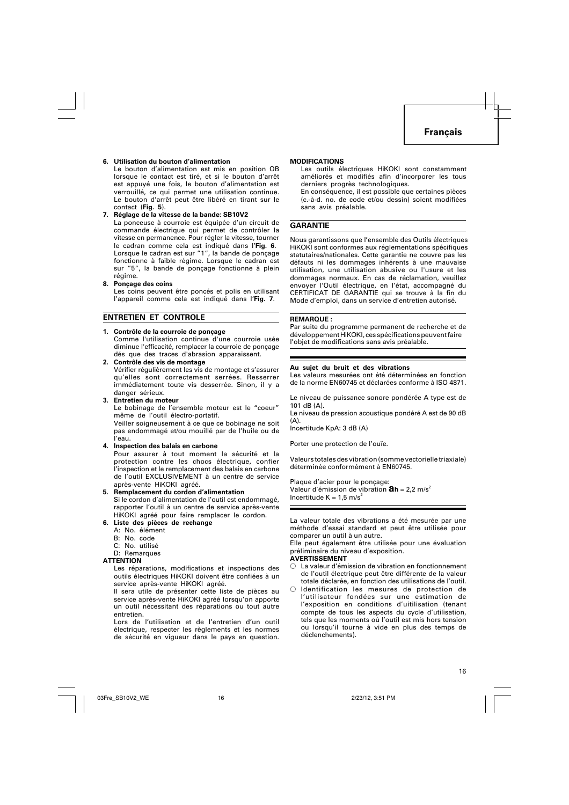#### **6. Utilisation du bouton d'alimentation**

Le bouton d'alimentation est mis en position OB lorsque le contact est tiré, et si le bouton d'arrêt est appuyé une fois, le bouton d'alimentation est verrouillé, ce qui permet une utilisation continue. Le bouton d'arrêt peut être libéré en tirant sur le contact (**Fig. 5**).

#### **7. Réglage de la vitesse de la bande: SB10V2**

La ponceuse à courroie est équipée d'un circuit de commande électrique qui permet de contrôler la vitesse en permanence. Pour régler la vitesse, tourner le cadran comme cela est indiqué dans l'**Fig. 6**. Lorsque le cadran est sur "1", la bande de ponçage fonctionne à faible régime. Lorsque le cadran est sur "5", la bande de ponçage fonctionne à plein régime.

#### **8. Ponçage des coins**

Les coins peuvent être poncés et polis en utilisant l'appareil comme cela est indiqué dans l'**Fig. 7**.

### **ENTRETIEN ET CONTROLE**

#### **1. Contrôle de la courroie de ponçage**

Comme I'utilisation continue d'une courroie usée diminue l'efficacité, remplacer la courroie de ponçage dés que des traces d'abrasion apparaissent.

**2. Contrôle des vis de montage**

Vérifier régulièrement les vis de montage et s'assurer qu'elles sont correctement serrées. Resserrer immédiatement toute vis desserrée. Sinon, il y a danger sérieux.

**3. Entretien du moteur**

Le bobinage de l'ensemble moteur est le "coeur" même de l'outil électro-portatif.

Veiller soigneusement à ce que ce bobinage ne soit pas endommagé et/ou mouillé par de l'huile ou de l'eau.

#### **4. Inspection des balais en carbone**

Pour assurer à tout moment la sécurité et la protection contre les chocs électrique, confier l'inspection et le remplacement des balais en carbone de l'outil EXCLUSIVEMENT à un centre de service après-vente HiKOKI agréé.

#### **5. Remplacement du cordon d'alimentation** Si le cordon d'alimentation de l'outil est endommagé, rapporter l'outil à un centre de service après-vente

HiKOKI agréé pour faire remplacer le cordon.

- **6. Liste des pièces de rechange**
	- A: No. élément
	- B: No. code
	- C: No. utilisé
	- D: Remarques

# **ATTENTION**

Les réparations, modifications et inspections des outils électriques HiKOKI doivent être confiées à un service après-vente HiKOKI agréé.

Il sera utile de présenter cette liste de pièces au service après-vente HiKOKI agréé lorsqu'on apporte un outil nécessitant des réparations ou tout autre entretien.

Lors de l'utilisation et de l'entretien d'un outil électrique, respecter les règlements et les normes de sécurité en vigueur dans le pays en question.

#### **MODIFICATIONS**

Les outils électriques HiKOKI sont constamment améliorés et modifiés afin d'incorporer les tous derniers progrès technologiques.

En conséquence, il est possible que certaines pièces (c.-à-d. no. de code et/ou dessin) soient modifiées sans avis préalable.

#### **GARANTIE**

Nous garantissons que l'ensemble des Outils électriques HiKOKI sont conformes aux réglementations spécifiques statutaires/nationales. Cette garantie ne couvre pas les défauts ni les dommages inhérents à une mauvaise utilisation, une utilisation abusive ou l'usure et les dommages normaux. En cas de réclamation, veuillez envoyer l'Outil électrique, en l'état, accompagné du CERTIFICAT DE GARANTIE qui se trouve à la fin du Mode d'emploi, dans un service d'entretien autorisé.

#### **REMARQUE :**

Par suite du programme permanent de recherche et de développement HiKOKI, ces spécifications peuvent faire l'objet de modifications sans avis préalable.

#### **Au sujet du bruit et des vibrations**

Les valeurs mesurées ont été déterminées en fonction de la norme EN60745 et déclarées conforme à ISO 4871.

Le niveau de puissance sonore pondérée A type est de 101 dB (A).

Le niveau de pression acoustique pondéré A est de 90 dB (A).

Incertitude KpA: 3 dB (A)

Porter une protection de l'ouïe.

Valeurs totales des vibration (somme vectorielle triaxiale) déterminée conformément à EN60745.

Plaque d'acier pour le ponçage: Valeur d'émission de vibration  $\mathbf{a}$ h = 2,2 m/s<sup>2</sup> Incertitude K =  $1.5$  m/s<sup>2</sup>

La valeur totale des vibrations a été mesurée par une méthode d'essai standard et peut être utilisée pour comparer un outil à un autre.

Elle peut également être utilisée pour une évaluation préliminaire du niveau d'exposition.

#### **AVERTISSEMENT**

- $\bigcirc$  La valeur d'émission de vibration en fonctionnement de l'outil électrique peut être différente de la valeur totale déclarée, en fonction des utilisations de l'outil.
- O Identification les mesures de protection de l'utilisateur fondées sur une estimation de l'exposition en conditions d'uitilisation (tenant compte de tous les aspects du cycle d'utilisation, tels que les moments où l'outil est mis hors tension ou lorsqu'il tourne à vide en plus des temps de déclenchements).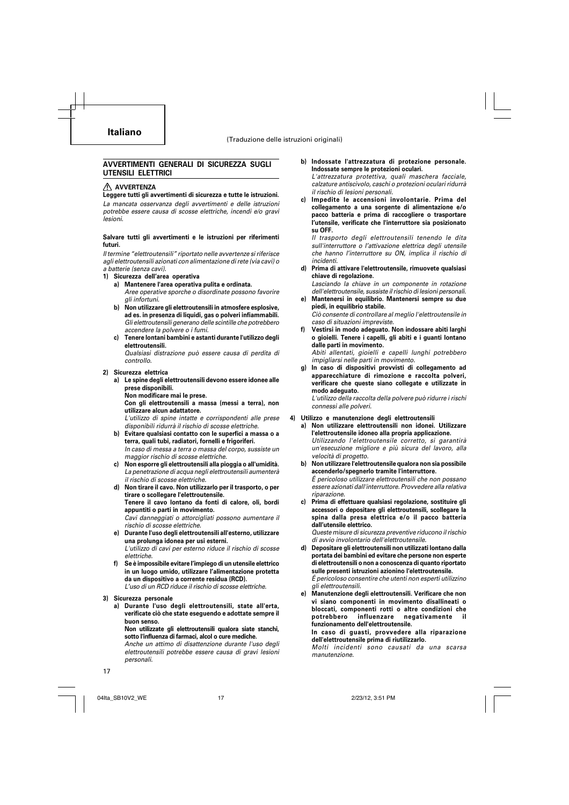#### **AVVERTIMENTI GENERALI DI SICUREZZA SUGLI UTENSILI ELETTRICI**

#### **AVVERTENZA**

#### **Leggere tutti gli avvertimenti di sicurezza e tutte le istruzioni.**

La mancata osservanza degli avvertimenti e delle istruzioni potrebbe essere causa di scosse elettriche, incendi e/o gravi .<br>Iocioni

#### **Salvare tutti gli avvertimenti e le istruzioni per riferimenti futuri.**

Il termine "elettroutensili" riportato nelle avvertenze si riferisce agli elettroutensili azionati con alimentazione di rete (via cavi) o a batterie (senza cavi).

- **1) Sicurezza dell'area operativa**
	- **a) Mantenere l'area operativa pulita e ordinata.** Aree operative sporche o disordinate possono favorire gli infortuni.
	- **b) Non utilizzare gli elettroutensili in atmosfere esplosive, ad es. in presenza di liquidi, gas o polveri infiammabili.** Gli elettroutensili generano delle scintille che potrebbero accendere la polvere o i fumi.
	- **c) Tenere lontani bambini e astanti durante l'utilizzo degli elettroutensili.**

Qualsiasi distrazione può essere causa di perdita di controllo.

#### **2) Sicurezza elettrica**

**a) Le spine degli elettroutensili devono essere idonee alle prese disponibili.**

**Non modificare mai le prese.**

**Con gli elettroutensili a massa (messi a terra), non utilizzare alcun adattatore.**

L'utilizzo di spine intatte e corrispondenti alle prese disponibili ridurrà il rischio di scosse elettriche.

- **b) Evitare qualsiasi contatto con le superfici a massa o a terra, quali tubi, radiatori, fornelli e frigoriferi.** In caso di messa a terra o massa del corpo, sussiste un maggior rischio di scosse elettriche.
- **c) Non esporre gli elettroutensili alla pioggia o all'umidità.** La penetrazione di acqua negli elettroutensili aumenterà il rischio di scosse elettriche.
- **d) Non tirare il cavo. Non utilizzarlo per il trasporto, o per tirare o scollegare l'elettroutensile.**

**Tenere il cavo lontano da fonti di calore, oli, bordi appuntiti o parti in movimento.**

Cavi danneggiati o attorcigliati possono aumentare il rischio di scosse elettriche.

- **e) Durante l'uso degli elettroutensili all'esterno, utilizzare una prolunga idonea per usi esterni.** L'utilizzo di cavi per esterno riduce il rischio di scosse elettriche.
- **f) Se è impossibile evitare l'impiego di un utensile elettrico in un luogo umido, utilizzare l'alimentazione protetta da un dispositivo a corrente residua (RCD).** L'uso di un RCD riduce il rischio di scosse elettriche.
- **3) Sicurezza personale**
	- **a) Durante l'uso degli elettroutensili, state all'erta, verificate ciò che state eseguendo e adottate sempre il buon senso.**

**Non utilizzate gli elettroutensili qualora siate stanchi, sotto l'influenza di farmaci, alcol o cure mediche.**

Anche un attimo di disattenzione durante l'uso degli elettroutensili potrebbe essere causa di gravi lesioni personali.

**b) Indossate l'attrezzatura di protezione personale. Indossate sempre le protezioni oculari.** L'attrezzatura protettiva, quali maschera facciale,

calzature antiscivolo, caschi o protezioni oculari ridurrà il rischio di lesioni personali.

**c) Impedite le accensioni involontarie. Prima del collegamento a una sorgente di alimentazione e/o pacco batteria e prima di raccogliere o trasportare l'utensile, verificate che l'interruttore sia posizionato su OFF.**

Il trasporto degli elettroutensili tenendo le dita sull'interruttore o l'attivazione elettrica degli utensile che hanno l'interruttore su ON, implica il rischio di incidenti.

**d) Prima di attivare l'elettroutensile, rimuovete qualsiasi chiave di regolazione.**

Lasciando la chiave in un componente in rotazione dell'elettroutensile, sussiste il rischio di lesioni personali.

- **e) Mantenersi in equilibrio. Mantenersi sempre su due piedi, in equilibrio stabile.** Ciò consente di controllare al meglio l'elettroutensile in caso di situazioni impreviste.
- **f) Vestirsi in modo adeguato. Non indossare abiti larghi o gioielli. Tenere i capelli, gli abiti e i guanti lontano dalle parti in movimento.**

Abiti allentati, gioielli e capelli lunghi potrebbero impigliarsi nelle parti in movimento.

**g) In caso di dispositivi provvisti di collegamento ad apparecchiature di rimozione e raccolta polveri, verificare che queste siano collegate e utilizzate in modo adeguato.**

L'utilizzo della raccolta della polvere può ridurre i rischi connessi alle polveri.

#### **4) Utilizzo e manutenzione degli elettroutensili**

- **a) Non utilizzare elettroutensili non idonei. Utilizzare l'elettroutensile idoneo alla propria applicazione.** Utilizzando l'elettroutensile corretto, si garantirà un'esecuzione migliore e più sicura del lavoro, alla velocità di progetto.
- **b) Non utilizzare l'elettroutensile qualora non sia possibile accenderlo/spegnerlo tramite l'interruttore.**

É pericoloso utilizzare elettroutensili che non possano essere azionati dall'interruttore. Provvedere alla relativa riparazione.

**c) Prima di effettuare qualsiasi regolazione, sostituire gli accessori o depositare gli elettroutensili, scollegare la spina dalla presa elettrica e/o il pacco batteria dall'utensile elettrico.**

Queste misure di sicurezza preventive riducono il rischio di avvio involontario dell'elettroutensile.

**d) Depositare gli elettroutensili non utilizzati lontano dalla portata dei bambini ed evitare che persone non esperte di elettroutensili o non a conoscenza di quanto riportato sulle presenti istruzioni azionino l'elettroutensile.** É pericoloso consentire che utenti non esperti utilizzino

gli elettroutensili.

**e) Manutenzione degli elettroutensili. Verificare che non vi siano componenti in movimento disallineati o bloccati, componenti rotti o altre condizioni che potrebbero influenzare negativamente il funzionamento dell'elettroutensile.**

**In caso di guasti, provvedere alla riparazione dell'elettroutensile prima di riutilizzarlo.**

Molti incidenti sono causati da una scarsa manutenzione.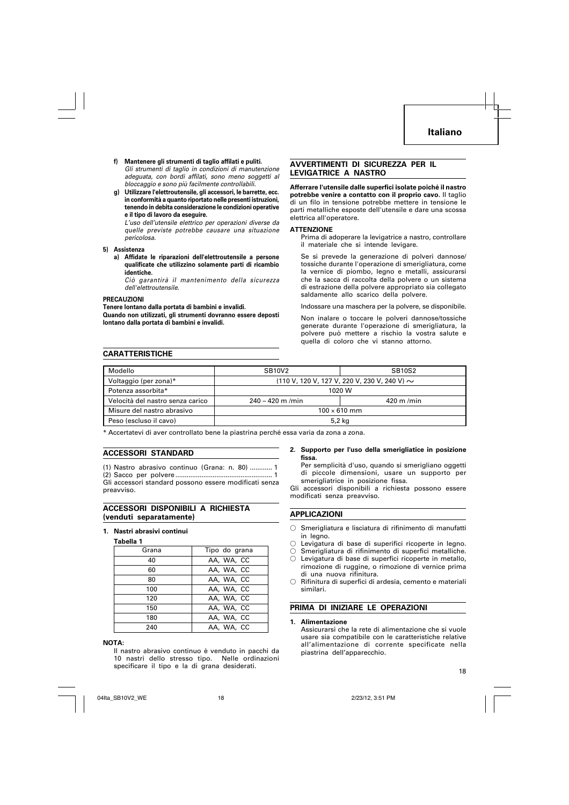**f) Mantenere gli strumenti di taglio affilati e puliti.**

Gli strumenti di taglio in condizioni di manutenzione adeguata, con bordi affilati, sono meno soggetti al bloccaggio e sono più facilmente controllabili.

**g) Utilizzare l'elettroutensile, gli accessori, le barrette, ecc. in conformità a quanto riportato nelle presenti istruzioni, tenendo in debita considerazione le condizioni operative e il tipo di lavoro da eseguire.**

L'uso dell'utensile elettrico per operazioni diverse da quelle previste potrebbe causare una situazione pericolosa.

# **5) Assistenza**

**a) Affidate le riparazioni dell'elettroutensile a persone qualificate che utilizzino solamente parti di ricambio identiche.**

Ciò garantirà il mantenimento della sicurezza dell'elettroutensile.

#### **PRECAUZIONI**

**Tenere lontano dalla portata di bambini e invalidi. Quando non utilizzati, gli strumenti dovranno essere deposti lontano dalla portata di bambini e invalidi.**

#### **AVVERTIMENTI DI SICUREZZA PER IL LEVIGATRICE A NASTRO**

**Afferrare l'utensile dalle superfici isolate poiché il nastro potrebbe venire a contatto con il proprio cavo.** Il taglio di un filo in tensione potrebbe mettere in tensione le parti metalliche esposte dell'utensile e dare una scossa elettrica all'operatore.

#### **ATTENZIONE**

Prima di adoperare la levigatrice a nastro, controllare il materiale che si intende levigare.

Se si prevede la generazione di polveri dannose/ tossiche durante l'operazione di smerigliatura, come la vernice di piombo, legno e metalli, assicurarsi che la sacca di raccolta della polvere o un sistema di estrazione della polvere appropriato sia collegato saldamente allo scarico della polvere.

Indossare una maschera per la polvere, se disponibile.

Non inalare o toccare le polveri dannose/tossiche generate durante I'operazione di smerigliatura, la polvere può mettere a rischio la vostra salute e quella di coloro che vi stanno attorno.

#### **CARATTERISTICHE**

| Modello                          | <b>SB10V2</b>                                     | <b>SB10S2</b>       |
|----------------------------------|---------------------------------------------------|---------------------|
| Voltaggio (per zona)*            | (110 V, 120 V, 127 V, 220 V, 230 V, 240 V) $\sim$ |                     |
| Potenza assorbita*               | 1020 W                                            |                     |
| Velocità del nastro senza carico | $240 - 420$ m /min                                | $420 \text{ m/min}$ |
| Misure del nastro abrasivo       | $100 \times 610$ mm                               |                     |
| Peso (escluso il cavo)           | 5,2 kg                                            |                     |

\* Accertatevi di aver controllato bene la piastrina perché essa varia da zona a zona.

## **ACCESSORI STANDARD**

(1) Nastro abrasivo continuo (Grana: n. 80) ............ 1 (2) Sacco per polvere .................................................... 1 Gli accessori standard possono essere modificati senza preavviso.

# **ACCESSORI DISPONIBILI A RICHIESTA (venduti separatamente)**

#### **1. Nastri abrasivi continui**

**Tabella 1**

| Grana | Tipo do grana |
|-------|---------------|
| 40    | AA, WA, CC    |
| 60    | AA, WA, CC    |
| 80    | AA, WA, CC    |
| 100   | AA, WA, CC    |
| 120   | AA, WA, CC    |
| 150   | AA, WA, CC    |
| 180   | AA, WA, CC    |
| 240   | AA, WA, CC    |

#### **NOTA:**

Il nastro abrasivo continuo è venduto in pacchi da 10 nastri dello stresso tipo. Nelle ordinazioni specificare il tipo e la di grana desiderati.

#### **2. Supporto per l'uso della smerigliatice in posizione fissa.**

Per semplicità d'uso, quando si smerigliano oggetti di piccole dimensioni, usare un supporto per smerigliatrice in posizione fissa.

Gli accessori disponibili a richiesta possono essere modificati senza preavviso.

#### **APPLICAZIONI**

- Smerigliatura e lisciatura di rifinimento di manufatti in legno.
- Levigatura di base di superifici ricoperte in legno.
- Smerigliatura di rifinimento di superfici metalliche.
- $\circ$  Levigatura di base di superfici ricoperte in metallo, rimozione di ruggine, o rimozione di vernice prima di una nuova rifinitura.
- $\bigcirc$  Rifinitura di superfici di ardesia, cemento e materiali similari.

#### **PRIMA DI INIZIARE LE OPERAZIONI**

#### **1. Alimentazione**

Assicurarsi che la rete di alimentazione che si vuole usare sia compatibile con le caratteristiche relative all'alimentazione di corrente specificate nella piastrina dell'apparecchio.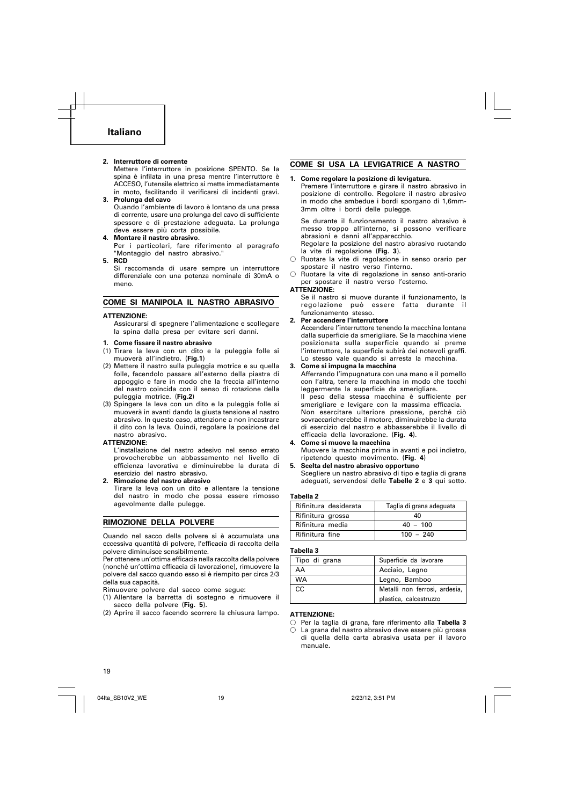# **Italiano**

#### **2. Interruttore di corrente**

Mettere l'interruttore in posizione SPENTO. Se la spina è infilata in una presa mentre l'interruttore è ACCESO, l'utensile elettrico si mette immediatamente in moto, facilitando il verificarsi di incidenti gravi.

#### **3. Prolunga del cavo**

Quando l'ambiente di lavoro è lontano da una presa di corrente, usare una prolunga del cavo di sufficiente spessore e di prestazione adeguata. La prolunga deve essere più corta possibile.

#### **4. Montare il nastro abrasivo.**

Per i particolari, fare riferimento al paragrafo "Montaggio del nastro abrasivo."

**5. RCD**

Si raccomanda di usare sempre un interruttore differenziale con una potenza nominale di 30mA o meno.

#### **COME SI MANIPOLA IL NASTRO ABRASIVO**

#### **ATTENZIONE:**

Assicurarsi di spegnere l'alimentazione e scollegare la spina dalla presa per evitare seri danni.

#### **1. Come fissare il nastro abrasivo**

- (1) Tirare la leva con un dito e la puleggia folle si muoverà all'indietro. (**Fig.1**)
- (2) Mettere il nastro sulla puleggia motrice e su quella folle, facendolo passare all'esterno della piastra di appoggio e fare in modo che la freccia all'interno del nastro coincida con il senso di rotazione della puleggia motrice. (**Fig.2**)
- (3) Spingere la leva con un dito e la puleggia folle si muoverà in avanti dando la giusta tensione al nastro abrasivo. In questo caso, attenzione a non incastrare il dito con la leva. Quindi, regolare la posizione del nastro abrasivo.

#### **ATTENZIONE:**

L'installazione del nastro adesivo nel senso errato provocherebbe un abbassamento nel livello di efficienza lavorativa e diminuirebbe la durata di esercizio del nastro abrasivo.

#### **2. Rimozione del nastro abrasivo**

Tirare la leva con un dito e allentare la tensione del nastro in modo che possa essere rimosso agevolmente dalle pulegge.

# **RIMOZIONE DELLA POLVERE**

Quando nel sacco della polvere si è accumulata una eccessiva quantità di polvere, l'efficacia di raccolta della polvere diminuisce sensibilmente.

Per ottenere un'ottima efficacia nella raccolta della polvere (nonché un'ottima efficacia di lavorazione), rimuovere la polvere dal sacco quando esso si è riempito per circa 2/3 della sua capacità.

Rimuovere polvere dal sacco come segue:

- (1) Allentare la barretta di sostegno e rimuovere il sacco della polvere (**Fig. 5**).
- (2) Aprire il sacco facendo scorrere la chiusura lampo.

# **COME SI USA LA LEVIGATRICE A NASTRO**

#### **1. Come regolare la posizione di levigatura.**

Premere l'interruttore e girare il nastro abrasivo in posizione di controllo. Regolare il nastro abrasivo in modo che ambedue i bordi sporgano di 1,6mm-3mm oltre i bordi delle pulegge.

Se durante il funzionamento il nastro abrasivo è messo troppo all'interno, si possono verificare abrasioni e danni all'apparecchio.

Regolare la posizione del nastro abrasivo ruotando la vite di regolazione (**Fig. 3**).

- Ruotare la vite di regolazione in senso orario per spostare il nastro verso l'interno.
- $\circ$  Ruotare la vite di regolazione in senso anti-orario per spostare il nastro verso l'esterno.

#### **ATTENZIONE:**

Se il nastro si muove durante il funzionamento, la regolazione può essere fatta durante il funzionamento stesso.

#### **2. Per accendere l'interruttore**

Accendere l'interruttore tenendo la macchina lontana dalla superficie da smerigliare. Se la macchina viene posizionata sulla superficie quando si preme l'interruttore, la superficie subirà dei notevoli graffi. Lo stesso vale quando si arresta la macchina.

#### **3. Come si impugna la macchina**

Afferrando l'impugnatura con una mano e il pomello con l'altra, tenere la macchina in modo che tocchi leggermente la superficie da smerigliare.

Il peso della stessa macchina è sufficiente per smerigliare e levigare con la massima efficacia. Non esercitare ulteriore pressione, perché ciò sovraccaricherebbe il motore, diminuirebbe la durata di esercizio del nastro e abbasserebbe il livello di efficacia della lavorazione. (**Fig. 4**).

**4. Come si muove la macchina** Muovere la macchina prima in avanti e poi indietro, ripetendo questo movimento. (**Fig. 4**)

## **5. Scelta del nastro abrasivo opportuno**

Scegliere un nastro abrasivo di tipo e taglia di grana adeguati, servendosi delle **Tabelle 2** e **3** qui sotto.

#### **Tabella 2**

| Rifinitura desiderata | Taglia di grana adeguata |
|-----------------------|--------------------------|
| Rifinitura grossa     | 40                       |
| Rifinitura media      | $40 - 100$               |
| Rifinitura fine       | $100 - 240$              |

#### **Tabella 3**

| Tipo di grana | Superficie da lavorare        |
|---------------|-------------------------------|
| AА            | Acciaio, Legno                |
| <b>WA</b>     | Legno, Bamboo                 |
| CC.           | Metalli non ferrosi, ardesia, |
|               | plastica, calcestruzzo        |

#### **ATTENZIONE:**

- Per la taglia di grana, fare riferimento alla **Tabella 3**
- La grana del nastro abrasivo deve essere più grossa di quella della carta abrasiva usata per il lavoro manuale.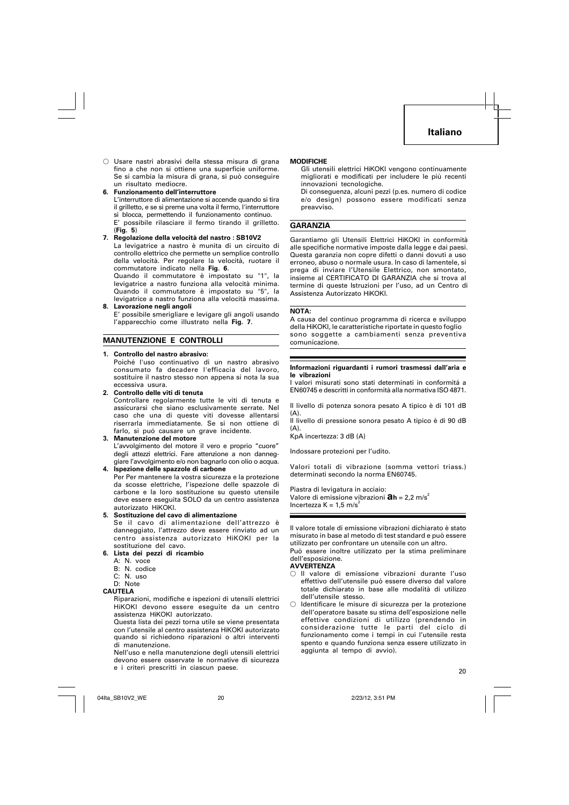- Usare nastri abrasivi della stessa misura di grana fino a che non si ottiene una superficie uniforme. Se si cambia la misura di grana, si può conseguire un risultato mediocre.
- **6. Funzionamento dell'interruttore**

L'interruttore di alimentazione si accende quando si tira il grilletto, e se si preme una volta il fermo, l'interruttore si blocca, permettendo il funzionamento continuo.

E' possibile rilasciare il fermo tirando il grilletto. (**Fig. 5**)

#### **7. Regolazione della velocità del nastro : SB10V2**

La levigatrice a nastro è munita di un circuito di controllo elettrico che permette un semplice controllo della velocità. Per regolare la velocità, ruotare il commutatore indicato nella **Fig. 6**.

Quando il commutatore è impostato su "1", la levigatrice a nastro funziona alla velocità minima. Quando il commutatore è impostato su "5", la levigatrice a nastro funziona alla velocità massima.

**8. Lavorazione negli angoli**

E' possibile smerigliare e levigare gli angoli usando l'apparecchio come illustrato nella **Fig. 7**.

#### **MANUTENZIONE E CONTROLLI**

#### **1. Controllo del nastro abrasivo:**

Poiché l'uso continuativo di un nastro abrasivo consumato fa decadere l'efficacia del lavoro, sostituire il nastro stesso non appena si nota la sua eccessiva usura.

**2. Controllo delle viti di tenuta**

Controllare regolarmente tutte le viti di tenuta e assicurarsi che siano esclusìvamente serrate. Nel caso che una di queste viti dovesse allentarsi riserrarla immediatamente. Se si non ottiene di farlo, si puó causare un grave incidente.

**3. Manutenzione del motore**

L'avvolgimento del motore il vero e proprio "cuore" degli attezzi elettrici. Fare attenzione a non danneggiare l'avvolgimento e/o non bagnarlo con olio o acqua.

**4. Ispezione delle spazzole di carbone**

Per Per mantenere la vostra sicurezza e la protezione da scosse elettriche, l'ispezione delle spazzole di carbone e la loro sostituzione su questo utensile deve essere eseguita SOLO da un centro assistenza autorizzato HiKOKI.

**5. Sostituzione del cavo di alimentazione**

Se il cavo di alimentazione dell'attrezzo è danneggiato, l'attrezzo deve essere rinviato ad un centro assistenza autorizzato HiKOKI per la sostituzione del cavo.

#### **6. Lista dei pezzi di ricambio**

- A: N. voce
- B: N. codice
- C: N. uso
- D: Note

#### **CAUTELA**

Riparazioni, modifiche e ispezioni di utensili elettrici HiKOKI devono essere eseguite da un centro assistenza HiKOKI autorizzato.

Questa lista dei pezzi torna utile se viene presentata con l'utensile al centro assistenza HiKOKI autorizzato quando si richiedono riparazioni o altri interventi di manutenzione.

Nell'uso e nella manutenzione degli utensili elettrici devono essere osservate le normative di sicurezza e i criteri prescritti in ciascun paese.

#### **MODIFICHE**

Gli utensili elettrici HiKOKI vengono continuamente migliorati e modificati per includere le più recenti innovazioni tecnologiche.

Di conseguenza, alcuni pezzi (p.es. numero di codice e/o design) possono essere modificati senza preavviso.

#### **GARANZIA**

Garantiamo gli Utensili Elettrici HiKOKI in conformità alle specifiche normative imposte dalla legge e dai paesi. Questa garanzia non copre difetti o danni dovuti a uso erroneo, abuso o normale usura. In caso di lamentele, si prega di inviare l'Utensile Elettrico, non smontato, insieme al CERTIFICATO DI GARANZIA che si trova al termine di queste Istruzioni per l'uso, ad un Centro di Assistenza Autorizzato HiKOKI.

#### **NOTA:**

A causa del continuo programma di ricerca e sviluppo della HiKOKI, le caratteristiche riportate in questo foglio sono soggette a cambiamenti senza preventiva comunicazione.

#### **Informazioni riguardanti i rumori trasmessi dall'aria e le vibrazioni**

I valori misurati sono stati determinati in conformitá a EN60745 e descritti in conformità alla normativa ISO 4871.

Il livello di potenza sonora pesato A tipico è di 101 dB (A).

Il livello di pressione sonora pesato A tipico è di 90 dB (A).

KpA incertezza: 3 dB (A)

Indossare protezioni per l'udito.

Valori totali di vibrazione (somma vettori triass.) determinati secondo la norma EN60745.

Piastra di levigatura in acciaio: Valore di emissione vibrazioni **ah** = 2,2 m/s<sup>2</sup> Incertezza K = 1.5 m/s<sup>2</sup>

Il valore totale di emissione vibrazioni dichiarato è stato misurato in base al metodo di test standard e può essere utilizzato per confrontare un utensile con un altro. Può essere inoltre utilizzato per la stima preliminare dell'esposizione.

#### **AVVERTENZA**

- $\bigcirc$  Il valore di emissione vibrazioni durante l'uso effettivo dell'utensile può essere diverso dal valore totale dichiarato in base alle modalità di utilizzo dell'utensile stesso.
- $\circlearrowright$  Identificare le misure di sicurezza per la protezione dell'operatore basate su stima dell'esposizione nelle effettive condizioni di utilizzo (prendendo in considerazione tutte le parti del ciclo di funzionamento come i tempi in cui l'utensile resta spento e quando funziona senza essere utilizzato in aggiunta al tempo di avvio).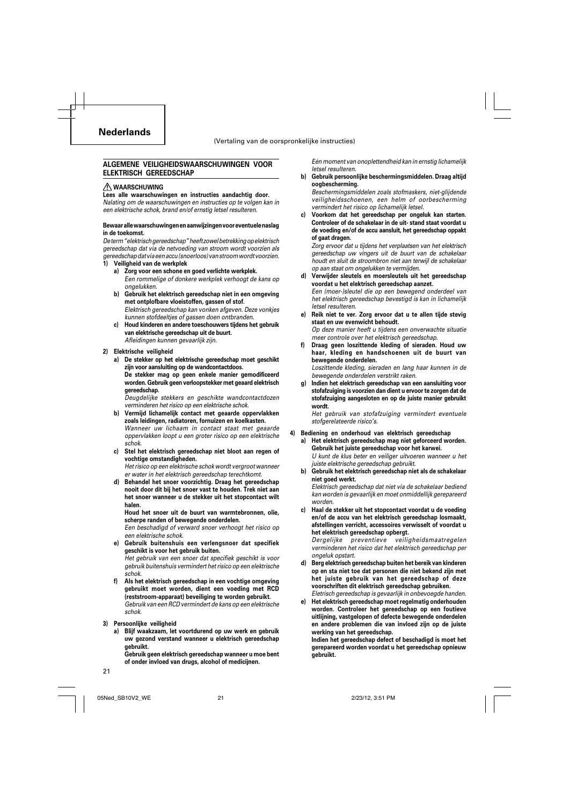#### **ALGEMENE VEILIGHEIDSWAARSCHUWINGEN VOOR ELEKTRISCH GEREEDSCHAP**

#### **WAARSCHUWING**

**Lees alle waarschuwingen en instructies aandachtig door.** Nalating om de waarschuwingen en instructies op te volgen kan in een elektrische schok, brand en/of ernstig letsel resulteren.

#### **Bewaar alle waarschuwingen en aanwijzingen voor eventuele naslag in de toekomst.**

De term "elektrisch gereedschap" heeft zowel betrekking op elektrisch gereedschap dat via de netvoeding van stroom wordt voorzien als gereedschap dat via een accu (snoerloos) van stroom wordt voorzien.

- **1) Veiligheid van de werkplek**
	- **a) Zorg voor een schone en goed verlichte werkplek.** Een rommelige of donkere werkplek verhoogt de kans op ongelukken.
	- **b) Gebruik het elektrisch gereedschap niet in een omgeving met ontplofbare vloeistoffen, gassen of stof.** Elektrisch gereedschap kan vonken afgeven. Deze vonkjes kunnen stofdeeltjes of gassen doen ontbranden.
	- **c) Houd kinderen en andere toeschouwers tijdens het gebruik van elektrische gereedschap uit de buurt.** Afleidingen kunnen gevaarlijk zijn.

#### **2) Elektrische veiligheid**

**a) De stekker op het elektrische gereedschap moet geschikt zijn voor aansluiting op de wandcontactdoos.**

**De stekker mag op geen enkele manier gemodificeerd worden. Gebruik geen verloopstekker met geaard elektrisch gereedschap.**

Deugdelijke stekkers en geschikte wandcontactdozen verminderen het risico op een elektrische schok.

- **b) Vermijd lichamelijk contact met geaarde oppervlakken zoals leidingen, radiatoren, fornuizen en koelkasten.** Wanneer uw lichaam in contact staat met geaarde oppervlakken loopt u een groter risico op een elektrische schok.
- **c) Stel het elektrisch gereedschap niet bloot aan regen of vochtige omstandigheden.**

Het risico op een elektrische schok wordt vergroot wanneer er water in het elektrisch gereedschap terechtkomt.

**d) Behandel het snoer voorzichtig. Draag het gereedschap nooit door dit bij het snoer vast te houden. Trek niet aan het snoer wanneer u de stekker uit het stopcontact wilt halen.**

**Houd het snoer uit de buurt van warmtebronnen, olie, scherpe randen of bewegende onderdelen.**

Een beschadigd of verward snoer verhoogt het risico op een elektrische schok.

**e) Gebruik buitenshuis een verlengsnoer dat specifiek geschikt is voor het gebruik buiten.** Het gebruik van een snoer dat specifiek geschikt is voor gebruik buitenshuis vermindert het risico op een elektrische

schok.

**f) Als het elektrisch gereedschap in een vochtige omgeving gebruikt moet worden, dient een voeding met RCD (reststroom-apparaat) beveiliging te worden gebruikt.** Gebruik van een RCD vermindert de kans op een elektrische schok.

#### **3) Persoonlijke veiligheid**

**a) Blijf waakzaam, let voortdurend op uw werk en gebruik uw gezond verstand wanneer u elektrisch gereedschap gebruikt.**

**Gebruik geen elektrisch gereedschap wanneer u moe bent of onder invloed van drugs, alcohol of medicijnen.**

Eén moment van onoplettendheid kan in ernstig lichamelijk letsel resulteren.

**b) Gebruik persoonlijke beschermingsmiddelen. Draag altijd oogbescherming.**

Beschermingsmiddelen zoals stofmaskers, niet-glijdende veiligheidsschoenen, een helm of oorbescherming vermindert het risico op lichamelijk letsel.

**c) Voorkom dat het gereedschap per ongeluk kan starten. Controleer of de schakelaar in de uit- stand staat voordat u de voeding en/of de accu aansluit, het gereedschap oppakt of gaat dragen.**

Zorg ervoor dat u tijdens het verplaatsen van het elektrisch gereedschap uw vingers uit de buurt van de schakelaar houdt en sluit de stroombron niet aan terwijl de schakelaar op aan staat om ongelukken te vermijden.

- **d) Verwijder sleutels en moersleutels uit het gereedschap voordat u het elektrisch gereedschap aanzet.** Een (moer-)sleutel die op een bewegend onderdeel van het elektrisch gereedschap bevestigd is kan in lichamelijk letsel resulteren.
- **e) Reik niet te ver. Zorg ervoor dat u te allen tijde stevig staat en uw evenwicht behoudt.** Op deze manier heeft u tijdens een onverwachte situatie meer controle over het elektrisch gereedschap.
- **f) Draag geen loszittende kleding of sieraden. Houd uw haar, kleding en handschoenen uit de buurt van bewegende onderdelen.**

Loszittende kleding, sieraden en lang haar kunnen in de bewegende onderdelen verstrikt raken.

**g) Indien het elektrisch gereedschap van een aansluiting voor stofafzuiging is voorzien dan dient u ervoor te zorgen dat de stofafzuiging aangesloten en op de juiste manier gebruikt wordt.**

Het gebruik van stofafzuiging vermindert eventuele stofgerelateerde risico's.

#### **4) Bediening en onderhoud van elektrisch gereedschap**

- **a) Het elektrisch gereedschap mag niet geforceerd worden. Gebruik het juiste gereedschap voor het karwei.** U kunt de klus beter en veiliger uitvoeren wanneer u het juiste elektrische gereedschap gebruikt.
- **b) Gebruik het elektrisch gereedschap niet als de schakelaar niet goed werkt.** Elektrisch gereedschap dat niet via de schakelaar bediend

kan worden is gevaarlijk en moet onmiddellijk gerepareerd worden.

**c) Haal de stekker uit het stopcontact voordat u de voeding en/of de accu van het elektrisch gereedschap losmaakt, afstellingen verricht, accessoires verwisselt of voordat u het elektrisch gereedschap opbergt.**

Dergelijke preventieve veiligheidsmaatregelen verminderen het risico dat het elektrisch gereedschap per ongeluk opstart.

- **d) Berg elektrisch gereedschap buiten het bereik van kinderen op en sta niet toe dat personen die niet bekend zijn met het juiste gebruik van het gereedschap of deze voorschriften dit elektrisch gereedschap gebruiken.** Eletrisch gereedschap is gevaarlijk in onbevoegde handen.
- **e) Het elektrisch gereedschap moet regelmatig onderhouden worden. Controleer het gereedschap op een foutieve uitlijning, vastgelopen of defecte bewegende onderdelen en andere problemen die van invloed zijn op de juiste werking van het gereedschap.**

**Indien het gereedschap defect of beschadigd is moet het gerepareerd worden voordat u het gereedschap opnieuw gebruikt.**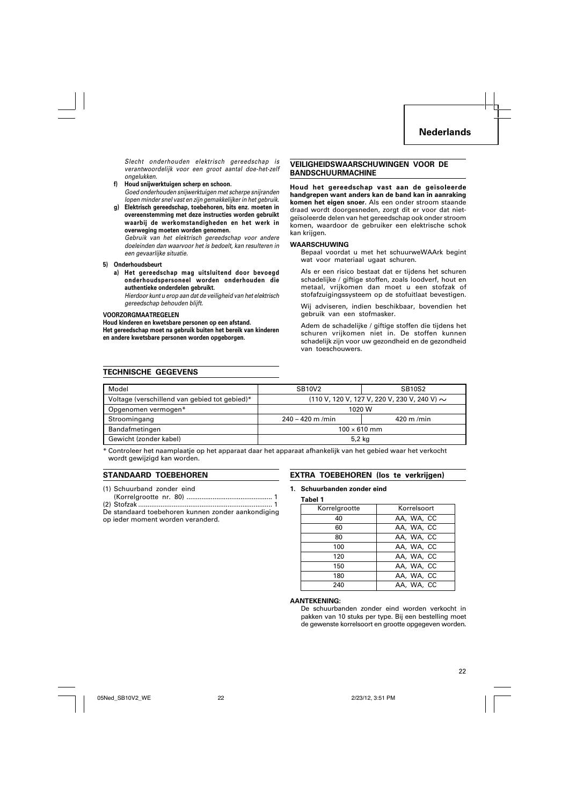Slecht onderhouden elektrisch gereedschap is verantwoordelijk voor een groot aantal doe-het-zelf ongelukken.

- **f) Houd snijwerktuigen scherp en schoon.** Goed onderhouden snijwerktuigen met scherpe snijranden lopen minder snel vast en zijn gemakkelijker in het gebruik.
- **g) Elektrisch gereedschap, toebehoren, bits enz. moeten in overeenstemming met deze instructies worden gebruikt waarbij de werkomstandigheden en het werk in overweging moeten worden genomen.**

Gebruik van het elektrisch gereedschap voor andere doeleinden dan waarvoor het is bedoelt, kan resulteren in een gevaarlijke situatie.

- **5) Onderhoudsbeurt**
	- **a) Het gereedschap mag uitsluitend door bevoegd onderhoudspersoneel worden onderhouden die authentieke onderdelen gebruikt.**

Hierdoor kunt u erop aan dat de veiligheid van het elektrisch gereedschap behouden blijft.

#### **VOORZORGMAATREGELEN**

**Houd kinderen en kwetsbare personen op een afstand. Het gereedschap moet na gebruik buiten het bereik van kinderen en andere kwetsbare personen worden opgeborgen.**

#### **VEILIGHEIDSWAARSCHUWINGEN VOOR DE BANDSCHUURMACHINE**

**Houd het gereedschap vast aan de geïsoleerde handgrepen want anders kan de band kan in aanraking komen het eigen snoer.** Als een onder stroom staande draad wordt doorgesneden, zorgt dit er voor dat nietgeïsoleerde delen van het gereedschap ook onder stroom komen, waardoor de gebruiker een elektrische schok kan krijgen.

#### **WAARSCHUWING**

Bepaal voordat u met het schuurweWAArk begint wat voor materiaal ugaat schuren.

Als er een risico bestaat dat er tijdens het schuren schadelijke / giftige stoffen, zoals loodverf, hout en metaal, vrijkomen dan moet u een stofzak of stofafzuigingssysteem op de stofuitlaat bevestigen.

Wij adviseren, indien beschikbaar, bovendien het gebruik van een stofmasker.

Adem de schadelijke / giftige stoffen die tijdens het schuren vrijkomen niet in. De stoffen kunnen schadelijk zijn voor uw gezondheid en de gezondheid van toeschouwers.

# **TECHNISCHE GEGEVENS**

| Model                                         | SB10V2                                            | <b>SB10S2</b>       |
|-----------------------------------------------|---------------------------------------------------|---------------------|
| Voltage (verschillend van gebied tot gebied)* | (110 V, 120 V, 127 V, 220 V, 230 V, 240 V) $\sim$ |                     |
| Opgenomen vermogen*                           | 1020 W                                            |                     |
| Stroomingang                                  | $240 - 420$ m /min                                | $420 \text{ m/min}$ |
| Bandafmetingen                                | $100 \times 610$ mm                               |                     |
| Gewicht (zonder kabel)                        | 5,2 kg                                            |                     |

\* Controleer het naamplaatje op het apparaat daar het apparaat afhankelijk van het gebied waar het verkocht wordt gewijzigd kan worden.

## **STANDAARD TOEBEHOREN**

(1) Schuurband zonder eind

- (Korrelgrootte nr. 80) .............................................. 1
- (2) Stofzak ........................................................................ 1

De standaard toebehoren kunnen zonder aankondiging op ieder moment worden veranderd.

# **EXTRA TOEBEHOREN (los te verkrijgen)**

#### **1. Schuurbanden zonder eind**

#### **Tabel 1**

| Korrelgrootte | Korrelsoort |
|---------------|-------------|
| 40            | AA, WA, CC  |
| 60            | AA, WA, CC  |
| 80            | AA, WA, CC  |
| 100           | AA, WA, CC  |
| 120           | AA, WA, CC  |
| 150           | AA, WA, CC  |
| 180           | AA, WA, CC  |
| 240           | AA, WA, CC  |

#### **AANTEKENING:**

De schuurbanden zonder eind worden verkocht in pakken van 10 stuks per type. Bij een bestelling moet de gewenste korrelsoort en grootte opgegeven worden.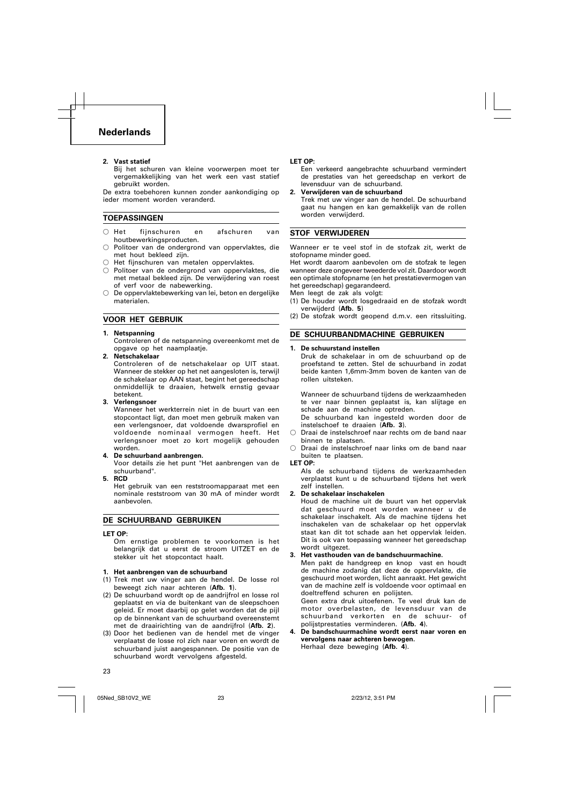# **Nederlands**

#### **2. Vast statief**

Bij het schuren van kleine voorwerpen moet ter vergemakkelijking van het werk een vast statief gebruikt worden.

De extra toebehoren kunnen zonder aankondiging op ieder moment worden veranderd.

# **TOEPASSINGEN**

- O Het fijnschuren en afschuren van houtbewerkingsproducten.
- Politoer van de ondergrond van oppervlaktes, die met hout bekleed zijn.
- $\bigcirc$  Het fijnschuren van metalen oppervlaktes.
- Politoer van de ondergrond van oppervlaktes, die met metaal bekleed zijn. De verwijdering van roest of verf voor de nabewerking.
- De oppervlaktebewerking van lei, beton en dergelijke materialen.

# **VOOR HET GEBRUIK**

# **1. Netspanning**

Controleren of de netspanning overeenkomt met de opgave op het naamplaatje.

# **2. Netschakelaar**

Controleren of de netschakelaar op UIT staat. Wanneer de stekker op het net aangesloten is, terwijl de schakelaar op AAN staat, begint het gereedschap onmiddellijk te draaien, hetwelk ernstig gevaar betekent.

**3. Verlengsnoer**

Wanneer het werkterrein niet in de buurt van een stopcontact ligt, dan moet men gebruik maken van een verlengsnoer, dat voldoende dwarsprofiel en voldoende nominaal vermogen heeft. Het verlengsnoer moet zo kort mogelijk gehouden worden.

# **4. De schuurband aanbrengen.**

Voor details zie het punt "Het aanbrengen van de schuurband".

**5. RCD**

Het gebruik van een reststroomapparaat met een nominale reststroom van 30 mA of minder wordt aanbevolen.

# **DE SCHUURBAND GEBRUIKEN**

# **LET OP:**

Om ernstige problemen te voorkomen is het belangrijk dat u eerst de stroom UITZET en de stekker uit het stopcontact haalt.

# **1. Het aanbrengen van de schuurband**

- (1) Trek met uw vinger aan de hendel. De losse rol beweegt zich naar achteren (**Afb. 1**).
- (2) De schuurband wordt op de aandrijfrol en losse rol geplaatst en via de buitenkant van de sleepschoen geleid. Er moet daarbij op gelet worden dat de pijl op de binnenkant van de schuurband overeenstemt met de draairichting van de aandrijfrol (**Afb. 2**).
- (3) Door het bedienen van de hendel met de vinger verplaatst de losse rol zich naar voren en wordt de schuurband juist aangespannen. De positie van de schuurband wordt vervolgens afgesteld.

# **LET OP:**

Een verkeerd aangebrachte schuurband vermindert de prestaties van het gereedschap en verkort de levensduur van de schuurband.

# **2. Verwijderen van de schuurband**

Trek met uw vinger aan de hendel. De schuurband gaat nu hangen en kan gemakkelijk van de rollen worden verwijderd.

# **STOF VERWIJDEREN**

Wanneer er te veel stof in de stofzak zit, werkt de stofopname minder goed.

Het wordt daarom aanbevolen om de stofzak te legen wanneer deze ongeveer tweederde vol zit. Daardoor wordt een optimale stofopname (en het prestatievermogen van het gereedschap) gegarandeerd.

- Men leegt de zak als volgt:
- (1) De houder wordt losgedraaid en de stofzak wordt verwijderd (**Afb. 5**)
- (2) De stofzak wordt geopend d.m.v. een ritssluiting.

# **DE SCHUURBANDMACHINE GEBRUIKEN**

# **1. De schuurstand instellen**

Druk de schakelaar in om de schuurband op de proefstand te zetten. Stel de schuurband in zodat beide kanten 1,6mm-3mm boven de kanten van de rollen uitsteken.

Wanneer de schuurband tijdens de werkzaamheden te ver naar binnen geplaatst is, kan slijtage en schade aan de machine optreden.

De schuurband kan ingesteld worden door de instelschoef te draaien (**Afb. 3**).

- Draai de instelschroef naar rechts om de band naar binnen te plaatsen.
- Draai de instelschroef naar links om de band naar buiten te plaatsen.

# **LET OP:**

Als de schuurband tijdens de werkzaamheden verplaatst kunt u de schuurband tijdens het werk zelf instellen.

# **2. De schakelaar inschakelen**

Houd de machine uit de buurt van het oppervlak dat geschuurd moet worden wanneer u de schakelaar inschakelt. Als de machine tijdens het inschakelen van de schakelaar op het oppervlak staat kan dit tot schade aan het oppervlak leiden. Dit is ook van toepassing wanneer het gereedschap wordt uitgezet.

# **3. Het vasthouden van de bandschuurmachine.**

Men pakt de handgreep en knop vast en houdt de machine zodanig dat deze de oppervlakte, die geschuurd moet worden, licht aanraakt. Het gewicht van de machine zelf is voldoende voor optimaal en doeltreffend schuren en polijsten.

Geen extra druk uitoefenen. Te veel druk kan de motor overbelasten, de levensduur van de schuurband verkorten en de schuur- of polijstprestaties verminderen. (**Afb. 4**).

**4. De bandschuurmachine wordt eerst naar voren en vervolgens naar achteren bewogen.** Herhaal deze beweging (**Afb. 4**).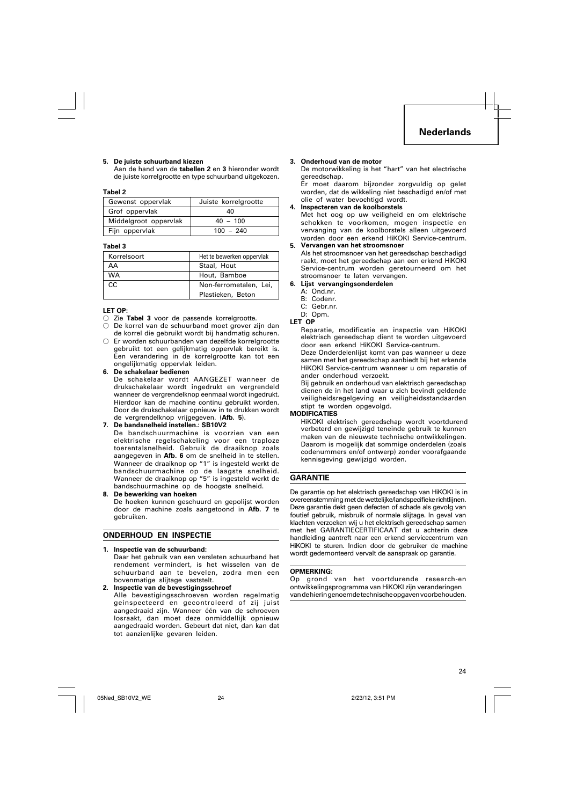# **5. De juiste schuurband kiezen**

Aan de hand van de **tabellen 2** en **3** hieronder wordt de juiste korrelgrootte en type schuurband uitgekozen.

#### **Tabel 2**

| Gewenst oppervlak     | Juiste korrelgrootte |
|-----------------------|----------------------|
| Grof oppervlak        | 40                   |
| Middelgroot oppervlak | $40 - 100$           |
| Fijn oppervlak        | $100 - 240$          |

#### **Tabel 3**

| Korrelsoort | Het te bewerken oppervlak |  |
|-------------|---------------------------|--|
| AA          | Staal, Hout               |  |
| <b>WA</b>   | Hout, Bamboe              |  |
| CC.         | Non-ferrometalen, Lei,    |  |
|             | Plastieken, Beton         |  |

#### **LET OP:**

- Zie **Tabel 3** voor de passende korrelgrootte.
- $\circ$  De korrel van de schuurband moet grover zijn dan de korrel die gebruikt wordt bij handmatig schuren.
- Er worden schuurbanden van dezelfde korrelgrootte gebruikt tot een gelijkmatig oppervlak bereikt is. Een verandering in de korrelgrootte kan tot een ongelijkmatig oppervlak leiden.

#### **6. De schakelaar bedienen**

De schakelaar wordt AANGEZET wanneer de drukschakelaar wordt ingedrukt en vergrendeld wanneer de vergrendelknop eenmaal wordt ingedrukt. Hierdoor kan de machine continu gebruikt worden. Door de drukschakelaar opnieuw in te drukken wordt de vergrendelknop vrijgegeven. (**Afb. 5**).

#### **7. De bandsnelheid instellen.: SB10V2**

De bandschuurmachine is voorzien van een elektrische regelschakeling voor een traploze toerentalsnelheid. Gebruik de draaiknop zoals aangegeven in **Afb. 6** om de snelheid in te stellen. Wanneer de draaiknop op "1" is ingesteld werkt de bandschuurmachine op de laagste snelheid. Wanneer de draaiknop op "5" is ingesteld werkt de bandschuurmachine op de hoogste snelheid.

#### **8. De bewerking van hoeken**

De hoeken kunnen geschuurd en gepolijst worden door de machine zoals aangetoond in **Afb. 7** te gebruiken.

# **ONDERHOUD EN INSPECTIE**

#### **1. Inspectie van de schuurband:**

tot aanzienlijke gevaren leiden.

Daar het gebruik van een versleten schuurband het rendement vermindert, is het wisselen van de schuurband aan te bevelen, zodra men een bovenmatige slijtage vaststelt.

aangedraaid worden. Gebeurt dat niet, dan kan dat

#### **2. Inspectie van de bevestigingsschroef** Alle bevestigingsschroeven worden regelmatig geinspecteerd en gecontroleerd of zij juist aangedraaid zijn. Wanneer één van de schroeven losraakt, dan moet deze onmiddellijk opnieuw

#### **3. Onderhoud van de motor**

De motorwikkeling is het "hart" van het electrische gereedschap.

Er moet daarom bijzonder zorgvuldig op gelet worden, dat de wikkeling niet beschadigd en/of met olie of water bevochtigd wordt.

#### **4. Inspecteren van de koolborstels**

Met het oog op uw veiligheid en om elektrische schokken te voorkomen, mogen inspectie en vervanging van de koolborstels alleen uitgevoerd worden door een erkend HiKOKI Service-centrum.

#### **5. Vervangen van het stroomsnoer**

Als het stroomsnoer van het gereedschap beschadigd raakt, moet het gereedschap aan een erkend HiKOKI Service-centrum worden geretourneerd om het stroomsnoer te laten vervangen.

#### **6. Lijst vervangingsonderdelen**

- A: Ond.nr.
- B: Codenr.
- C: Gebr.nr.
- D: Opm.

# **LET OP**

Reparatie, modificatie en inspectie van HiKOKI elektrisch gereedschap dient te worden uitgevoerd door een erkend HiKOKI Service-centrum.

Deze Onderdelenlijst komt van pas wanneer u deze samen met het gereedschap aanbiedt bij het erkende HiKOKI Service-centrum wanneer u om reparatie of ander onderhoud verzoekt.

Bij gebruik en onderhoud van elektrisch gereedschap dienen de in het land waar u zich bevindt geldende veiligheidsregelgeving en veiligheidsstandaarden stipt te worden opgevolgd.

#### **MODIFICATIES**

HiKOKI elektrisch gereedschap wordt voortdurend verbeterd en gewijzigd teneinde gebruik te kunnen maken van de nieuwste technische ontwikkelingen. Daarom is mogelijk dat sommige onderdelen (zoals codenummers en/of ontwerp) zonder voorafgaande kennisgeving gewijzigd worden.

# **GARANTIE**

De garantie op het elektrisch gereedschap van HiKOKI is in overeenstemming met de wettelijke/landspecifieke richtlijnen. Deze garantie dekt geen defecten of schade als gevolg van foutief gebruik, misbruik of normale slijtage. In geval van klachten verzoeken wij u het elektrisch gereedschap samen met het GARANTIECERTIFICAAT dat u achterin deze handleiding aantreft naar een erkend servicecentrum van HiKOKI te sturen. Indien door de gebruiker de machine wordt gedemonteerd vervalt de aanspraak op garantie.

## **OPMERKING:**

Op grond van het voortdurende research-en ontwikkelingsprogramma van HiKOKI zijn veranderingen van de hierin genoemde technische opgaven voorbehouden.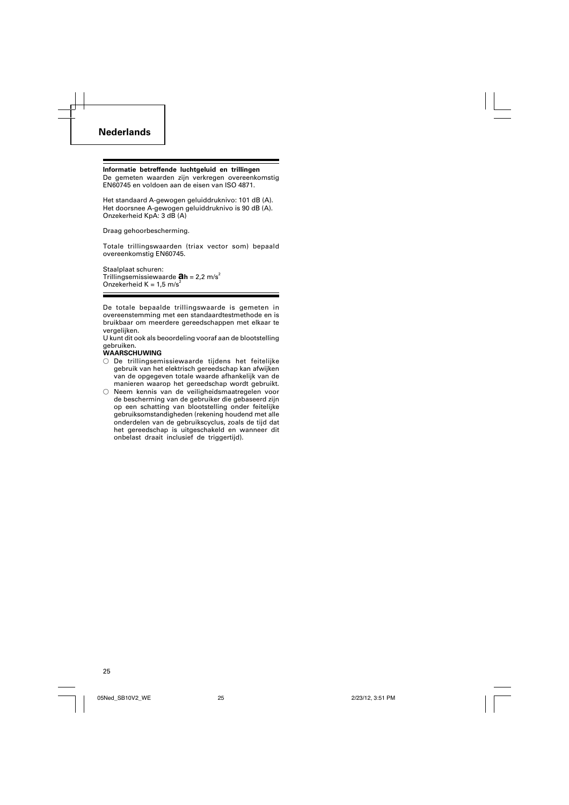**Informatie betreffende luchtgeluid en trillingen** De gemeten waarden zijn verkregen overeenkomstig EN60745 en voldoen aan de eisen van ISO 4871.

Het standaard A-gewogen geluiddruknivo: 101 dB (A). Het doorsnee A-gewogen geluiddruknivo is 90 dB (A). Onzekerheid KpA: 3 dB (A)

Draag gehoorbescherming.

Totale trillingswaarden (triax vector som) bepaald overeenkomstig EN60745.

Staalplaat schuren: Trillingsemissiewaarde  $\mathbf{a}$ h = 2,2 m/s<sup>2</sup> Onzekerheid K =  $1.5 \text{ m/s}^2$ 

De totale bepaalde trillingswaarde is gemeten in overeenstemming met een standaardtestmethode en is bruikbaar om meerdere gereedschappen met elkaar te vergelijken.

U kunt dit ook als beoordeling vooraf aan de blootstelling gebruiken.

#### **WAARSCHUWING**

- $\bigcirc$  De trillingsemissiewaarde tiidens het feitelijke gebruik van het elektrisch gereedschap kan afwijken van de opgegeven totale waarde afhankelijk van de manieren waarop het gereedschap wordt gebruikt.
- Neem kennis van de veiligheidsmaatregelen voor de bescherming van de gebruiker die gebaseerd zijn op een schatting van blootstelling onder feitelijke gebruiksomstandigheden (rekening houdend met alle onderdelen van de gebruikscyclus, zoals de tijd dat het gereedschap is uitgeschakeld en wanneer dit onbelast draait inclusief de triggertijd).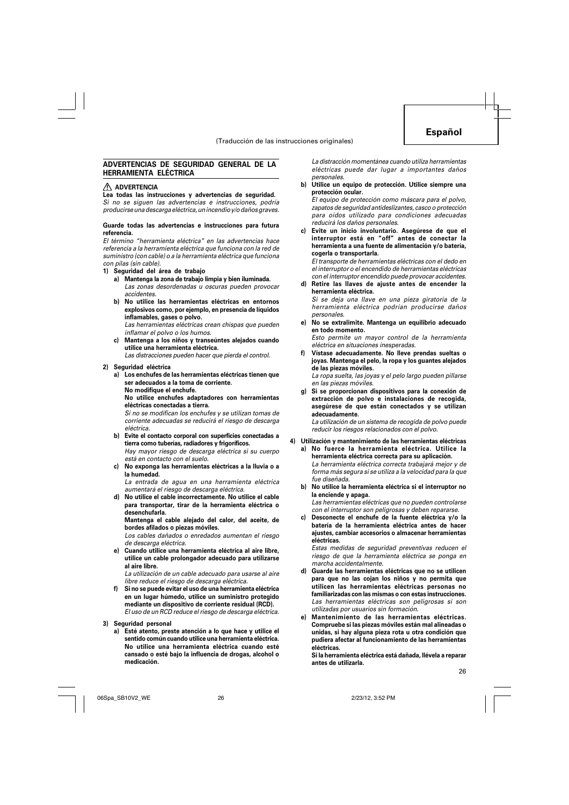# **ADVERTENCIAS DE SEGURIDAD GENERAL DE LA HERRAMIENTA ELÉCTRICA**

# **ADVERTENCIA**

**Lea todas las instrucciones y advertencias de seguridad.** Si no se siguen las advertencias e instrucciones, podría producirse una descarga eléctrica, un incendio y/o daños graves.

#### **Guarde todas las advertencias e instrucciones para futura referencia.**

El término "herramienta eléctrica" en las advertencias hace referencia a la herramienta eléctrica que funciona con la red de suministro (con cable) o a la herramienta eléctrica que funciona con pilas (sin cable).

- **1) Seguridad del área de trabajo**
	- **a) Mantenga la zona de trabajo limpia y bien iluminada.** Las zonas desordenadas u oscuras pueden provocar accidentes.
	- **b) No utilice las herramientas eléctricas en entornos explosivos como, por ejemplo, en presencia de líquidos inflamables, gases o polvo.**

Las herramientas eléctricas crean chispas que pueden inflamar el polvo o los humos.

**c) Mantenga a los niños y transeúntes alejados cuando utilice una herramienta eléctrica.** Las distracciones pueden hacer que pierda el control.

# **2) Seguridad eléctrica**

- **a) Los enchufes de las herramientas eléctricas tienen que ser adecuados a la toma de corriente.**
	- **No modifique el enchufe.**

**No utilice enchufes adaptadores con herramientas eléctricas conectadas a tierra.**

Si no se modifican los enchufes y se utilizan tomas de corriente adecuadas se reducirá el riesgo de descarga eléctrica.

- **b) Evite el contacto corporal con superficies conectadas a tierra como tuberías, radiadores y frigoríficos.** Hay mayor riesgo de descarga eléctrica si su cuerpo está en contacto con el suelo.
- **c) No exponga las herramientas eléctricas a la lluvia o a la humedad.**

La entrada de agua en una herramienta eléctrica aumentará el riesgo de descarga eléctrica.

**d) No utilice el cable incorrectamente. No utilice el cable para transportar, tirar de la herramienta eléctrica o desenchufarla.**

**Mantenga el cable alejado del calor, del aceite, de bordes afilados o piezas móviles.**

Los cables dañados o enredados aumentan el riesgo de descarga eléctrica.

**e) Cuando utilice una herramienta eléctrica al aire libre, utilice un cable prolongador adecuado para utilizarse al aire libre.**

La utilización de un cable adecuado para usarse al aire libre reduce el riesgo de descarga eléctrica.

**f) Si no se puede evitar el uso de una herramienta eléctrica en un lugar húmedo, utilice un suministro protegido mediante un dispositivo de corriente residual (RCD).** El uso de un RCD reduce el riesgo de descarga eléctrica.

# **3) Seguridad personal**

**a) Esté atento, preste atención a lo que hace y utilice el sentido común cuando utilice una herramienta eléctrica. No utilice una herramienta eléctrica cuando esté cansado o esté bajo la influencia de drogas, alcohol o medicación.**

La distracción momentánea cuando utiliza herramientas eléctricas puede dar lugar a importantes daños personales.

**b) Utilice un equipo de protección. Utilice siempre una protección ocular.**

El equipo de protección como máscara para el polvo, zapatos de seguridad antideslizantes, casco o protección para oídos utilizado para condiciones adecuadas reducirá los daños personales.

**c) Evite un inicio involuntario. Asegúrese de que el interruptor está en "off" antes de conectar la herramienta a una fuente de alimentación y/o batería, cogerla o transportarla.**

El transporte de herramientas eléctricas con el dedo en el interruptor o el encendido de herramientas eléctricas con el interruptor encendido puede provocar accidentes.

- **d) Retire las llaves de ajuste antes de encender la herramienta eléctrica.** Si se deja una llave en una pieza giratoria de la herramienta eléctrica podrían producirse daños personales.
- **e) No se extralimite. Mantenga un equilibrio adecuado en todo momento.**

Esto permite un mayor control de la herramienta eléctrica en situaciones inesperadas.

**f) Vístase adecuadamente. No lleve prendas sueltas o joyas. Mantenga el pelo, la ropa y los guantes alejados de las piezas móviles.**

La ropa suelta, las joyas y el pelo largo pueden pillarse en las piezas móviles.

**g) Si se proporcionan dispositivos para la conexión de extracción de polvo e instalaciones de recogida, asegúrese de que están conectados y se utilizan adecuadamente.**

La utilización de un sistema de recogida de polvo puede reducir los riesgos relacionados con el polvo.

- **4) Utilización y mantenimiento de las herramientas eléctricas**
	- **a) No fuerce la herramienta eléctrica. Utilice la herramienta eléctrica correcta para su aplicación.** La herramienta eléctrica correcta trabajará mejor y de forma más segura si se utiliza a la velocidad para la que fue diseñada.
	- **b) No utilice la herramienta eléctrica si el interruptor no la enciende y apaga.**

Las herramientas eléctricas que no pueden controlarse con el interruptor son peligrosas y deben repararse.

**c) Desconecte el enchufe de la fuente eléctrica y/o la batería de la herramienta eléctrica antes de hacer ajustes, cambiar accesorios o almacenar herramientas eléctricas.**

Estas medidas de seguridad preventivas reducen el riesgo de que la herramienta eléctrica se ponga en marcha accidentalmente.

- **d) Guarde las herramientas eléctricas que no se utilicen para que no las cojan los niños y no permita que utilicen las herramientas eléctricas personas no familiarizadas con las mismas o con estas instrucciones.** Las herramientas eléctricas son peligrosas si son utilizadas por usuarios sin formación.
- **e) Mantenimiento de las herramientas eléctricas. Compruebe si las piezas móviles están mal alineadas o unidas, si hay alguna pieza rota u otra condición que pudiera afectar al funcionamiento de las herramientas eléctricas.**

**Si la herramienta eléctrica está dañada, llévela a reparar antes de utilizarla.**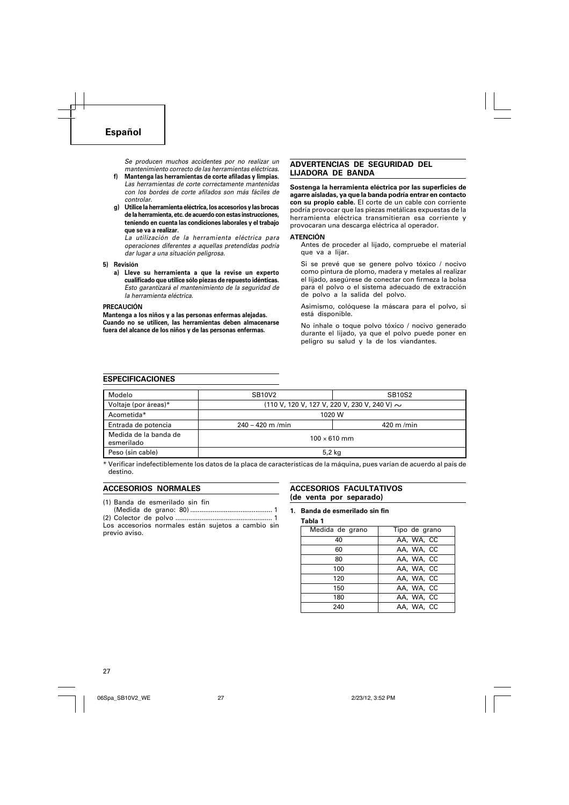Se producen muchos accidentes por no realizar un mantenimiento correcto de las herramientas eléctricas.

- **f) Mantenga las herramientas de corte afiladas y limpias.** Las herramientas de corte correctamente mantenidas con los bordes de corte afilados son más fáciles de controlar.
- **g) Utilice la herramienta eléctrica, los accesorios y las brocas de la herramienta, etc. de acuerdo con estas instrucciones, teniendo en cuenta las condiciones laborales y el trabajo que se va a realizar.**

La utilización de la herramienta eléctrica para operaciones diferentes a aquellas pretendidas podría dar lugar a una situación peligrosa.

#### **5) Revisión**

**a) Lleve su herramienta a que la revise un experto cualificado que utilice sólo piezas de repuesto idénticas.** Esto garantizará el mantenimiento de la seguridad de la herramienta eléctrica.

#### **PRECAUCIÓN**

**Mantenga a los niños y a las personas enfermas alejadas. Cuando no se utilicen, las herramientas deben almacenarse fuera del alcance de los niños y de las personas enfermas.**

#### **ADVERTENCIAS DE SEGURIDAD DEL LIJADORA DE BANDA**

**Sostenga la herramienta eléctrica por las superficies de agarre aisladas, ya que la banda podría entrar en contacto con su propio cable.** El corte de un cable con corriente podría provocar que las piezas metálicas expuestas de la herramienta eléctrica transmitieran esa corriente y provocaran una descarga eléctrica al operador.

#### **ATENCIÓN**

Antes de proceder al lijado, compruebe el material que va a lijar.

Si se prevé que se genere polvo tóxico / nocivo como pintura de plomo, madera y metales al realizar el lijado, asegúrese de conectar con firmeza la bolsa para el polvo o el sistema adecuado de extracción de polvo a la salida del polvo.

Asimismo, colóquese la máscara para el polvo, si está disponible.

No inhale o toque polvo tóxico / nocivo generado durante el lijado, ya que el polvo puede poner en peligro su salud y la de los viandantes.

# **ESPECIFICACIONES**

| Modelo                              | SB10V2                                            | SB10S2              |
|-------------------------------------|---------------------------------------------------|---------------------|
| Voltaje (por áreas)*                | (110 V, 120 V, 127 V, 220 V, 230 V, 240 V) $\sim$ |                     |
| Acometida*                          | 1020 W                                            |                     |
| Entrada de potencia                 | $240 - 420$ m /min                                | $420 \text{ m/min}$ |
| Medida de la banda de<br>esmerilado | $100 \times 610$ mm                               |                     |
| Peso (sin cable)                    | 5,2 kg                                            |                     |

\* Verificar indefectiblemente los datos de la placa de características de la máquina, pues varían de acuerdo al país de destino.

#### **ACCESORIOS NORMALES**

(1) Banda de esmerilado sin fin

(Medida de grano: 80) ............................................ 1

(2) Colector de polvo .................................................... 1 Los accesorios normales están sujetos a cambio sin previo aviso.

#### **ACCESORIOS FACULTATIVOS (de venta por separado)**

#### **1. Banda de esmerilado sin fin**

**Tabla 1**

| Medida de grano | Tipo de grano |
|-----------------|---------------|
| 40              | AA, WA, CC    |
| 60              | AA, WA, CC    |
| 80              | AA, WA, CC    |
| 100             | AA, WA, CC    |
| 120             | AA, WA, CC    |
| 150             | AA, WA, CC    |
| 180             | AA, WA, CC    |
| 240             | AA, WA, CC    |
|                 |               |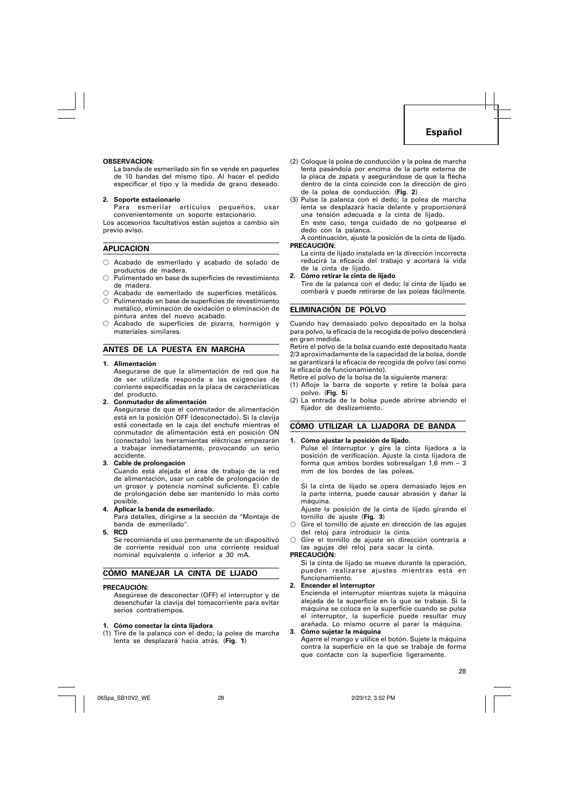## **OBSERVACÍON:**

La banda de esmerilado sin fin se vende en paquetes de 10 bandas del mismo tipo. Al hacer el pedido especificar el tipo y la medida de grano deseado.

#### **2. Soporte estacionario**

Para esmerilar artículos pequeños, usar convenientemente un soporte estacionario.

Los accesorios facultativos están sujetos a cambio sin previo aviso.

## **APLICACION**

- Acabado de esmerilado y acabado de solado de productos de madera.
- $\circ$  Pulimentado en base de superficies de revestimiento de madera.
- Acabado de esmerilado de superficies metálicos.
- Pulimentado en base de superficies de revestimiento metálico, eliminación de oxidación o eliminación de pintura antes del nuevo acabado.
- Acabado de superficies de pizarra, hormigón y materiales similares.

# **ANTES DE LA PUESTA EN MARCHA**

#### **1. Alimentación**

Asegurarse de que la alimentación de red que ha de ser utilizada responda a las exigencias de corriente especificadas en la placa de características del producto.

#### **2. Conmutador de alimentación**

Asegurarse de que el conmutador de alimentación está en la posición OFF (desconectado). Si la clavija está conectada en la caja del enchufe mientras el conmutador de alimentación está en posición ON (conectado) las herramientas eléctricas empezarán a trabajar inmediatamente, provocando un serio accidente.

#### **3. Cable de prolongación**

Cuando está alejada el área de trabajo de la red de alimentación, usar un cable de prolongación de un grosor y potencia nominal suficiente. El cable de prolongación debe ser mantenido lo más corto posible.

#### **4. Aplicar la banda de esmerilado.**

Para detalles, dirigirse a la sección de "Montaje de banda de esmerilado".

**5. RCD**

Se recomienda el uso permanente de un dispositivo de corriente residual con una corriente residual nominal equivalente o inferior a 30 mA.

# **CÓMO MANEJAR LA CINTA DE LIJADO**

#### **PRECAUCIÓN:**

Asegúrese de desconectar (OFF) el interruptor y de desenchufar la clavija del tomacorriente para evitar serios contratiempos.

#### **1. Cómo conectar la cinta lijadora**

(1) Tire de la palanca con el dedo; la polea de marcha lenta se desplazará hacia atrás. (**Fig. 1**)

- (2) Coloque la polea de conducción y la polea de marcha lenta pasándola por encima de la parte externa de la placa de zapata y asegurándose de que la flecha dentro de la cinta coincide con la dirección de giro de la polea de conducción. (**Fig. 2**)
- (3) Pulse la palanca con el dedo; la polea de marcha lenta se desplazará hacia delante y proporcionará una tensión adecuada a la cinta de lijado. En este caso, tenga cuidado de no golpearse el dedo con la palanca.

A continuación, ajuste la posición de la cinta de lijado. **PRECAUCIÓN:**

La cinta de lijado instalada en la dirección incorrecta reducirá la eficacia del trabajo y acortará la vida de la cinta de lijado.

#### **2. Cómo retirar la cinta de lijado**

Tire de la palanca con el dedo; la cinta de lijado se combará y puede retirarse de las poleas fácilmente.

#### **ELIMINACIÓN DE POLVO**

Cuando hay demasiado polvo depositado en la bolsa para polvo, la eficacia de la recogida de polvo descenderá en gran medida.

Retire el polvo de la bolsa cuando esté depositado hasta 2/3 aproximadamente de la capacidad de la bolsa, donde se garantizará la eficacia de recogida de polvo (así como la eficacia de funcionamiento).

Retire el polvo de la bolsa de la siguiente manera:

- (1) Afloje la barra de soporte y retire la bolsa para polvo. (**Fig. 5**)
- (2) La entrada de la bolsa puede abrirse abriendo el fijador de deslizamiento.

# **CÓMO UTILIZAR LA LIJADORA DE BANDA**

#### **1. Cómo ajustar la posición de lijado.**

Pulse el interruptor y gire la cinta lijadora a la posición de verificación. Ajuste la cinta lijadora de forma que ambos bordes sobresalgan 1,6 mm – 3 mm de los bordes de las poleas.

Si la cinta de lijado se opera demasiado lejos en la parte interna, puede causar abrasión y dañar la máquina.

Ajuste la posición de la cinta de lijado girando el tornillo de ajuste (**Fig. 3**)

- $\circ$  Gire el tornillo de ajuste en dirección de las agujas del reloj para introducir la cinta.
- Gire el tornillo de ajuste en dirección contraria a las agujas del reloj para sacar la cinta.

#### **PRECAUCIÓN:**

Si la cinta de lijado se mueve durante la operación, pueden realizarse ajustes mientras está en funcionamiento.

#### **2. Encender el interruptor**

Encienda el interruptor mientras sujeta la máquina alejada de la superficie en la que se trabaje. Si la máquina se coloca en la superficie cuando se pulsa el interruptor, la superficie puede resultar muy arañada. Lo mismo ocurre al parar la máquina.

#### **3. Cómo sujetar la máquina**

Agarre el mango y utilice el botón. Sujete la máquina contra la superficie en la que se trabaje de forma que contacte con la superficie ligeramente.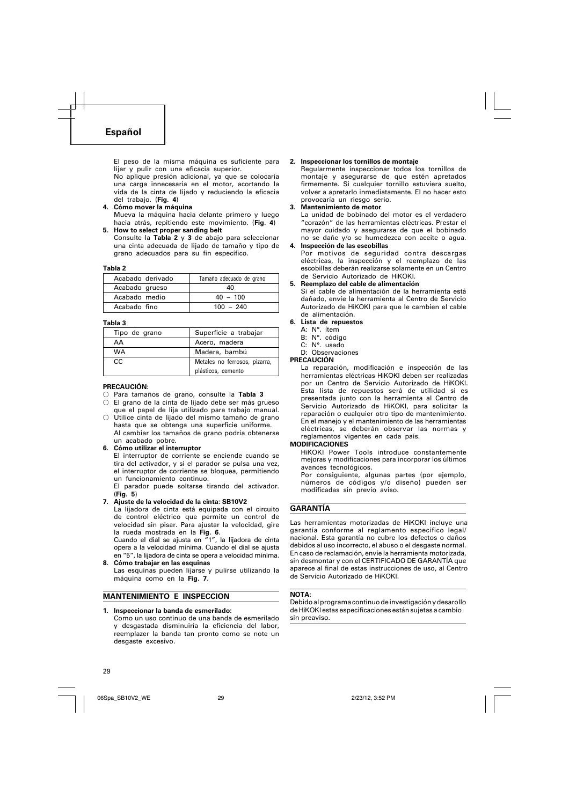El peso de la misma máquina es suficiente para lijar y pulir con una eficacia superior.

No aplique presión adicional, ya que se colocaría una carga innecesaria en el motor, acortando la vida de la cinta de lijado y reduciendo la eficacia del trabajo. (**Fig. 4**)

**4. Cómo mover la máquina**

Mueva la máquina hacia delante primero y luego hacia atrás, repitiendo este movimiento. (**Fig. 4**)

**5. How to select proper sanding belt** Consulte la **Tabla 2** y **3** de abajo para seleccionar una cinta adecuada de lijado de tamaño y tipo de grano adecuados para su fin específico.

#### **Tabla 2**

| Acabado derivado | Tamaño adecuado de grano |
|------------------|--------------------------|
| Acabado grueso   | 40                       |
| Acabado medio    | $40 - 100$               |
| Acabado fino     | $100 - 240$              |

#### **Tabla 3**

| Tipo de grano | Superficie a trabajar         |
|---------------|-------------------------------|
| AA            | Acero, madera                 |
| WA            | Madera, bambú                 |
| CC.           | Metales no ferrosos, pizarra, |
|               | plásticos, cemento            |

# **PRECAUCIÓN:**

- Para tamaños de grano, consulte la **Tabla 3**
- El grano de la cinta de lijado debe ser más grueso que el papel de lija utilizado para trabajo manual.
- $\circ$  Utilice cinta de lijado del mismo tamaño de grano hasta que se obtenga una superficie uniforme. Al cambiar los tamaños de grano podría obtenerse un acabado pobre.

#### **6. Cómo utilizar el interruptor**

El interruptor de corriente se enciende cuando se tira del activador, y si el parador se pulsa una vez, el interruptor de corriente se bloquea, permitiendo un funcionamiento continuo.

El parador puede soltarse tirando del activador. (**Fig. 5**)

#### **7. Ajuste de la velocidad de la cinta: SB10V2**

La lijadora de cinta está equipada con el circuito de control eléctrico que permite un control de velocidad sin pisar. Para ajustar la velocidad, gire la rueda mostrada en la **Fig. 6**.

Cuando el dial se ajusta en "1", la lijadora de cinta opera a la velocidad mínima. Cuando el dial se ajusta en "5", la lijadora de cinta se opera a velocidad mínima.

**8. Cómo trabajar en las esquinas** Las esquinas pueden lijarse y pulirse utilizando la máquina como en la **Fig. 7**.

## **MANTENIMIENTO E INSPECCION**

# **1. Inspeccionar la banda de esmerilado:**

Como un uso continuo de una banda de esmerilado y desgastada disminuiría la eficiencia del labor, reemplazer la banda tan pronto como se note un desgaste excesivo.

# **2. Inspeccionar los tornillos de montaje**

Regularmente inspeccionar todos los tornillos de montaje y asegurarse de que estén apretados firmemente. Si cualquier tornillo estuviera suelto, volver a apretarlo inmediatamente. El no hacer esto provocaría un riesgo serio.

# **3. Mantenimiento de motor**

La unidad de bobinado del motor es el verdadero "corazón" de las herramientas eléctricas. Prestar el mayor cuidado y asegurarse de que el bobinado no se dañe y/o se humedezca con aceite o agua.

#### **4. Inspección de las escobillas**

Por motivos de seguridad contra descargas eléctricas, la inspección y el reemplazo de las escobillas deberán realizarse solamente en un Centro de Servicio Autorizado de HiKOKI.

# **5. Reemplazo del cable de alimentación**

Si el cable de alimentación de la herramienta está dañado, envíe la herramienta al Centro de Servicio Autorizado de HiKOKI para que le cambien el cable de alimentación.

#### **6. Lista de repuestos**

- A: N°. ítem
- B: N°. código
- C: N°. usado
- D: Observaciones

# **PRECAUCIÓN**

La reparación, modificación e inspección de las herramientas eléctricas HiKOKI deben ser realizadas por un Centro de Servicio Autorizado de HiKOKI. Esta lista de repuestos será de utilidad si es presentada junto con la herramienta al Centro de Servicio Autorizado de HiKOKI, para solicitar la reparación o cualquier otro tipo de mantenimiento. En el manejo y el mantenimiento de las herramientas eléctricas, se deberán observar las normas y reglamentos vigentes en cada país.

#### **MODIFICACIONES**

HiKOKI Power Tools introduce constantemente mejoras y modificaciones para incorporar los últimos avances tecnológicos.

Por consiguiente, algunas partes (por ejemplo, números de códigos y/o diseño) pueden ser modificadas sin previo aviso.

# **GARANTÍA**

Las herramientas motorizadas de HiKOKI incluye una garantía conforme al reglamento específico legal/ nacional. Esta garantía no cubre los defectos o daños debidos al uso incorrecto, el abuso o el desgaste normal. En caso de reclamación, envíe la herramienta motorizada, sin desmontar y con el CERTIFICADO DE GARANTÍA que aparece al final de estas instrucciones de uso, al Centro de Servicio Autorizado de HiKOKI.

#### **NOTA:**

Debido al programa continuo de investigación y desarollo de HiKOKI estas especificaciones están sujetas a cambio sin preaviso.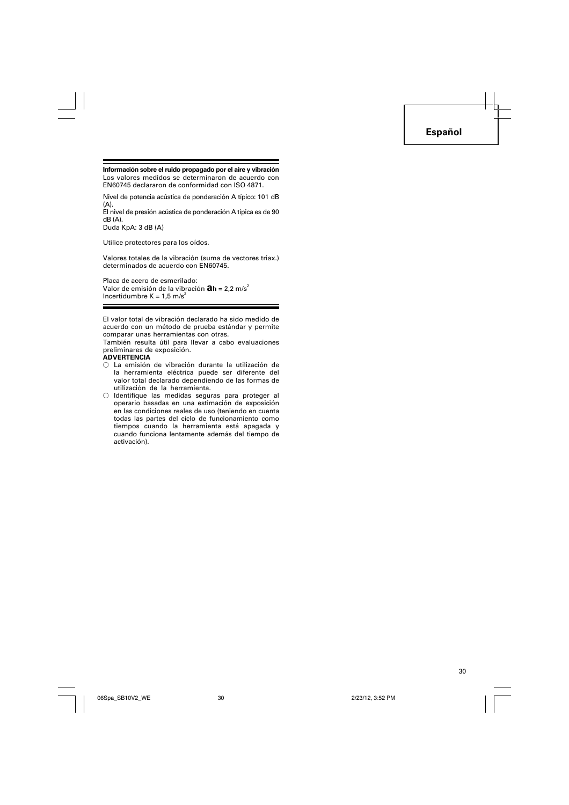**Información sobre el ruido propagado por el aire y vibración** Los valores medidos se determinaron de acuerdo con EN60745 declararon de conformidad con ISO 4871.

Nivel de potencia acústica de ponderación A típico: 101 dB (A).

El nivel de presión acústica de ponderación A típica es de 90  $dB(A)$ .

Duda KpA: 3 dB (A)

Utilice protectores para los oídos.

Valores totales de la vibración (suma de vectores triax.) determinados de acuerdo con EN60745.

Placa de acero de esmerilado: Valor de emisión de la vibración **ah** = 2.2 m/s<sup>2</sup> Incertidumbre K =  $1.5 \text{ m/s}^2$ 

El valor total de vibración declarado ha sido medido de acuerdo con un método de prueba estándar y permite comparar unas herramientas con otras.

También resulta útil para llevar a cabo evaluaciones preliminares de exposición.

# **ADVERTENCIA**

- La emisión de vibración durante la utilización de la herramienta eléctrica puede ser diferente del valor total declarado dependiendo de las formas de utilización de la herramienta.
- O Identifique las medidas seguras para proteger al operario basadas en una estimación de exposición en las condiciones reales de uso (teniendo en cuenta todas las partes del ciclo de funcionamiento como tiempos cuando la herramienta está apagada y cuando funciona lentamente además del tiempo de activación).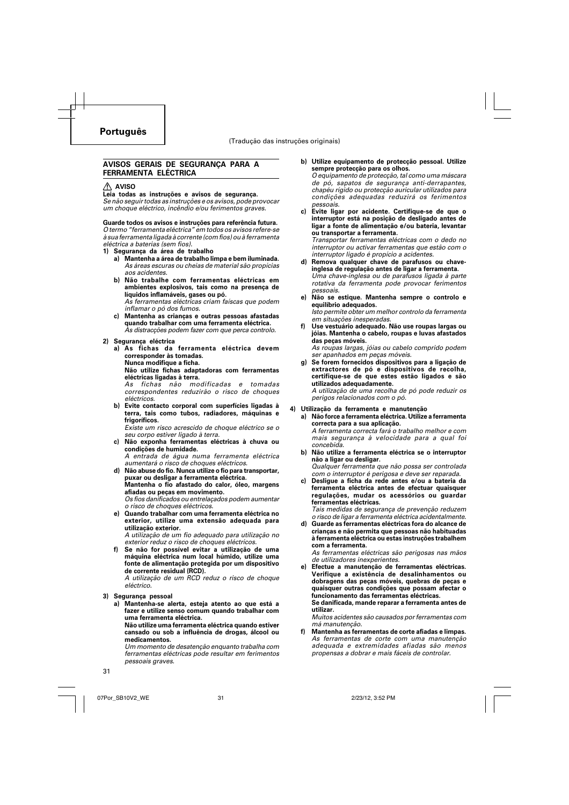#### **AVISOS GERAIS DE SEGURANÇA PARA A FERRAMENTA ELÉCTRICA**

#### A AVISO

**Leia todas as instruções e avisos de segurança.** Se não seguir todas as instruções e os avisos, pode provocar um choque eléctrico, incêndio e/ou ferimentos graves.

#### **Guarde todos os avisos e instruções para referência futura.**

O termo "ferramenta eléctrica" em todos os avisos refere-se à sua ferramenta ligada à corrente (com fios) ou à ferramenta eléctrica a baterias (sem fios).

- **1) Segurança da área de trabalho**
	- **a) Mantenha a área de trabalho limpa e bem iluminada.** As áreas escuras ou cheias de material são propícias aos acidentes.
	- **b) Não trabalhe com ferramentas eléctricas em ambientes explosivos, tais como na presença de líquidos inflamáveis, gases ou pó.** As ferramentas eléctricas criam faíscas que podem inflamar o pó dos fumos.
	- **c) Mantenha as crianças e outras pessoas afastadas quando trabalhar com uma ferramenta eléctrica.** As distracções podem fazer com que perca controlo.

#### **2) Segurança eléctrica**

**a) As fichas da ferramenta eléctrica devem corresponder às tomadas.**

**Nunca modifique a ficha. Não utilize fichas adaptadoras com ferramentas eléctricas ligadas à terra.**

As fichas não modificadas e tomadas correspondentes reduzirão o risco de choques eléctricos.

**b) Evite contacto corporal com superfícies ligadas à terra, tais como tubos, radiadores, máquinas e frigoríficos.**

Existe um risco acrescido de choque eléctrico se o seu corpo estiver ligado à terra.

**c) Não exponha ferramentas eléctricas à chuva ou condições de humidade.** A entrada de água numa ferramenta eléctrica

aumentará o risco de choques eléctricos.

- **d) Não abuse do fio. Nunca utilize o fio para transportar, puxar ou desligar a ferramenta eléctrica. Mantenha o fio afastado do calor, óleo, margens afiadas ou peças em movimento.** Os fios danificados ou entrelaçados podem aumentar o risco de choques eléctricos. **e) Quando trabalhar com uma ferramenta eléctrica no**
- **exterior, utilize uma extensão adequada para utilização exterior.**

A utilização de um fio adequado para utilização no exterior reduz o risco de choques eléctricos.

**f) Se não for possível evitar a utilização de uma máquina eléctrica num local húmido, utilize uma fonte de alimentação protegida por um dispositivo de corrente residual (RCD).**

A utilização de um RCD reduz o risco de choque eléctrico.

- **3) Segurança pessoal**
	- **a) Mantenha-se alerta, esteja atento ao que está a fazer e utilize senso comum quando trabalhar com uma ferramenta eléctrica.**

**Não utilize uma ferramenta eléctrica quando estiver cansado ou sob a influência de drogas, álcool ou medicamentos.**

Um momento de desatenção enquanto trabalha com ferramentas eléctricas pode resultar em ferimentos pessoais graves.

**b) Utilize equipamento de protecção pessoal. Utilize sempre protecção para os olhos.**

O equipamento de protecção, tal como uma máscara de pó, sapatos de segurança anti-derrapantes, chapéu rígido ou protecção auricular utilizados para condições adequadas reduzirá os ferimentos pessoais.

**c) Evite ligar por acidente. Certifique-se de que o interruptor está na posição de desligado antes de ligar a fonte de alimentação e/ou bateria, levantar ou transportar a ferramenta.**

Transportar ferramentas eléctricas com o dedo no interruptor ou activar ferramentas que estão com o interruptor ligado é propício a acidentes.

- **d) Remova qualquer chave de parafusos ou chaveinglesa de regulação antes de ligar a ferramenta.** Uma chave-inglesa ou de parafusos ligada à parte rotativa da ferramenta pode provocar ferimentos pessoais.
- **e) Não se estique. Mantenha sempre o controlo e equilíbrio adequados.** Isto permite obter um melhor controlo da ferramenta em situações inesperadas.
- **f) Use vestuário adequado. Não use roupas largas ou jóias. Mantenha o cabelo, roupas e luvas afastados das peças móveis.** As roupas largas, jóias ou cabelo comprido podem

ser apanhados em peças móveis.

**g) Se forem fornecidos dispositivos para a ligação de extractores de pó e dispositivos de recolha, certifique-se de que estes estão ligados e são utilizados adequadamente.**

A utilização de uma recolha de pó pode reduzir os perigos relacionados com o pó.

- **4) Utilização da ferramenta e manutenção**
	- **a) Não force a ferramenta eléctrica. Utilize a ferramenta correcta para a sua aplicação.**

A ferramenta correcta fará o trabalho melhor e com mais segurança à velocidade para a qual foi concebida.

- **b) Não utilize a ferramenta eléctrica se o interruptor não a ligar ou desligar.** Qualquer ferramenta que não possa ser controlada com o interruptor é perigosa e deve ser reparada.
- **c) Desligue a ficha da rede antes e/ou a bateria da ferramenta eléctrica antes de efectuar quaisquer regulações, mudar os acessórios ou guardar ferramentas eléctricas.**

Tais medidas de segurança de prevenção reduzem o risco de ligar a ferramenta eléctrica acidentalmente.

**d) Guarde as ferramentas eléctricas fora do alcance de crianças e não permita que pessoas não habituadas à ferramenta eléctrica ou estas instruções trabalhem com a ferramenta.**

As ferramentas eléctricas são perigosas nas mãos de utilizadores inexperientes.

**e) Efectue a manutenção de ferramentas eléctricas. Verifique a existência de desalinhamentos ou dobragens das peças móveis, quebras de peças e quaisquer outras condições que possam afectar o funcionamento das ferramentas eléctricas.**

**Se danificada, mande reparar a ferramenta antes de utilizar.**

Muitos acidentes são causados por ferramentas com má manutenção.

**f) Mantenha as ferramentas de corte afiadas e limpas.** As ferramentas de corte com uma manutenção adequada e extremidades afiadas são menos propensas a dobrar e mais fáceis de controlar.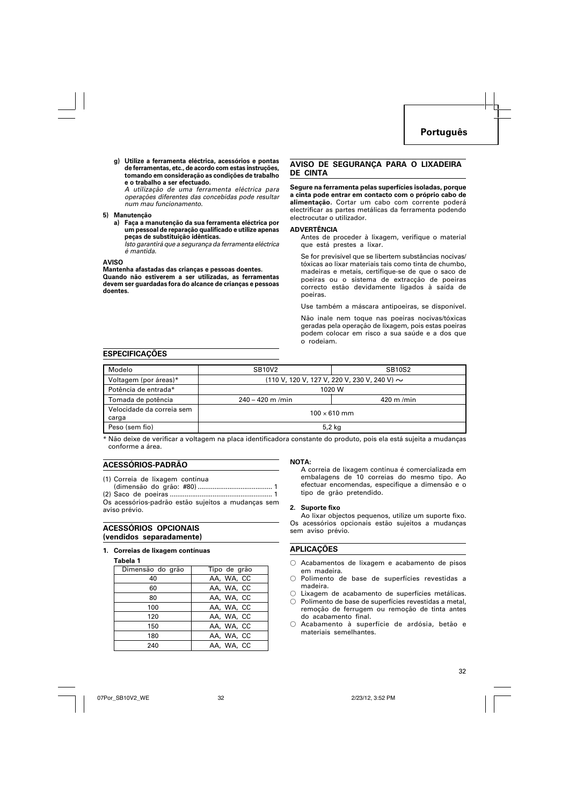**g) Utilize a ferramenta eléctrica, acessórios e pontas de ferramentas, etc., de acordo com estas instruções, tomando em consideração as condições de trabalho e o trabalho a ser efectuado.**

A utilização de uma ferramenta eléctrica para operações diferentes das concebidas pode resultar num mau funcionamento.

#### **5) Manutenção**

**a) Faça a manutenção da sua ferramenta eléctrica por um pessoal de reparação qualificado e utilize apenas peças de substituição idênticas.**

Isto garantirá que a segurança da ferramenta eléctrica é mantida.

#### **AVISO**

**Mantenha afastadas das crianças e pessoas doentes. Quando não estiverem a ser utilizadas, as ferramentas devem ser guardadas fora do alcance de crianças e pessoas doentes.**

#### **AVISO DE SEGURANÇA PARA O LIXADEIRA DE CINTA**

**Segure na ferramenta pelas superfícies isoladas, porque a cinta pode entrar em contacto com o próprio cabo de alimentação.** Cortar um cabo com corrente poderá electrificar as partes metálicas da ferramenta podendo electrocutar o utilizador.

#### **ADVERTÊNCIA**

Antes de proceder à lixagem, verifique o material que está prestes a lixar.

Se for previsível que se libertem substâncias nocivas/ tóxicas ao lixar materiais tais como tinta de chumbo, madeiras e metais, certifique-se de que o saco de poeiras ou o sistema de extracção de poeiras correcto estão devidamente ligados à saída de poeiras.

Use também a máscara antipoeiras, se disponível.

Não inale nem toque nas poeiras nocivas/tóxicas geradas pela operação de lixagem, pois estas poeiras podem colocar em risco a sua saúde e a dos que o rodeiam.

#### **ESPECIFICAÇÕES**

| Modelo                             | SB10V2                                            | <b>SB10S2</b>       |  |  |  |  |  |  |  |  |  |
|------------------------------------|---------------------------------------------------|---------------------|--|--|--|--|--|--|--|--|--|
| Voltagem (por áreas)*              | (110 V, 120 V, 127 V, 220 V, 230 V, 240 V) $\sim$ |                     |  |  |  |  |  |  |  |  |  |
| Potência de entrada*               | 1020 W                                            |                     |  |  |  |  |  |  |  |  |  |
| Tomada de potência                 | $240 - 420$ m /min                                | $420 \text{ m/min}$ |  |  |  |  |  |  |  |  |  |
| Velocidade da correia sem<br>carga | $100 \times 610$ mm                               |                     |  |  |  |  |  |  |  |  |  |
| Peso (sem fio)                     | 5,2 kg                                            |                     |  |  |  |  |  |  |  |  |  |

\* Não deixe de verificar a voltagem na placa identificadora constante do produto, pois ela está sujeita a mudanças conforme a área.

#### **ACESSÓRIOS-PADRÃO**

- (1) Correia de lixagem contínua
- (dimensão do grão: #80) ........................................ 1 (2) Saco de poeiras ....................................................... 1

Os acessórios-padrão estão sujeitos a mudanças sem aviso prévio.

#### **ACESSÓRIOS OPCIONAIS (vendidos separadamente)**

#### **1. Correias de lixagem contínuas**

#### **Tabela 1**

| Dimensão do grão | Tipo de grão |
|------------------|--------------|
| 40               | AA, WA, CC   |
| 60               | AA, WA, CC   |
| 80               | AA. WA. CC   |
| 100              | AA, WA, CC   |
| 120              | AA, WA, CC   |
| 150              | AA, WA, CC   |
| 180              | AA, WA, CC   |
| 240              | AA, WA, CC   |

#### **NOTA:**

A correia de lixagem contínua é comercializada em embalagens de 10 correias do mesmo tipo. Ao efectuar encomendas, especifique a dimensão e o tipo de grão pretendido.

#### **2. Suporte fixo**

Ao lixar objectos pequenos, utilize um suporte fixo. Os acessórios opcionais estão sujeitos a mudanças sem aviso prévio.

#### **APLICAÇÕES**

- Acabamentos de lixagem e acabamento de pisos em madeira.
- Polimento de base de superfícies revestidas a madeira.
- Lixagem de acabamento de superfícies metálicas.
- $\bigcirc$  Polimento de base de superfícies revestidas a metal. remoção de ferrugem ou remoção de tinta antes do acabamento final.
- Acabamento à superfície de ardósia, betão e materiais semelhantes.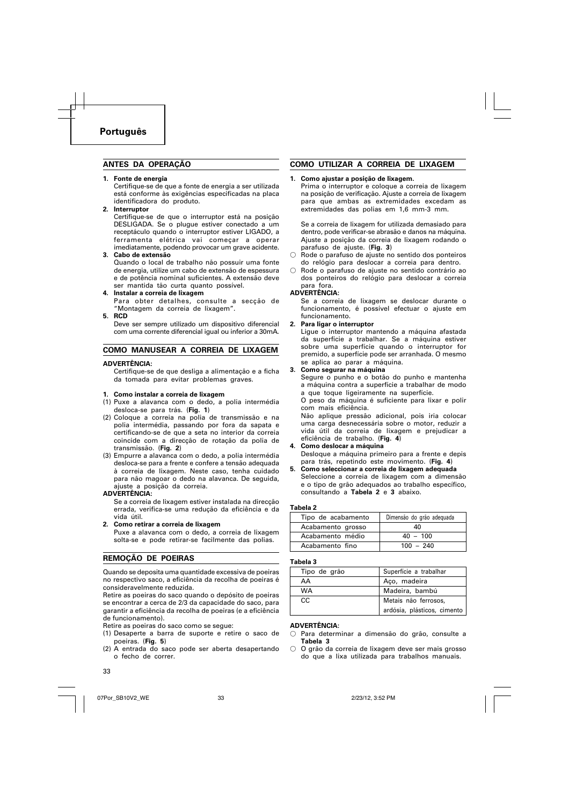# **ANTES DA OPERAÇÃO**

#### **1. Fonte de energia**

Certifique-se de que a fonte de energia a ser utilizada está conforme às exigências especificadas na placa identificadora do produto.

#### **2. Interruptor**

Certifique-se de que o interruptor está na posição DESLIGADA. Se o plugue estiver conectado a um receptáculo quando o interruptor estiver LIGADO, a ferramenta elétrica vai começar a operar imediatamente, podendo provocar um grave acidente.

#### **3. Cabo de extensão**

Quando o local de trabalho não possuir uma fonte de energia, utilize um cabo de extensão de espessura e de potência nominal suficientes. A extensão deve ser mantida tão curta quanto possível.

#### **4. Instalar a correia de lixagem**

Para obter detalhes, consulte a secção de "Montagem da correia de lixagem".

#### **5. RCD**

Deve ser sempre utilizado um dispositivo diferencial com uma corrente diferencial igual ou inferior a 30mA.

#### **COMO MANUSEAR A CORREIA DE LIXAGEM**

#### **ADVERTÊNCIA:**

Certifique-se de que desliga a alimentação e a ficha da tomada para evitar problemas graves.

#### **1. Como instalar a correia de lixagem**

- (1) Puxe a alavanca com o dedo, a polia intermédia desloca-se para trás. (**Fig. 1**)
- (2) Coloque a correia na polia de transmissão e na polia intermédia, passando por fora da sapata e certificando-se de que a seta no interior da correia coincide com a direcção de rotação da polia de transmissão. (**Fig. 2**)
- (3) Empurre a alavanca com o dedo, a polia intermédia desloca-se para a frente e confere a tensão adequada à correia de lixagem. Neste caso, tenha cuidado para não magoar o dedo na alavanca. De seguida, ajuste a posição da correia.

#### **ADVERTÊNCIA:**

Se a correia de lixagem estiver instalada na direcção errada, verifica-se uma redução da eficiência e da vida útil.

**2. Como retirar a correia de lixagem**

# **REMOÇÃO DE POEIRAS**

Quando se deposita uma quantidade excessiva de poeiras no respectivo saco, a eficiência da recolha de poeiras é consideravelmente reduzida.

Retire as poeiras do saco quando o depósito de poeiras se encontrar a cerca de 2/3 da capacidade do saco, para garantir a eficiência da recolha de poeiras (e a eficiência de funcionamento).

Retire as poeiras do saco como se segue:

- (1) Desaperte a barra de suporte e retire o saco de poeiras. (**Fig. 5**)
- (2) A entrada do saco pode ser aberta desapertando o fecho de correr.

# **COMO UTILIZAR A CORREIA DE LIXAGEM**

#### **1. Como ajustar a posição de lixagem.**

Prima o interruptor e coloque a correia de lixagem na posição de verificação. Ajuste a correia de lixagem para que ambas as extremidades excedam as extremidades das polias em 1,6 mm-3 mm.

Se a correia de lixagem for utilizada demasiado para dentro, pode verificar-se abrasão e danos na máquina. Ajuste a posição da correia de lixagem rodando o parafuso de ajuste. (**Fig. 3**)

- $\circ$  Rode o parafuso de ajuste no sentido dos ponteiros do relógio para deslocar a correia para dentro.
- Rode o parafuso de ajuste no sentido contrário ao dos ponteiros do relógio para deslocar a correia para fora.

#### **ADVERTÊNCIA:**

Se a correia de lixagem se deslocar durante o funcionamento, é possível efectuar o ajuste em funcionamento.

#### **2. Para ligar o interruptor**

Ligue o interruptor mantendo a máquina afastada da superfície a trabalhar. Se a máquina estiver sobre uma superfície quando o interruptor for premido, a superfície pode ser arranhada. O mesmo se aplica ao parar a máquina.

#### **3. Como segurar na máquina**

Segure o punho e o botão do punho e mantenha a máquina contra a superfície a trabalhar de modo a que toque ligeiramente na superfície.

O peso da máquina é suficiente para lixar e polir com mais eficiência.

Não aplique pressão adicional, pois iria colocar uma carga desnecessária sobre o motor, reduzir a vida útil da correia de lixagem e prejudicar a eficiência de trabalho. (**Fig. 4**)

- **4. Como deslocar a máquina** Desloque a máquina primeiro para a frente e depis para trás, repetindo este movimento. (**Fig. 4**)
- **5. Como seleccionar a correia de lixagem adequada** Seleccione a correia de lixagem com a dimensão e o tipo de grão adequados ao trabalho específico, consultando a **Tabela 2** e **3** abaixo.

#### **Tabela 2**

| Tipo de acabamento | Dimensão do grão adeguada |
|--------------------|---------------------------|
| Acabamento grosso  | 40                        |
| Acabamento médio   | $40 - 100$                |
| Acabamento fino    | $100 - 240$               |

#### **Tabela 3**

| Tipo de grão | Superfície a trabalhar      |
|--------------|-----------------------------|
| AA           | Aco, madeira                |
| <b>WA</b>    | Madeira, bambú              |
| СC           | Metais não ferrosos,        |
|              | ardósia, plásticos, cimento |

#### **ADVERTÊNCIA:**

- Para determinar a dimensão do grão, consulte a **Tabela 3**
- O grão da correia de lixagem deve ser mais grosso do que a lixa utilizada para trabalhos manuais.

Puxe a alavanca com o dedo, a correia de lixagem solta-se e pode retirar-se facilmente das polias.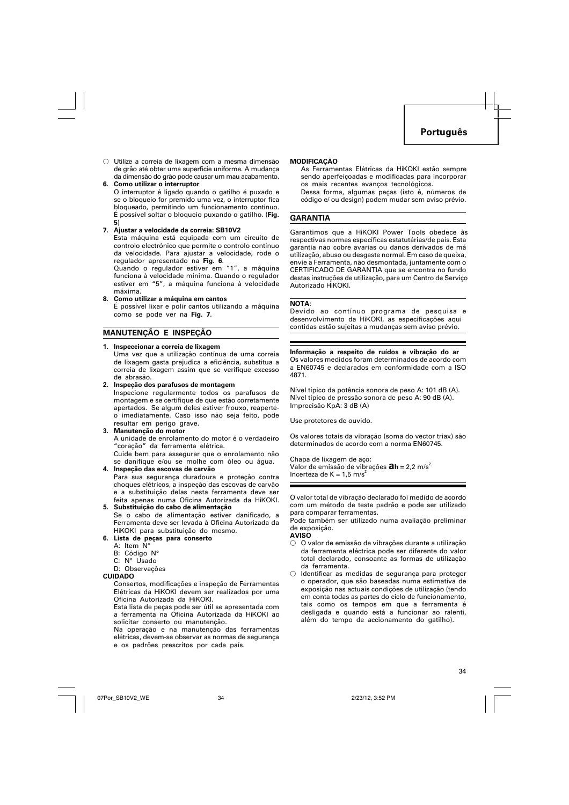- Utilize a correia de lixagem com a mesma dimensão de grão até obter uma superfície uniforme. A mudança da dimensão do grão pode causar um mau acabamento.
- **6. Como utilizar o interruptor**

O interruptor é ligado quando o gatilho é puxado e se o bloqueio for premido uma vez, o interruptor fica bloqueado, permitindo um funcionamento contínuo. É possível soltar o bloqueio puxando o gatilho. (**Fig. 5**)

#### **7. Ajustar a velocidade da correia: SB10V2**

Esta máquina está equipada com um circuito de controlo electrónico que permite o controlo contínuo da velocidade. Para ajustar a velocidade, rode o regulador apresentado na **Fig. 6**.

Quando o regulador estiver em "1", a máquina funciona à velocidade mínima. Quando o regulador estiver em "5", a máquina funciona à velocidade máxima.

#### **8. Como utilizar a máquina em cantos**

É possível lixar e polir cantos utilizando a máquina como se pode ver na **Fig. 7**.

# **MANUTENÇÃO E INSPEÇÃO**

#### **1. Inspeccionar a correia de lixagem**

Uma vez que a utilização contínua de uma correia de lixagem gasta prejudica a eficiência, substitua a correia de lixagem assim que se verifique excesso de abrasão.

- **2. Inspeção dos parafusos de montagem** Inspecione regularmente todos os parafusos de montagem e se certifique de que estão corretamente apertados. Se algum deles estiver frouxo, reaperteo imediatamente. Caso isso não seja feito, pode resultar em perigo grave.
- **3. Manutenção do motor**

A unidade de enrolamento do motor é o verdadeiro "coração" da ferramenta elétrica.

Cuide bem para assegurar que o enrolamento não se danifique e/ou se molhe com óleo ou água.

#### **4. Inspeção das escovas de carvão**

Para sua segurança duradoura e proteção contra choques elétricos, a inspeção das escovas de carvão e a substituição delas nesta ferramenta deve ser feita apenas numa Oficina Autorizada da HiKOKI.

#### **5. Substituição do cabo de alimentação**

Se o cabo de alimentação estiver danificado, a Ferramenta deve ser levada à Oficina Autorizada da HiKOKI para substituição do mesmo.

## **6. Lista de peças para conserto**

- A: Item N°
- B: Código N°
- C: N° Usado
- D: Observações

#### **CUIDADO**

Consertos, modificações e inspeção de Ferramentas Elétricas da HiKOKI devem ser realizados por uma Oficina Autorizada da HiKOKI.

Esta lista de peças pode ser útil se apresentada com a ferramenta na Oficina Autorizada da HiKOKI ao solicitar conserto ou manutenção.

Na operação e na manutenção das ferramentas elétricas, devem-se observar as normas de segurança e os padrões prescritos por cada país.

#### **MODIFICAÇÃO**

As Ferramentas Elétricas da HiKOKI estão sempre sendo aperfeiçoadas e modificadas para incorporar os mais recentes avanços tecnológicos.

Dessa forma, algumas peças (isto é, números de código e/ ou design) podem mudar sem aviso prévio.

#### **GARANTIA**

Garantimos que a HiKOKI Power Tools obedece às respectivas normas específicas estatutárias/de país. Esta garantia não cobre avarias ou danos derivados de má utilização, abuso ou desgaste normal. Em caso de queixa, envie a Ferramenta, não desmontada, juntamente com o CERTIFICADO DE GARANTIA que se encontra no fundo destas instruções de utilização, para um Centro de Serviço Autorizado HiKOKI.

#### **NOTA:**

Devido ao contínuo programa de pesquisa e desenvolvimento da HiKOKI, as especificações aqui contidas estão sujeitas a mudanças sem aviso prévio.

**Informação a respeito de ruídos e vibração do ar** Os valores medidos foram determinados de acordo com a EN60745 e declarados em conformidade com a ISO 4871.

Nível típico da potência sonora de peso A: 101 dB (A). Nível típico de pressão sonora de peso A: 90 dB (A). Imprecisão KpA: 3 dB (A)

Use protetores de ouvido.

Os valores totais da vibração (soma do vector triax) são determinados de acordo com a norma EN60745.

Chapa de lixagem de aço: Valor de emissão de vibrações **ah** = 2,2 m/s<sup>2</sup> Incerteza de K =  $1.5 \text{ m/s}^2$ 

O valor total de vibração declarado foi medido de acordo com um método de teste padrão e pode ser utilizado para comparar ferramentas.

Pode também ser utilizado numa avaliação preliminar de exposição.

#### **AVISO**

- O valor de emissão de vibrações durante a utilização da ferramenta eléctrica pode ser diferente do valor total declarado, consoante as formas de utilização da ferramenta.
- $\bigcirc$  Identificar as medidas de segurança para proteger o operador, que são baseadas numa estimativa de exposição nas actuais condições de utilização (tendo em conta todas as partes do ciclo de funcionamento, tais como os tempos em que a ferramenta é desligada e quando está a funcionar ao ralenti, além do tempo de accionamento do gatilho).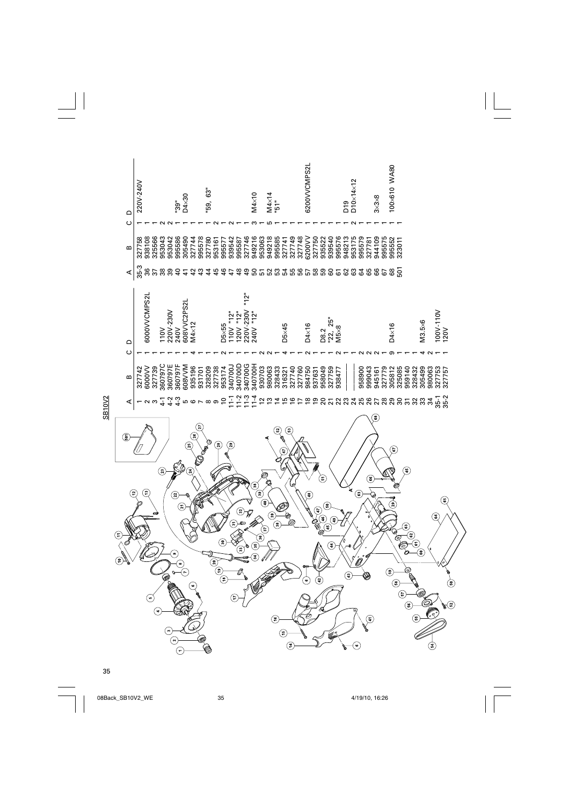| $\circ$<br>Ō<br>≃<br>⋖            | 220V-240V<br>327758<br>35-3 | 938108       | 325566<br>858 | 953043                   | 953042<br>စ္က    | 995586<br>$\overline{a}$              | "39"<br>D4×30<br>305490<br>$\frac{4}{3}$ | 327744<br>42          | 995578<br>$\boldsymbol{\mathfrak{Q}}$ | '59, 63'<br>327780<br>44 | 953161<br>444           | 995577       | 939542               | 995587           | 327746            | M4×10<br>949216<br>953063            |                                | $M4 \times 14$<br>"51"<br>949218 | 995585          | 327741            | 327749                  | 327748 | 6200VVCMPS2L<br>6200VV  | 327750                             | 935522<br>939540                                      | 995576  | D <sub>19</sub><br>948213 | D10×14×12<br>953175 | 995579          | 327781              | $3\times3\times8$<br>944109<br>88866868688668888888686 | 995575 | 100×610 WA80<br>995552                   | 323011      |                                                     |               |        |                         |                   |                    |  |
|-----------------------------------|-----------------------------|--------------|---------------|--------------------------|------------------|---------------------------------------|------------------------------------------|-----------------------|---------------------------------------|--------------------------|-------------------------|--------------|----------------------|------------------|-------------------|--------------------------------------|--------------------------------|----------------------------------|-----------------|-------------------|-------------------------|--------|-------------------------|------------------------------------|-------------------------------------------------------|---------|---------------------------|---------------------|-----------------|---------------------|--------------------------------------------------------|--------|------------------------------------------|-------------|-----------------------------------------------------|---------------|--------|-------------------------|-------------------|--------------------|--|
| $\Omega$<br>C                     |                             | 6000VVCMPS2L |               | 110V                     | 220V-230V        | 240V                                  | 608VVC2PS2I                              | M4×12                 |                                       |                          |                         | <b>D5×55</b> | 110V "12"            | 120V "12"        | "12"<br>220V-230V | 240V "12"                            |                                |                                  |                 | D <sub>5×45</sub> |                         |        | D4×16                   |                                    | "22, 25"<br>D8.2                                      | M5×8    |                           |                     |                 |                     |                                                        |        | D4×16                                    |             |                                                     |               | M3.5×6 |                         | 100V-110V<br>120V |                    |  |
| ≃<br>⋖                            | 327742                      | 6000VV       | 327739<br>ო   | 360797C<br>$\frac{1}{4}$ | 360797E<br>$4-2$ | 360797F<br>$\frac{3}{4}$              | <b>MVV/80S</b>                           | 935196<br><b>io</b> ဖ | 931701                                | 328209<br>$\infty$       | 327738<br>953174<br>თ   | ⊇            | 340700J<br><u>بہ</u> | 340700D          | 340700G           | 340700H<br><u> 2 2 4</u> 2           | 930703                         | 980063<br>≌                      | 328433<br>4     | 316321<br>مِ      | 327740<br>$\frac{6}{2}$ | 327760 | 984750<br>$\frac{8}{2}$ | 937631<br>$\overline{9}$           | 958049<br>327759<br>$\overline{20}$<br>$\overline{2}$ | 938477  | 23<br>$\overline{2}$      | 24                  | 958900          | 999043<br><b>25</b> | 945161                                                 | 327779 | 305812                                   | 325085      | 959140<br>328432<br><b>ឯ</b> ឌ ឌ ឌ ឝ ដ ឌ            |               | 305499 | 980063<br>$\frac{1}{2}$ | 327753<br>$35-2$  | 327757             |  |
| ළ<br>હ્યિ<br>$\widehat{\in}$<br>ઉ |                             | ্হি          | ك<br>$\in$    | $\circledS$              |                  | હિ<br>೨<br>િ<br>$\overline{\epsilon}$ | હિ                                       | હિ<br>$\Omega$        | 5)                                    |                          | $\circledast$<br>ව<br>٤ | (કે<br>(ຂັ   | ິສ<br>5              | $\circledS$<br>ඹ | W                 | ತ್ರಿ<br>$\mathbf{e}$<br>$\mathbf{a}$ | ಄<br>$\widehat{G}$<br>હિ<br>36 | $\circledS$                      | (೫)<br>్లె<br>E | (ສ)<br>E          | E                       | (မ     | ❀                       | $\mathfrak{F}$<br><b>RAND</b><br>đ | 5<br>಄<br>$\frac{1}{\sqrt{15}}$                       | ⊜<br>્વ | Ъ                         | ؚ۬<br>په            | ©<br>$_{\odot}$ | ်မ<br>(ફ)           | ම                                                      | මේ     | હે<br>$\mathbb{R}^{2}$<br><b>CONTROL</b> | $\circledS$ | Ŧ<br>$\mathbf{e}$<br>$\circled{s}$<br>$\circledast$ | G<br>္ဇြ<br>ළ |        | ્રિક્<br>(રૂ            |                   | ල<br>$\mathcal{E}$ |  |

**SB10V2** 35<br>35<br>SB10V2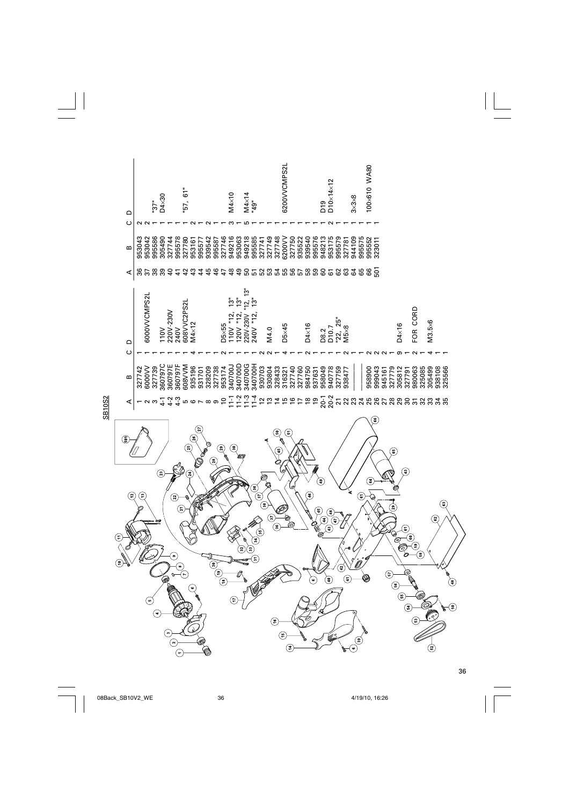| $\Omega$<br>Ō<br>m<br>⋖              | 953043 | 953042                                                     | 995586<br>305490 | "37"<br>D4×30             | 327744<br>252354548 | 995578                          | "57, 61"<br>327780 | 953161                           | 995577<br>939542 |          | 995587<br>4444 | 327746                             | M4×10<br>949216  | 953063           | $M4 \times 14$<br>"49"<br>949218<br>995585 |                             | 327741 | 327749                  | 327748       | 6200VVCMPS2L<br>6200VV | 327750 | 935522 | 939540 | 995576 | D19<br>D10x14x12<br>948213 | 953175             | 995579             | 3x3x8<br>944109<br>327781 | 995575  | 100x610 WA80 | 995552<br>323011 |                  |                                       |        |                        |          |        |                    |                  |     |  |
|--------------------------------------|--------|------------------------------------------------------------|------------------|---------------------------|---------------------|---------------------------------|--------------------|----------------------------------|------------------|----------|----------------|------------------------------------|------------------|------------------|--------------------------------------------|-----------------------------|--------|-------------------------|--------------|------------------------|--------|--------|--------|--------|----------------------------|--------------------|--------------------|---------------------------|---------|--------------|------------------|------------------|---------------------------------------|--------|------------------------|----------|--------|--------------------|------------------|-----|--|
| $\Omega$<br>Ċ                        |        | 6000VVCMPS2L                                               |                  | 110V                      | 220V-230V           | 240V                            | 608VVC2PS2I        | M4×12                            |                  |          |                | D <sub>5×55</sub>                  | ဗြ<br>$110V$ "12 | စ္ပြ<br>120V "12 | ្មែ<br>$^{12}_{13}$<br>220V-230V           | 240V "12                    |        | M4.0                    |              | D5×45                  |        |        | D4×16  |        | D8.2                       | D <sub>10.7</sub>  | "22,               | $M5\times8$               |         |              |                  |                  |                                       | D4×16  |                        | FOR CORD |        | M3.5×6             |                  |     |  |
| ∞<br>⋖                               | 327742 | 6000VV                                                     | 327739           | 360797C<br>$\overline{4}$ | 360797E             | 360797F<br>$\frac{2}{4}$ - 3    | <b>MVV80S</b>      | 935196<br><b>507</b>             | 931701<br>328209 | $\infty$ | თ              | 327738<br>953174<br>$\overline{a}$ | 340700J<br>Ξ     | 340700D          | 340700G<br>$7.7$ $7.7$ $7.7$               | 340700H                     | 930703 | 930804<br>$\frac{2}{5}$ | 328433       | 316321<br>7.507        | 327740 | 327760 | 984750 | 937631 | 958049                     | 940778             | 327759             | 938477                    |         | 958900       | 999043           | 945161<br>327779 |                                       | 305812 | 327791                 | 980063   | 325085 | 305499<br>នទកននាងន | 938108<br>325566 |     |  |
| E<br>$\left( \mathbf{a}\right)$<br>E | $\Xi$  | $\left[ \begin{smallmatrix} 0\\ \end{smallmatrix} \right]$ | E                | $\circledR$               | $\alpha$            | હિ<br>$\circledcirc$<br>۹<br>(– |                    | (శి<br>$\mathbf{a}$<br>$\bullet$ | (r.              |          | ව<br>ِ<br>چ    | $\frac{1}{2}$<br>ু                 | ន                |                  | 33                                         | ್ರಿ<br>હિ<br>$\overline{5}$ | 38)    | ٣                       | ີສ<br>3<br>E | (민<br>ବ୍<br>ල<br>E     |        |        | 46     | ઉ<br>ဖ | ą<br>ख्                    | ⋐<br>G<br>G<br>ີຊົ | $\left( 42\right)$ | ઉ<br>ؙۣ                   | ٤<br>ලි | ์ธี          | $\mathbf{g}$     |                  | ෂ<br>ని<br>t<br>Q<br>ίe)<br><u>(೫</u> | G3)    | ู้¥ุ<br>ِ آه<br>ම<br>G | ်အ<br>ල  | 3      | ٥<br><u>(ଅ</u>     | ඹ<br>চ           | (ඝි |  |

SB10S2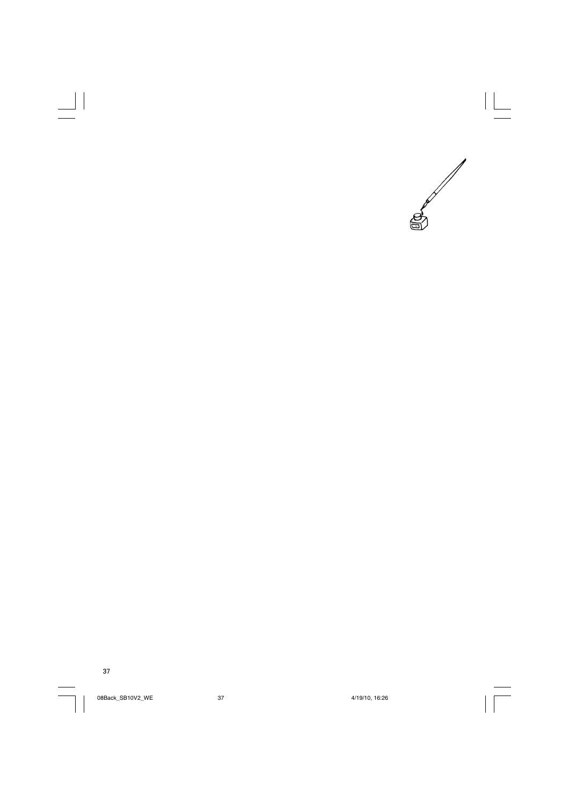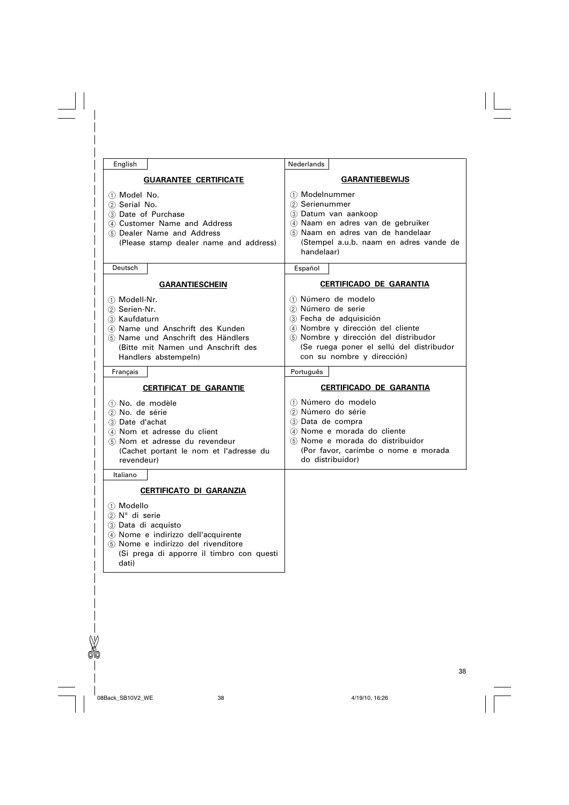| English                                                                                                                                                                                | Nederlands                                                                                                                                                                                                                |  |  |  |  |  |  |  |  |  |
|----------------------------------------------------------------------------------------------------------------------------------------------------------------------------------------|---------------------------------------------------------------------------------------------------------------------------------------------------------------------------------------------------------------------------|--|--|--|--|--|--|--|--|--|
| <b>GUARANTEE CERTIFICATE</b>                                                                                                                                                           | <b>GARANTIEBEWIJS</b>                                                                                                                                                                                                     |  |  |  |  |  |  |  |  |  |
| ① Model No.<br>2 Serial No.<br>3 Date of Purchase<br>4) Customer Name and Address<br>(5) Dealer Name and Address<br>(Please stamp dealer name and address)                             | 1) Modelnummer<br>2 Serienummer<br>3 Datum van aankoop<br>4) Naam en adres van de gebruiker<br>(5) Naam en adres van de handelaar<br>(Stempel a.u.b. naam en adres vande de<br>handelaar)                                 |  |  |  |  |  |  |  |  |  |
| Deutsch                                                                                                                                                                                | Español                                                                                                                                                                                                                   |  |  |  |  |  |  |  |  |  |
| <b>GARANTIESCHEIN</b>                                                                                                                                                                  | <b>CERTIFICADO DE GARANTIA</b>                                                                                                                                                                                            |  |  |  |  |  |  |  |  |  |
| ① Modell-Nr.<br>2 Serien-Nr.<br>3 Kaufdaturn<br>4) Name und Anschrift des Kunden<br>(5) Name und Anschrift des Händlers<br>(Bitte mit Namen und Anschrift des<br>Handlers abstempeln)  | 1 Número de modelo<br>2 Número de serie<br>3) Fecha de adquisición<br>4) Nombre y dirección del cliente<br>5 Nombre y dirección del distribudor<br>(Se ruega poner el sellú del distribudor<br>con su nombre y dirección) |  |  |  |  |  |  |  |  |  |
| Français                                                                                                                                                                               | Português                                                                                                                                                                                                                 |  |  |  |  |  |  |  |  |  |
| <b>CERTIFICAT DE GARANTIE</b>                                                                                                                                                          | <b>CERTIFICADO DE GARANTIA</b>                                                                                                                                                                                            |  |  |  |  |  |  |  |  |  |
| 1) No. de modèle<br>2 No. de série<br>3 Date d'achat<br>4) Nom et adresse du client<br>(5) Nom et adresse du revendeur<br>(Cachet portant le nom et l'adresse du<br>revendeur)         | (1) Número do modelo<br>2 Número do série<br>3) Data de compra<br>4) Nome e morada do cliente<br>(5) Nome e morada do distribuidor<br>(Por favor, carímbe o nome e morada<br>do distribuidor)                             |  |  |  |  |  |  |  |  |  |
| Italiano                                                                                                                                                                               |                                                                                                                                                                                                                           |  |  |  |  |  |  |  |  |  |
| <b>CERTIFICATO DI GARANZIA</b>                                                                                                                                                         |                                                                                                                                                                                                                           |  |  |  |  |  |  |  |  |  |
| ① Modello<br>2) N° di serie<br>3 Data di acquisto<br>4) Nome e indirizzo dell'acquirente<br>(5) Nome e indirizzo del rivenditore<br>(Si prega di apporre il timbro con questi<br>dati) |                                                                                                                                                                                                                           |  |  |  |  |  |  |  |  |  |

✄

 $\overline{\phantom{a}}$ 

J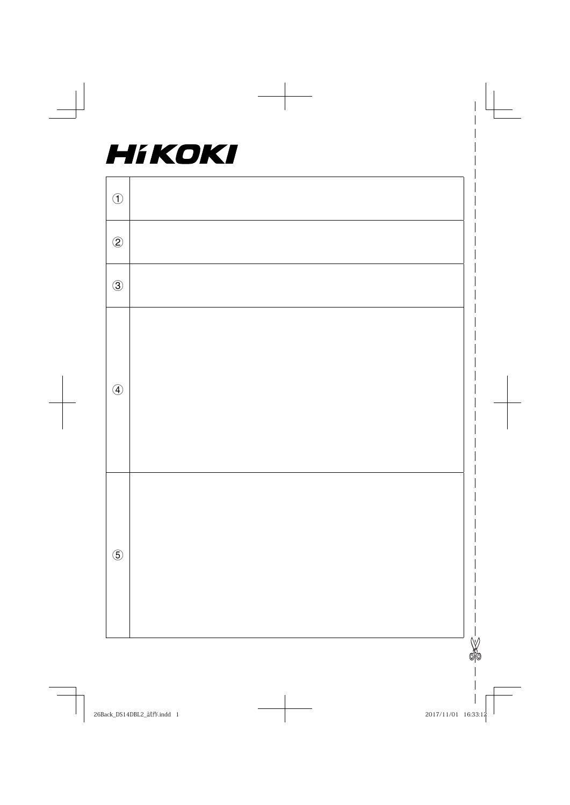# HIKOKI

| $\bigcirc$                                                   |  |
|--------------------------------------------------------------|--|
| $\circled{2}$                                                |  |
| $\circled{3}$                                                |  |
| $\bigcirc \hspace{-3.5pt} \bigcirc \hspace{-3.5pt} \bigcirc$ |  |
| $\circledS$                                                  |  |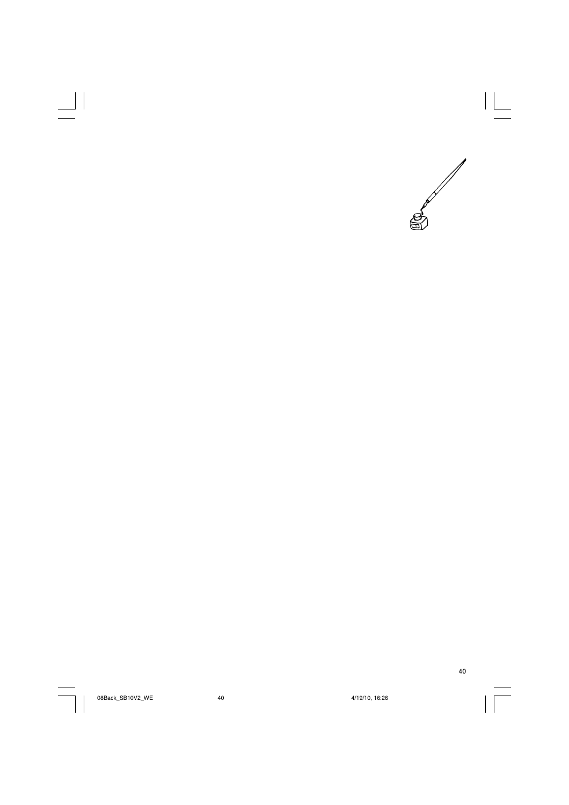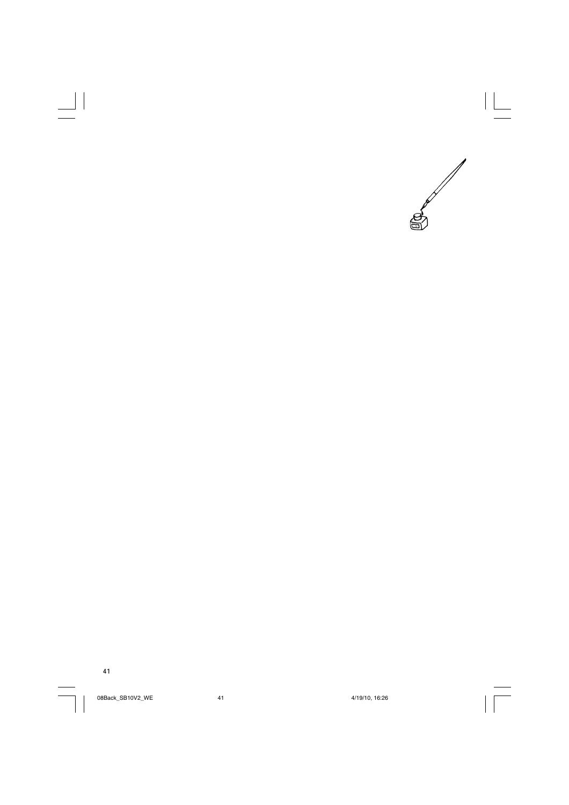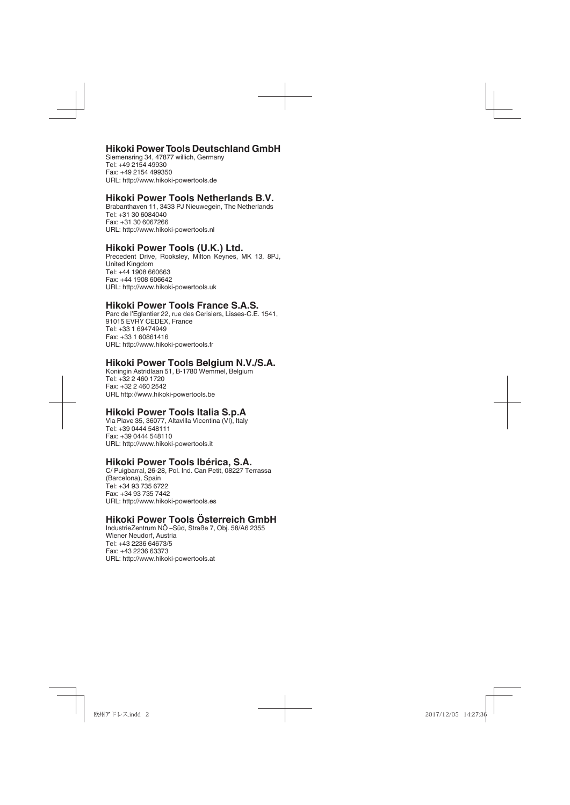# **Hikoki Power Tools Deutschland GmbH**

Siemensring 34, 47877 willich, Germany Tel: +49 2154 49930 Fax: +49 2154 499350 URL: http://www.hikoki-powertools.de

# **Hikoki Power Tools Netherlands B.V.**

Brabanthaven 11, 3433 PJ Nieuwegein, The Netherlands Tel: +31 30 6084040 Fax: +31 30 6067266 URL: http://www.hikoki-powertools.nl

# **Hikoki Power Tools (U.K.) Ltd.**

Precedent Drive, Rooksley, Milton Keynes, MK 13, 8PJ, United Kingdom Tel: +44 1908 660663 Fax: +44 1908 606642 URL: http://www.hikoki-powertools.uk

# **Hikoki Power Tools France S.A.S.**

Parc de l'Eglantier 22, rue des Cerisiers, Lisses-C.E. 1541, 91015 EVRY CEDEX, France Tel: +33 1 69474949 Fax: +33 1 60861416 URL: http://www.hikoki-powertools.fr

# **Hikoki Power Tools Belgium N.V./S.A.**

Koningin Astridlaan 51, B-1780 Wemmel, Belgium Tel: +32 2 460 1720 Fax: +32 2 460 2542 URL http://www.hikoki-powertools.be

# **Hikoki Power Tools Italia S.p.A**

Via Piave 35, 36077, Altavilla Vicentina (VI), Italy Tel: +39 0444 548111 Fax: +39 0444 548110 URL: http://www.hikoki-powertools.it

# **Hikoki Power Tools lbérica, S.A.**

C/ Puigbarral, 26-28, Pol. Ind. Can Petit, 08227 Terrassa (Barcelona), Spain Tel: +34 93 735 6722 Fax: +34 93 735 7442 URL: http://www.hikoki-powertools.es

# **Hikoki Power Tools Österreich GmbH**

IndustrieZentrum NÖ –Süd, Straße 7, Obj. 58/A6 2355 Wiener Neudorf, Austria Tel: +43 2236 64673/5 Fax: +43 2236 63373 URL: http://www.hikoki-powertools.at